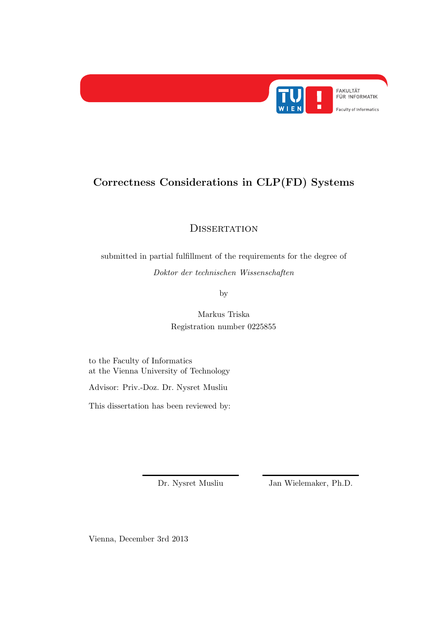

# Correctness Considerations in CLP(FD) Systems

**DISSERTATION** 

submitted in partial fulfillment of the requirements for the degree of Doktor der technischen Wissenschaften

by

Markus Triska Registration number 0225855

to the Faculty of Informatics at the Vienna University of Technology

Advisor: Priv.-Doz. Dr. Nysret Musliu

This dissertation has been reviewed by:

Dr. Nysret Musliu Jan Wielemaker, Ph.D.

Vienna, December 3rd 2013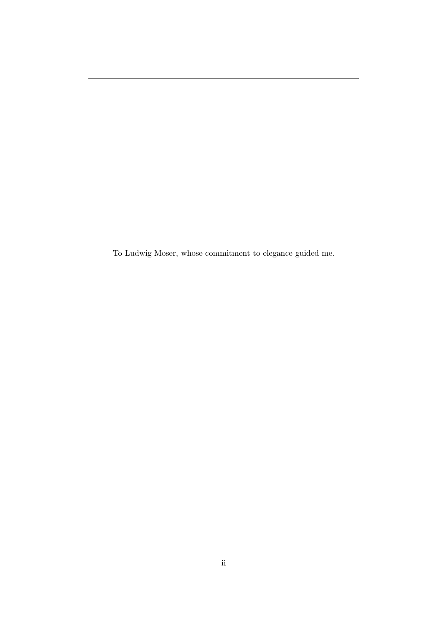To Ludwig Moser, whose commitment to elegance guided me.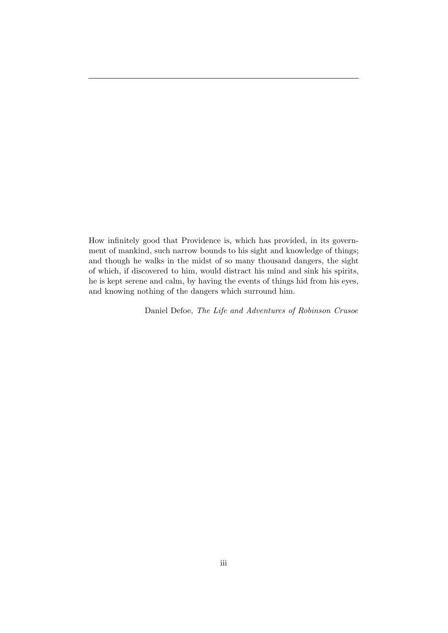How infinitely good that Providence is, which has provided, in its government of mankind, such narrow bounds to his sight and knowledge of things; and though he walks in the midst of so many thousand dangers, the sight of which, if discovered to him, would distract his mind and sink his spirits, he is kept serene and calm, by having the events of things hid from his eyes, and knowing nothing of the dangers which surround him.

Daniel Defoe, The Life and Adventures of Robinson Crusoe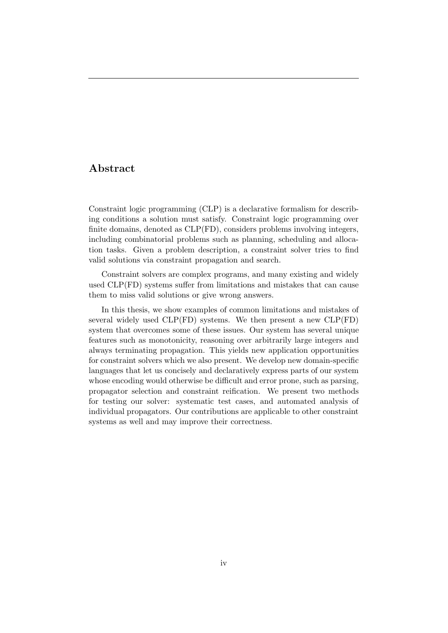## Abstract

Constraint logic programming (CLP) is a declarative formalism for describing conditions a solution must satisfy. Constraint logic programming over finite domains, denoted as CLP(FD), considers problems involving integers, including combinatorial problems such as planning, scheduling and allocation tasks. Given a problem description, a constraint solver tries to find valid solutions via constraint propagation and search.

Constraint solvers are complex programs, and many existing and widely used CLP(FD) systems suffer from limitations and mistakes that can cause them to miss valid solutions or give wrong answers.

In this thesis, we show examples of common limitations and mistakes of several widely used CLP(FD) systems. We then present a new CLP(FD) system that overcomes some of these issues. Our system has several unique features such as monotonicity, reasoning over arbitrarily large integers and always terminating propagation. This yields new application opportunities for constraint solvers which we also present. We develop new domain-specific languages that let us concisely and declaratively express parts of our system whose encoding would otherwise be difficult and error prone, such as parsing, propagator selection and constraint reification. We present two methods for testing our solver: systematic test cases, and automated analysis of individual propagators. Our contributions are applicable to other constraint systems as well and may improve their correctness.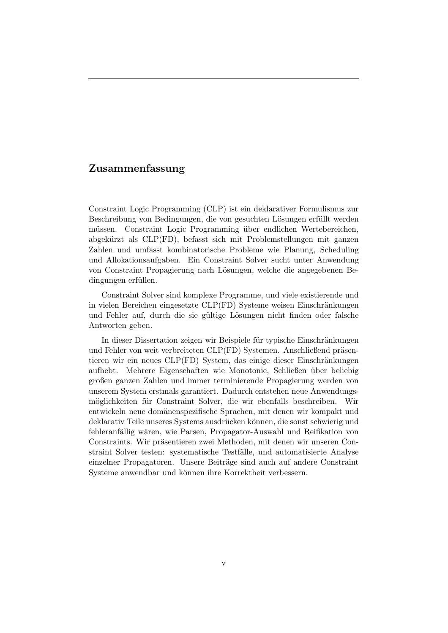## Zusammenfassung

Constraint Logic Programming (CLP) ist ein deklarativer Formulismus zur Beschreibung von Bedingungen, die von gesuchten Lösungen erfüllt werden müssen. Constraint Logic Programming über endlichen Wertebereichen, abgek¨urzt als CLP(FD), befasst sich mit Problemstellungen mit ganzen Zahlen und umfasst kombinatorische Probleme wie Planung, Scheduling und Allokationsaufgaben. Ein Constraint Solver sucht unter Anwendung von Constraint Propagierung nach Lösungen, welche die angegebenen Bedingungen erfüllen.

Constraint Solver sind komplexe Programme, und viele existierende und in vielen Bereichen eingesetzte CLP(FD) Systeme weisen Einschränkungen und Fehler auf, durch die sie gültige Lösungen nicht finden oder falsche Antworten geben.

In dieser Dissertation zeigen wir Beispiele für typische Einschränkungen und Fehler von weit verbreiteten CLP(FD) Systemen. Anschließend präsentieren wir ein neues CLP(FD) System, das einige dieser Einschränkungen aufhebt. Mehrere Eigenschaften wie Monotonie, Schließen ¨uber beliebig großen ganzen Zahlen und immer terminierende Propagierung werden von unserem System erstmals garantiert. Dadurch entstehen neue Anwendungsmöglichkeiten für Constraint Solver, die wir ebenfalls beschreiben. Wir entwickeln neue domänenspezifische Sprachen, mit denen wir kompakt und deklarativ Teile unseres Systems ausdrücken können, die sonst schwierig und fehleranfällig wären, wie Parsen, Propagator-Auswahl und Reifikation von Constraints. Wir präsentieren zwei Methoden, mit denen wir unseren Constraint Solver testen: systematische Testfälle, und automatisierte Analyse einzelner Propagatoren. Unsere Beiträge sind auch auf andere Constraint Systeme anwendbar und können ihre Korrektheit verbessern.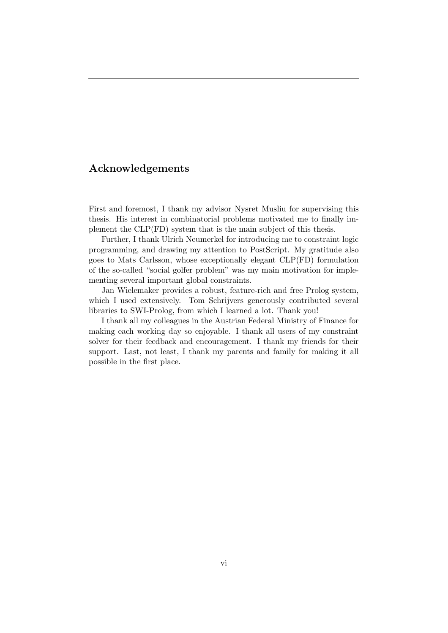## Acknowledgements

First and foremost, I thank my advisor Nysret Musliu for supervising this thesis. His interest in combinatorial problems motivated me to finally implement the CLP(FD) system that is the main subject of this thesis.

Further, I thank Ulrich Neumerkel for introducing me to constraint logic programming, and drawing my attention to PostScript. My gratitude also goes to Mats Carlsson, whose exceptionally elegant CLP(FD) formulation of the so-called "social golfer problem" was my main motivation for implementing several important global constraints.

Jan Wielemaker provides a robust, feature-rich and free Prolog system, which I used extensively. Tom Schrijvers generously contributed several libraries to SWI-Prolog, from which I learned a lot. Thank you!

I thank all my colleagues in the Austrian Federal Ministry of Finance for making each working day so enjoyable. I thank all users of my constraint solver for their feedback and encouragement. I thank my friends for their support. Last, not least, I thank my parents and family for making it all possible in the first place.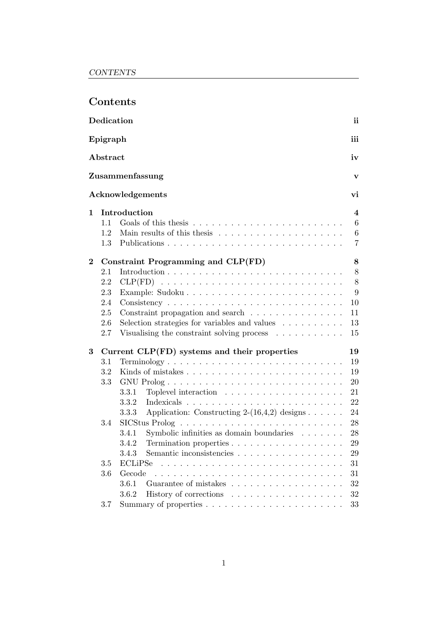|                |            | Contents                                                                    |                 |
|----------------|------------|-----------------------------------------------------------------------------|-----------------|
|                | Dedication |                                                                             | ii              |
|                | Epigraph   |                                                                             | iii             |
|                | Abstract   |                                                                             | iv              |
|                |            |                                                                             |                 |
|                |            | Zusammenfassung                                                             | $\mathbf{v}$    |
|                |            | Acknowledgements                                                            | vi              |
| $\mathbf{1}$   |            | Introduction                                                                | 4               |
|                | 1.1        |                                                                             | $6\phantom{.}6$ |
|                | 1.2        |                                                                             | $\,6\,$         |
|                | 1.3        |                                                                             | 7               |
| $\overline{2}$ |            | Constraint Programming and CLP(FD)                                          | 8               |
|                | 2.1        |                                                                             | 8               |
|                | 2.2        |                                                                             | 8               |
|                | 2.3        |                                                                             | 9               |
|                | 2.4        |                                                                             | 10              |
|                | 2.5        | Constraint propagation and search $\ldots \ldots \ldots \ldots$             | 11              |
|                | 2.6        | Selection strategies for variables and values $\ldots \ldots \ldots$        | 13              |
|                | 2.7        | Visualising the constraint solving process $\dots \dots \dots$              | 15              |
| 3              |            | Current CLP(FD) systems and their properties                                | 19              |
|                | 3.1        |                                                                             | 19              |
|                | 3.2        |                                                                             | 19              |
|                | 3.3        |                                                                             | 20              |
|                |            | 3.3.1                                                                       | 21              |
|                |            | 3.3.2                                                                       | 22              |
|                |            | Application: Constructing $2-(16,4,2)$ designs $\ldots \ldots$<br>3.3.3     | 24              |
|                | 3.4        | $SICStus Prolog \ldots \ldots \ldots \ldots \ldots \ldots \ldots \ldots$    | 28              |
|                |            | 3.4.1 Symbolic infinities as domain boundaries $\ldots \ldots$              | $28\,$          |
|                |            | 3.4.2<br>Termination properties $\ldots \ldots \ldots \ldots \ldots \ldots$ | 29              |
|                |            | Semantic inconsistencies<br>3.4.3                                           | 29              |
|                | 3.5        | ECLiPSe                                                                     | 31              |
|                | $3.6\,$    | Gecode<br>.                                                                 | 31              |
|                |            | 3.6.1<br>Guarantee of mistakes                                              | 32              |
|                |            | 3.6.2                                                                       | 32              |
|                | 3.7        |                                                                             | 33              |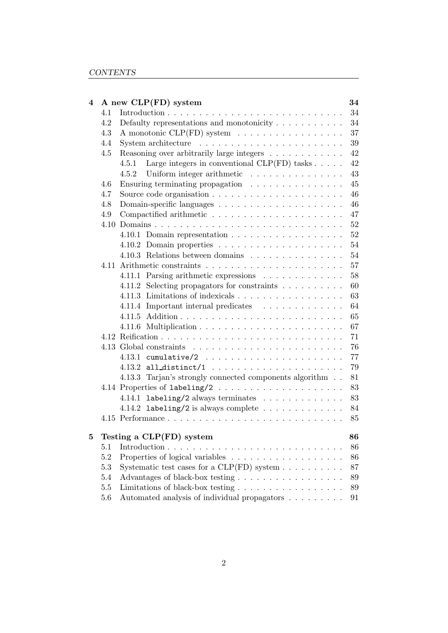| 4 |         | A new CLP(FD) system                                                | 34     |
|---|---------|---------------------------------------------------------------------|--------|
|   | 4.1     |                                                                     | 34     |
|   | 4.2     |                                                                     | 34     |
|   | 4.3     | A monotonic CLP(FD) system                                          | 37     |
|   | 4.4     |                                                                     | 39     |
|   | 4.5     | Reasoning over arbitrarily large integers                           | 42     |
|   |         | Large integers in conventional $CLP(FD)$ tasks $\ldots$ .<br>4.5.1  | 42     |
|   |         | 4.5.2 Uniform integer arithmetic                                    | 43     |
|   | 4.6     | Ensuring terminating propagation                                    | 45     |
|   | 4.7     |                                                                     | 46     |
|   | 4.8     |                                                                     | 46     |
|   | 4.9     |                                                                     | 47     |
|   |         |                                                                     | 52     |
|   |         |                                                                     | 52     |
|   |         |                                                                     | 54     |
|   |         | 4.10.3 Relations between domains                                    | 54     |
|   |         |                                                                     | 57     |
|   |         | 4.11.1 Parsing arithmetic expressions                               | 58     |
|   |         | 4.11.2 Selecting propagators for constraints                        | 60     |
|   |         | 4.11.3 Limitations of indexicals                                    | 63     |
|   |         | 4.11.4 Important internal predicates                                | 64     |
|   |         | 4.11.5                                                              | 65     |
|   |         |                                                                     | 67     |
|   |         |                                                                     | 71     |
|   |         |                                                                     | 76     |
|   |         |                                                                     | 77     |
|   |         |                                                                     | 79     |
|   |         | 4.13.3 Tarjan's strongly connected components algorithm             | 81     |
|   |         |                                                                     | 83     |
|   |         | 4.14.1 labeling/2 always terminates                                 | 83     |
|   |         | 4.14.2 labeling/2 is always complete $\ldots \ldots \ldots \ldots$  | 84     |
|   |         |                                                                     | 85     |
|   |         |                                                                     |        |
| 5 |         | Testing a CLP(FD) system                                            | 86     |
|   | 5.1     |                                                                     | 86     |
|   | $5.2\,$ |                                                                     | 86     |
|   | 5.3     | Systematic test cases for a $CLP(FD)$ system $\ldots \ldots \ldots$ | 87     |
|   | 5.4     | Advantages of black-box testing                                     | $89\,$ |
|   | $5.5\,$ | Limitations of black-box testing                                    | 89     |
|   | 5.6     | Automated analysis of individual propagators                        | 91     |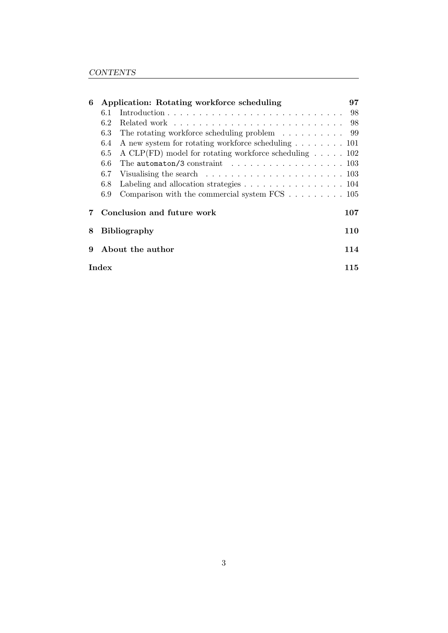| 6 |                         | Application: Rotating workforce scheduling                                           | 97  |  |  |  |  |  |  |  |  |  |
|---|-------------------------|--------------------------------------------------------------------------------------|-----|--|--|--|--|--|--|--|--|--|
|   | 6.1                     |                                                                                      | 98  |  |  |  |  |  |  |  |  |  |
|   | 6.2                     |                                                                                      |     |  |  |  |  |  |  |  |  |  |
|   | 6.3                     | The rotating workforce scheduling problem $\dots \dots \dots$ 99                     |     |  |  |  |  |  |  |  |  |  |
|   | 6.4                     | A new system for rotating workforce scheduling $\ldots \ldots \ldots 101$            |     |  |  |  |  |  |  |  |  |  |
|   | 6.5                     | A CLP(FD) model for rotating workforce scheduling $\ldots \ldots$ 102                |     |  |  |  |  |  |  |  |  |  |
|   | 6.6                     | The automaton/3 constraint $\ldots \ldots \ldots \ldots \ldots \ldots 103$           |     |  |  |  |  |  |  |  |  |  |
|   | 6.7                     | Visualising the search $\ldots \ldots \ldots \ldots \ldots \ldots \ldots \ldots 103$ |     |  |  |  |  |  |  |  |  |  |
|   | 6.8                     | Labeling and allocation strategies $\ldots \ldots \ldots \ldots \ldots \ldots 104$   |     |  |  |  |  |  |  |  |  |  |
|   | 6.9                     | Comparison with the commercial system FCS $\ldots \ldots \ldots 105$                 |     |  |  |  |  |  |  |  |  |  |
|   |                         | Conclusion and future work                                                           | 107 |  |  |  |  |  |  |  |  |  |
| 8 |                         | <b>Bibliography</b>                                                                  | 110 |  |  |  |  |  |  |  |  |  |
| 9 | About the author<br>114 |                                                                                      |     |  |  |  |  |  |  |  |  |  |
|   | Index                   |                                                                                      | 115 |  |  |  |  |  |  |  |  |  |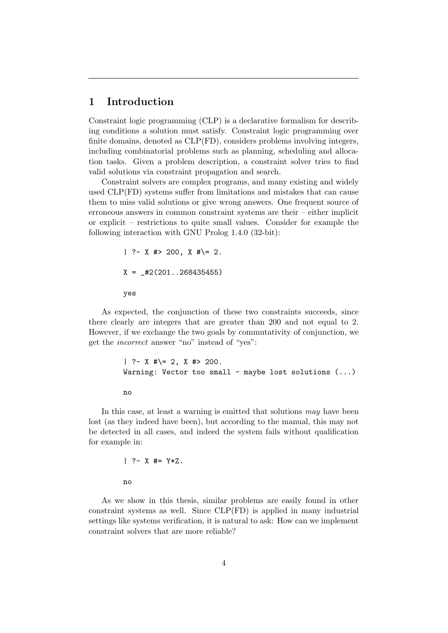## 1 Introduction

Constraint logic programming (CLP) is a declarative formalism for describing conditions a solution must satisfy. Constraint logic programming over finite domains, denoted as CLP(FD), considers problems involving integers, including combinatorial problems such as planning, scheduling and allocation tasks. Given a problem description, a constraint solver tries to find valid solutions via constraint propagation and search.

Constraint solvers are complex programs, and many existing and widely used CLP(FD) systems suffer from limitations and mistakes that can cause them to miss valid solutions or give wrong answers. One frequent source of erroneous answers in common constraint systems are their – either implicit or explicit – restrictions to quite small values. Consider for example the following interaction with GNU Prolog 1.4.0 (32-bit):

```
| ?- X #> 200, X #\= 2.
X = \text{\#2}(201 \dots 268435455)yes
```
As expected, the conjunction of these two constraints succeeds, since there clearly are integers that are greater than 200 and not equal to 2. However, if we exchange the two goals by commutativity of conjunction, we get the incorrect answer "no" instead of "yes":

```
| ?- X #\= 2, X #> 200.
Warning: Vector too small - maybe lost solutions (...)no
```
In this case, at least a warning is emitted that solutions may have been lost (as they indeed have been), but according to the manual, this may not be detected in all cases, and indeed the system fails without qualification for example in:

$$
| ?- X #= Y*Z.
$$
no

As we show in this thesis, similar problems are easily found in other constraint systems as well. Since CLP(FD) is applied in many industrial settings like systems verification, it is natural to ask: How can we implement constraint solvers that are more reliable?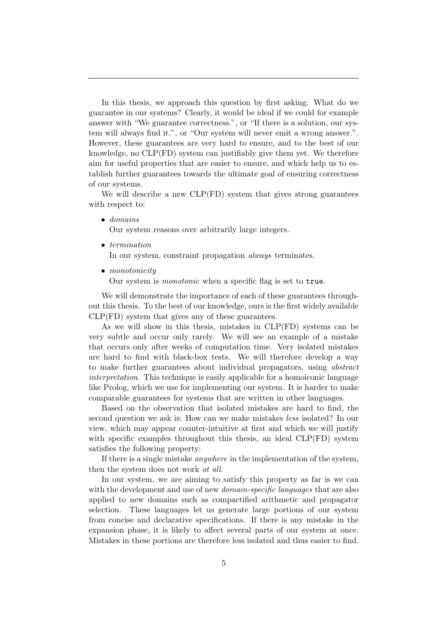In this thesis, we approach this question by first asking: What do we guarantee in our systems? Clearly, it would be ideal if we could for example answer with "We guarantee correctness.", or "If there is a solution, our system will always find it.", or "Our system will never emit a wrong answer.". However, these guarantees are very hard to ensure, and to the best of our knowledge, no CLP(FD) system can justifiably give them yet. We therefore aim for useful properties that are easier to ensure, and which help us to establish further guarantees towards the ultimate goal of ensuring correctness of our systems.

We will describe a new  $CLP(FD)$  system that gives strong guarantees with respect to:

• domains

Our system reasons over arbitrarily large integers.

• termination

In our system, constraint propagation always terminates.

• monotonicity

Our system is monotonic when a specific flag is set to true.

We will demonstrate the importance of each of these guarantees throughout this thesis. To the best of our knowledge, ours is the first widely available CLP(FD) system that gives any of these guarantees.

As we will show in this thesis, mistakes in CLP(FD) systems can be very subtle and occur only rarely. We will see an example of a mistake that occurs only after weeks of computation time. Very isolated mistakes are hard to find with black-box tests. We will therefore develop a way to make further guarantees about individual propagators, using abstract interpretation. This technique is easily applicable for a homoiconic language like Prolog, which we use for implementing our system. It is harder to make comparable guarantees for systems that are written in other languages.

Based on the observation that isolated mistakes are hard to find, the second question we ask is: How can we make mistakes less isolated? In our view, which may appear counter-intuitive at first and which we will justify with specific examples throughout this thesis, an ideal CLP(FD) system satisfies the following property:

If there is a single mistake anywhere in the implementation of the system, then the system does not work at all.

In our system, we are aiming to satisfy this property as far is we can with the development and use of new *domain-specific languages* that are also applied to new domains such as compactified arithmetic and propagator selection. These languages let us generate large portions of our system from concise and declarative specifications. If there is any mistake in the expansion phase, it is likely to affect several parts of our system at once. Mistakes in these portions are therefore less isolated and thus easier to find.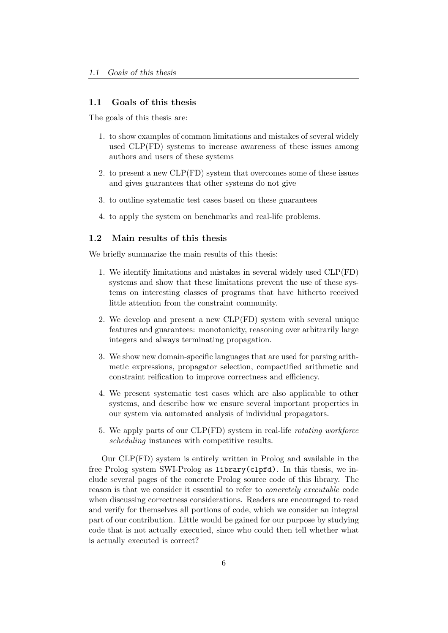## 1.1 Goals of this thesis

The goals of this thesis are:

- 1. to show examples of common limitations and mistakes of several widely used CLP(FD) systems to increase awareness of these issues among authors and users of these systems
- 2. to present a new CLP(FD) system that overcomes some of these issues and gives guarantees that other systems do not give
- 3. to outline systematic test cases based on these guarantees
- 4. to apply the system on benchmarks and real-life problems.

## 1.2 Main results of this thesis

We briefly summarize the main results of this thesis:

- 1. We identify limitations and mistakes in several widely used CLP(FD) systems and show that these limitations prevent the use of these systems on interesting classes of programs that have hitherto received little attention from the constraint community.
- 2. We develop and present a new CLP(FD) system with several unique features and guarantees: monotonicity, reasoning over arbitrarily large integers and always terminating propagation.
- 3. We show new domain-specific languages that are used for parsing arithmetic expressions, propagator selection, compactified arithmetic and constraint reification to improve correctness and efficiency.
- 4. We present systematic test cases which are also applicable to other systems, and describe how we ensure several important properties in our system via automated analysis of individual propagators.
- 5. We apply parts of our CLP(FD) system in real-life rotating workforce scheduling instances with competitive results.

Our CLP(FD) system is entirely written in Prolog and available in the free Prolog system SWI-Prolog as library(clpfd). In this thesis, we include several pages of the concrete Prolog source code of this library. The reason is that we consider it essential to refer to concretely executable code when discussing correctness considerations. Readers are encouraged to read and verify for themselves all portions of code, which we consider an integral part of our contribution. Little would be gained for our purpose by studying code that is not actually executed, since who could then tell whether what is actually executed is correct?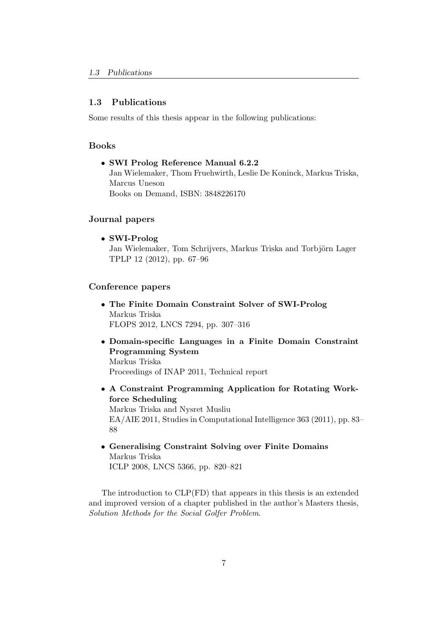## 1.3 Publications

Some results of this thesis appear in the following publications:

## Books

• SWI Prolog Reference Manual 6.2.2 Jan Wielemaker, Thom Fruehwirth, Leslie De Koninck, Markus Triska, Marcus Uneson Books on Demand, ISBN: 3848226170

## Journal papers

• SWI-Prolog

Jan Wielemaker, Tom Schrijvers, Markus Triska and Torbjörn Lager TPLP 12 (2012), pp. 67–96

### Conference papers

- The Finite Domain Constraint Solver of SWI-Prolog Markus Triska FLOPS 2012, LNCS 7294, pp. 307–316
- Domain-specific Languages in a Finite Domain Constraint Programming System Markus Triska Proceedings of INAP 2011, Technical report
- A Constraint Programming Application for Rotating Workforce Scheduling Markus Triska and Nysret Musliu EA/AIE 2011, Studies in Computational Intelligence 363 (2011), pp. 83– 88
- Generalising Constraint Solving over Finite Domains Markus Triska ICLP 2008, LNCS 5366, pp. 820–821

The introduction to CLP(FD) that appears in this thesis is an extended and improved version of a chapter published in the author's Masters thesis, Solution Methods for the Social Golfer Problem.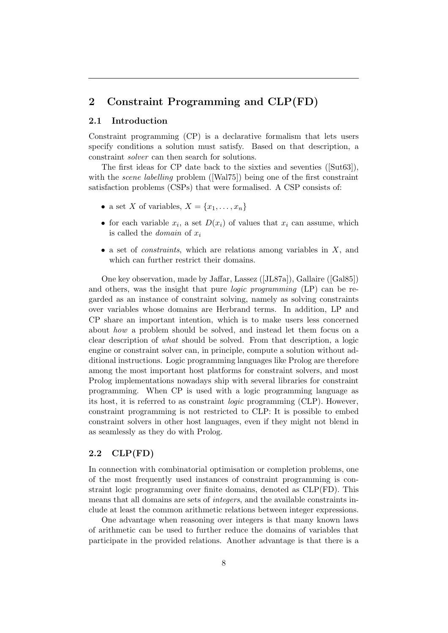## 2 Constraint Programming and CLP(FD)

## 2.1 Introduction

Constraint programming (CP) is a declarative formalism that lets users specify conditions a solution must satisfy. Based on that description, a constraint solver can then search for solutions.

The first ideas for CP date back to the sixties and seventies ([Sut63]), with the *scene labelling* problem ([Wal75]) being one of the first constraint satisfaction problems (CSPs) that were formalised. A CSP consists of:

- a set X of variables,  $X = \{x_1, \ldots, x_n\}$
- for each variable  $x_i$ , a set  $D(x_i)$  of values that  $x_i$  can assume, which is called the *domain* of  $x_i$
- a set of *constraints*, which are relations among variables in  $X$ , and which can further restrict their domains.

One key observation, made by Jaffar, Lassez ([JL87a]), Gallaire ([Gal85]) and others, was the insight that pure logic programming (LP) can be regarded as an instance of constraint solving, namely as solving constraints over variables whose domains are Herbrand terms. In addition, LP and CP share an important intention, which is to make users less concerned about how a problem should be solved, and instead let them focus on a clear description of what should be solved. From that description, a logic engine or constraint solver can, in principle, compute a solution without additional instructions. Logic programming languages like Prolog are therefore among the most important host platforms for constraint solvers, and most Prolog implementations nowadays ship with several libraries for constraint programming. When CP is used with a logic programming language as its host, it is referred to as constraint logic programming (CLP). However, constraint programming is not restricted to CLP: It is possible to embed constraint solvers in other host languages, even if they might not blend in as seamlessly as they do with Prolog.

## 2.2 CLP(FD)

In connection with combinatorial optimisation or completion problems, one of the most frequently used instances of constraint programming is constraint logic programming over finite domains, denoted as CLP(FD). This means that all domains are sets of integers, and the available constraints include at least the common arithmetic relations between integer expressions.

One advantage when reasoning over integers is that many known laws of arithmetic can be used to further reduce the domains of variables that participate in the provided relations. Another advantage is that there is a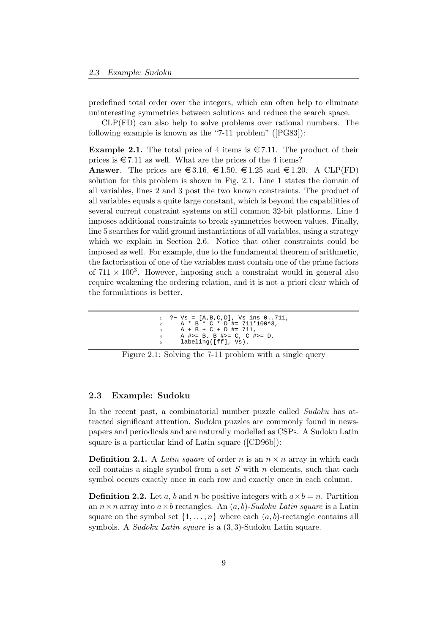predefined total order over the integers, which can often help to eliminate uninteresting symmetries between solutions and reduce the search space.

CLP(FD) can also help to solve problems over rational numbers. The following example is known as the "7-11 problem" ([PG83]):

**Example 2.1.** The total price of 4 items is  $\in 7.11$ . The product of their prices is  $\epsilon$  7.11 as well. What are the prices of the 4 items?

**Answer.** The prices are  $\in$  3.16,  $\in$  1.50,  $\in$  1.25 and  $\in$  1.20. A CLP(FD) solution for this problem is shown in Fig. 2.1. Line 1 states the domain of all variables, lines 2 and 3 post the two known constraints. The product of all variables equals a quite large constant, which is beyond the capabilities of several current constraint systems on still common 32-bit platforms. Line 4 imposes additional constraints to break symmetries between values. Finally, line 5 searches for valid ground instantiations of all variables, using a strategy which we explain in Section 2.6. Notice that other constraints could be imposed as well. For example, due to the fundamental theorem of arithmetic, the factorisation of one of the variables must contain one of the prime factors of  $711 \times 100^3$ . However, imposing such a constraint would in general also require weakening the ordering relation, and it is not a priori clear which of the formulations is better.

```
?– Vs = [A,B,C,D], Vs ins 0..711,
2 A * B * C * D #= 711*100^3,
3 \qquad A + B + C + D \nparallel = 711,4 A \sharp >= B, B \sharp >= C, C \sharp >= D,<br>5 labeling([ff], Vs).
        labeling([ff], Vs).
```


#### 2.3 Example: Sudoku

In the recent past, a combinatorial number puzzle called Sudoku has attracted significant attention. Sudoku puzzles are commonly found in newspapers and periodicals and are naturally modelled as CSPs. A Sudoku Latin square is a particular kind of Latin square ([CD96b]):

**Definition 2.1.** A Latin square of order n is an  $n \times n$  array in which each cell contains a single symbol from a set  $S$  with  $n$  elements, such that each symbol occurs exactly once in each row and exactly once in each column.

**Definition 2.2.** Let a, b and n be positive integers with  $a \times b = n$ . Partition an  $n \times n$  array into  $a \times b$  rectangles. An  $(a, b)$ -Sudoku Latin square is a Latin square on the symbol set  $\{1, \ldots, n\}$  where each  $(a, b)$ -rectangle contains all symbols. A Sudoku Latin square is a (3, 3)-Sudoku Latin square.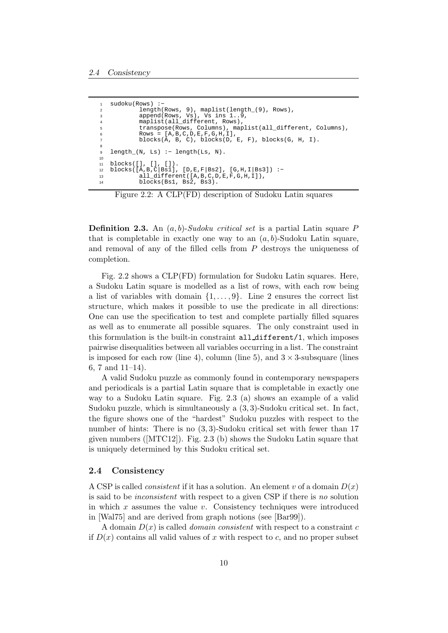```
sudoku(Rows) :-
2 length(Rows, 9), maplist(length_(9), Rows),
3 append(Rows, Vs), Vs ins 1..9,
          maplist(all_different, Rows)
5 transpose(Rows, Columns), maplist(all_different, Columns),
6 Rows = [A, B, C, D, E, F, G, H, I],
7 blocks(A, B, C), blocks(D, E, F), blocks(G, H, I).
8
9 length_(N, Ls) :− length(Ls, N).
10
11 blocks([], [], []).
12 blocks([A,B,C|Bs1], [D,E,F|Bs2], [G,H,I|Bs3]) :−
13 all_different([A,B,C,D,E,F,G,H,I]),
14 blocks(Bs1, Bs2, Bs3).
```
Figure 2.2: A CLP(FD) description of Sudoku Latin squares

**Definition 2.3.** An  $(a, b)$ -Sudoku critical set is a partial Latin square P that is completable in exactly one way to an  $(a, b)$ -Sudoku Latin square, and removal of any of the filled cells from P destroys the uniqueness of completion.

Fig. 2.2 shows a CLP(FD) formulation for Sudoku Latin squares. Here, a Sudoku Latin square is modelled as a list of rows, with each row being a list of variables with domain  $\{1, \ldots, 9\}$ . Line 2 ensures the correct list structure, which makes it possible to use the predicate in all directions: One can use the specification to test and complete partially filled squares as well as to enumerate all possible squares. The only constraint used in this formulation is the built-in constraint all different/1, which imposes pairwise disequalities between all variables occurring in a list. The constraint is imposed for each row (line 4), column (line 5), and  $3 \times 3$ -subsquare (lines 6, 7 and 11–14).

A valid Sudoku puzzle as commonly found in contemporary newspapers and periodicals is a partial Latin square that is completable in exactly one way to a Sudoku Latin square. Fig. 2.3 (a) shows an example of a valid Sudoku puzzle, which is simultaneously a (3, 3)-Sudoku critical set. In fact, the figure shows one of the "hardest" Sudoku puzzles with respect to the number of hints: There is no  $(3, 3)$ -Sudoku critical set with fewer than 17 given numbers ([MTC12]). Fig. 2.3 (b) shows the Sudoku Latin square that is uniquely determined by this Sudoku critical set.

#### 2.4 Consistency

A CSP is called *consistent* if it has a solution. An element v of a domain  $D(x)$ is said to be inconsistent with respect to a given CSP if there is no solution in which  $x$  assumes the value  $v$ . Consistency techniques were introduced in [Wal75] and are derived from graph notions (see [Bar99]).

A domain  $D(x)$  is called *domain consistent* with respect to a constraint c if  $D(x)$  contains all values of x with respect to c, and no proper subset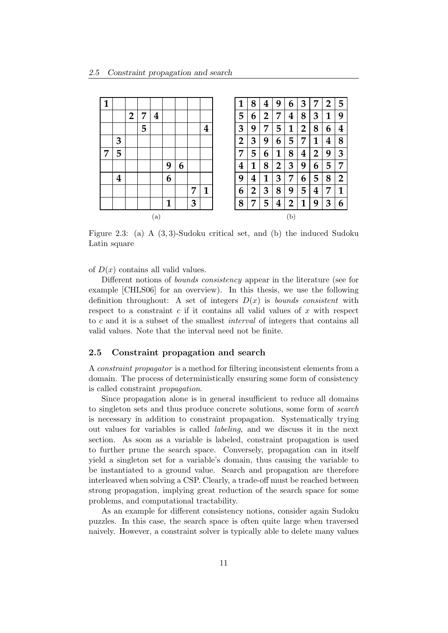| 1 |   |                |   |                         |   |   |   |                  |
|---|---|----------------|---|-------------------------|---|---|---|------------------|
|   |   | $\overline{2}$ | 7 | $\overline{\mathbf{4}}$ |   |   |   |                  |
|   |   |                | 5 |                         |   |   |   | $\boldsymbol{4}$ |
|   | 3 |                |   |                         |   |   |   |                  |
| 7 | 5 |                |   |                         |   |   |   |                  |
|   |   |                |   |                         | 9 | 6 |   |                  |
|   | 4 |                |   |                         | 6 |   |   |                  |
|   |   |                |   |                         |   |   | 7 | 1                |
|   |   |                |   |                         | 1 |   | 3 |                  |
|   |   |                |   | (a)                     |   |   |   |                  |

Figure 2.3: (a) A (3, 3)-Sudoku critical set, and (b) the induced Sudoku Latin square

of  $D(x)$  contains all valid values.

Different notions of bounds consistency appear in the literature (see for example [CHLS06] for an overview). In this thesis, we use the following definition throughout: A set of integers  $D(x)$  is *bounds consistent* with respect to a constraint  $c$  if it contains all valid values of  $x$  with respect to c and it is a subset of the smallest interval of integers that contains all valid values. Note that the interval need not be finite.

#### 2.5 Constraint propagation and search

A constraint propagator is a method for filtering inconsistent elements from a domain. The process of deterministically ensuring some form of consistency is called constraint propagation.

Since propagation alone is in general insufficient to reduce all domains to singleton sets and thus produce concrete solutions, some form of search is necessary in addition to constraint propagation. Systematically trying out values for variables is called labeling, and we discuss it in the next section. As soon as a variable is labeled, constraint propagation is used to further prune the search space. Conversely, propagation can in itself yield a singleton set for a variable's domain, thus causing the variable to be instantiated to a ground value. Search and propagation are therefore interleaved when solving a CSP. Clearly, a trade-off must be reached between strong propagation, implying great reduction of the search space for some problems, and computational tractability.

As an example for different consistency notions, consider again Sudoku puzzles. In this case, the search space is often quite large when traversed naively. However, a constraint solver is typically able to delete many values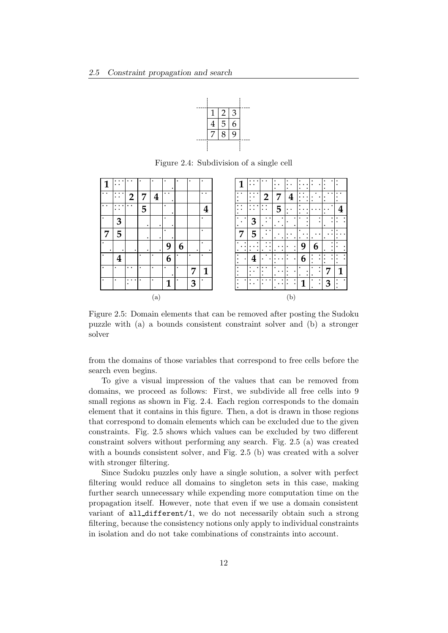

Figure 2.4: Subdivision of a single cell

|                                              | $\cdot$ .<br>٠<br>$\ddot{\phantom{a}}$ | $\bullet$                                |           | ٠                       | ٠                         |   | ٠ | ٠                    |
|----------------------------------------------|----------------------------------------|------------------------------------------|-----------|-------------------------|---------------------------|---|---|----------------------|
| $\bullet\hspace{0.4mm}\bullet\hspace{0.4mm}$ | $\cdots$<br>$\bullet$                  | $\overline{2}$                           | 7         | $\overline{\mathbf{4}}$ | $\ddot{\phantom{0}}$<br>٠ |   |   | $\ddot{\phantom{0}}$ |
| $\bullet\bullet$                             | $\cdots$<br>$\bullet$ $\bullet$        | $\bullet\quad \bullet$                   | 5         |                         | ٠<br>٠                    |   |   | 4                    |
| ٠                                            | 3                                      |                                          | $\bullet$ | ٠                       | ٠<br>٠                    |   |   | ٠                    |
| 7                                            | 5                                      |                                          | ٠         | ٠                       | ٠<br>٠                    |   |   | ٠                    |
| ٠                                            | ٠                                      | ٠                                        | ٠         | ٠                       | 9                         | 6 | ٠ | ٠                    |
| ٠                                            | 4                                      |                                          | ٠         | ٠                       | 6                         | ٠ | ٠ | ٠                    |
| ٠                                            | ٠                                      | $\bullet\hspace{1mm}\bullet\hspace{1mm}$ | ٠         | ٠                       | ٠                         | ٠ | 7 | 1                    |
| $\bullet$                                    | ٠                                      | $\cdots$<br>٠                            | ٠         | ٠                       | 1                         | ٠ | 3 | ٠                    |
|                                              |                                        |                                          |           | (a)                     |                           |   |   |                      |

Figure 2.5: Domain elements that can be removed after posting the Sudoku puzzle with (a) a bounds consistent constraint solver and (b) a stronger solver

from the domains of those variables that correspond to free cells before the search even begins.

To give a visual impression of the values that can be removed from domains, we proceed as follows: First, we subdivide all free cells into 9 small regions as shown in Fig. 2.4. Each region corresponds to the domain element that it contains in this figure. Then, a dot is drawn in those regions that correspond to domain elements which can be excluded due to the given constraints. Fig. 2.5 shows which values can be excluded by two different constraint solvers without performing any search. Fig. 2.5 (a) was created with a bounds consistent solver, and Fig. 2.5 (b) was created with a solver with stronger filtering.

Since Sudoku puzzles only have a single solution, a solver with perfect filtering would reduce all domains to singleton sets in this case, making further search unnecessary while expending more computation time on the propagation itself. However, note that even if we use a domain consistent variant of all different/1, we do not necessarily obtain such a strong filtering, because the consistency notions only apply to individual constraints in isolation and do not take combinations of constraints into account.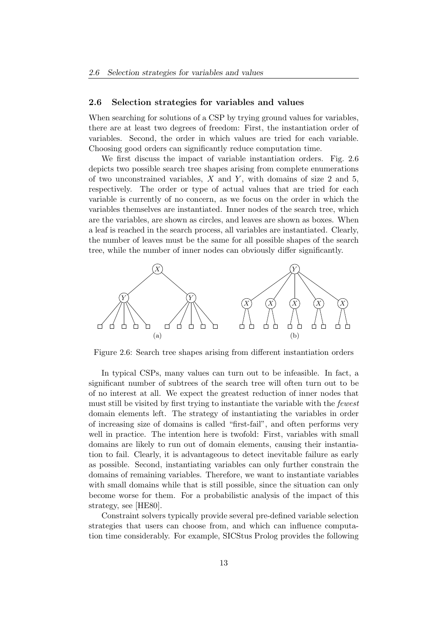#### 2.6 Selection strategies for variables and values

When searching for solutions of a CSP by trying ground values for variables, there are at least two degrees of freedom: First, the instantiation order of variables. Second, the order in which values are tried for each variable. Choosing good orders can significantly reduce computation time.

We first discuss the impact of variable instantiation orders. Fig. 2.6 depicts two possible search tree shapes arising from complete enumerations of two unconstrained variables,  $X$  and  $Y$ , with domains of size 2 and 5, respectively. The order or type of actual values that are tried for each variable is currently of no concern, as we focus on the order in which the variables themselves are instantiated. Inner nodes of the search tree, which are the variables, are shown as circles, and leaves are shown as boxes. When a leaf is reached in the search process, all variables are instantiated. Clearly, the number of leaves must be the same for all possible shapes of the search tree, while the number of inner nodes can obviously differ significantly.



Figure 2.6: Search tree shapes arising from different instantiation orders

In typical CSPs, many values can turn out to be infeasible. In fact, a significant number of subtrees of the search tree will often turn out to be of no interest at all. We expect the greatest reduction of inner nodes that must still be visited by first trying to instantiate the variable with the fewest domain elements left. The strategy of instantiating the variables in order of increasing size of domains is called "first-fail", and often performs very well in practice. The intention here is twofold: First, variables with small domains are likely to run out of domain elements, causing their instantiation to fail. Clearly, it is advantageous to detect inevitable failure as early as possible. Second, instantiating variables can only further constrain the domains of remaining variables. Therefore, we want to instantiate variables with small domains while that is still possible, since the situation can only become worse for them. For a probabilistic analysis of the impact of this strategy, see [HE80].

Constraint solvers typically provide several pre-defined variable selection strategies that users can choose from, and which can influence computation time considerably. For example, SICStus Prolog provides the following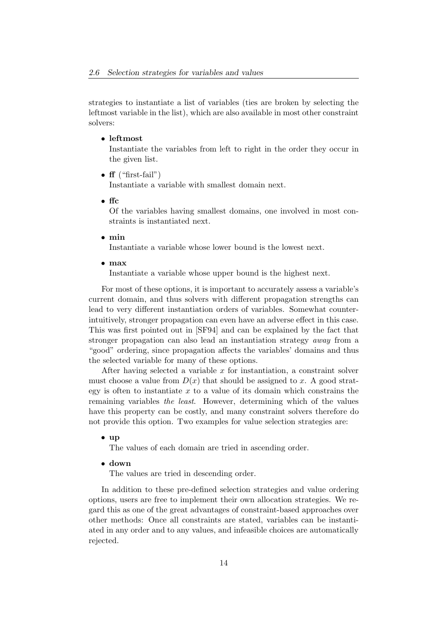strategies to instantiate a list of variables (ties are broken by selecting the leftmost variable in the list), which are also available in most other constraint solvers:

#### • leftmost

Instantiate the variables from left to right in the order they occur in the given list.

•  $f{f}$  ("first-fail")

Instantiate a variable with smallest domain next.

• ffc

Of the variables having smallest domains, one involved in most constraints is instantiated next.

• min

Instantiate a variable whose lower bound is the lowest next.

• max

Instantiate a variable whose upper bound is the highest next.

For most of these options, it is important to accurately assess a variable's current domain, and thus solvers with different propagation strengths can lead to very different instantiation orders of variables. Somewhat counterintuitively, stronger propagation can even have an adverse effect in this case. This was first pointed out in [SF94] and can be explained by the fact that stronger propagation can also lead an instantiation strategy away from a "good" ordering, since propagation affects the variables' domains and thus the selected variable for many of these options.

After having selected a variable  $x$  for instantiation, a constraint solver must choose a value from  $D(x)$  that should be assigned to x. A good strategy is often to instantiate  $x$  to a value of its domain which constrains the remaining variables the least. However, determining which of the values have this property can be costly, and many constraint solvers therefore do not provide this option. Two examples for value selection strategies are:

#### • up

The values of each domain are tried in ascending order.

• down

The values are tried in descending order.

In addition to these pre-defined selection strategies and value ordering options, users are free to implement their own allocation strategies. We regard this as one of the great advantages of constraint-based approaches over other methods: Once all constraints are stated, variables can be instantiated in any order and to any values, and infeasible choices are automatically rejected.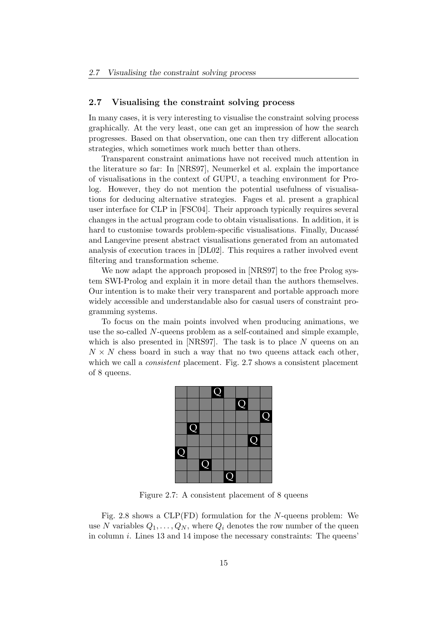#### 2.7 Visualising the constraint solving process

In many cases, it is very interesting to visualise the constraint solving process graphically. At the very least, one can get an impression of how the search progresses. Based on that observation, one can then try different allocation strategies, which sometimes work much better than others.

Transparent constraint animations have not received much attention in the literature so far: In [NRS97], Neumerkel et al. explain the importance of visualisations in the context of GUPU, a teaching environment for Prolog. However, they do not mention the potential usefulness of visualisations for deducing alternative strategies. Fages et al. present a graphical user interface for CLP in [FSC04]. Their approach typically requires several changes in the actual program code to obtain visualisations. In addition, it is hard to customise towards problem-specific visualisations. Finally, Ducassé and Langevine present abstract visualisations generated from an automated analysis of execution traces in [DL02]. This requires a rather involved event filtering and transformation scheme.

We now adapt the approach proposed in [NRS97] to the free Prolog system SWI-Prolog and explain it in more detail than the authors themselves. Our intention is to make their very transparent and portable approach more widely accessible and understandable also for casual users of constraint programming systems.

To focus on the main points involved when producing animations, we use the so-called N-queens problem as a self-contained and simple example, which is also presented in [NRS97]. The task is to place  $N$  queens on an  $N \times N$  chess board in such a way that no two queens attack each other, which we call a *consistent* placement. Fig. 2.7 shows a consistent placement of 8 queens.



Figure 2.7: A consistent placement of 8 queens

Fig. 2.8 shows a CLP(FD) formulation for the N-queens problem: We use N variables  $Q_1, \ldots, Q_N$ , where  $Q_i$  denotes the row number of the queen in column  $i$ . Lines 13 and 14 impose the necessary constraints: The queens'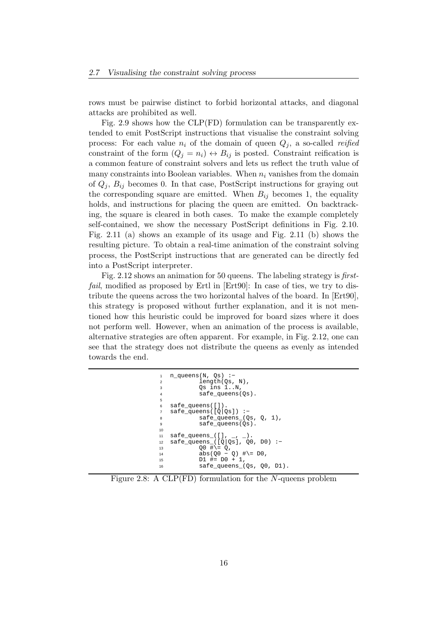rows must be pairwise distinct to forbid horizontal attacks, and diagonal attacks are prohibited as well.

Fig. 2.9 shows how the CLP(FD) formulation can be transparently extended to emit PostScript instructions that visualise the constraint solving process: For each value  $n_i$  of the domain of queen  $Q_i$ , a so-called reified constraint of the form  $(Q_i = n_i) \leftrightarrow B_{ij}$  is posted. Constraint reification is a common feature of constraint solvers and lets us reflect the truth value of many constraints into Boolean variables. When  $n_i$  vanishes from the domain of  $Q_j$ ,  $B_{ij}$  becomes 0. In that case, PostScript instructions for graying out the corresponding square are emitted. When  $B_{ij}$  becomes 1, the equality holds, and instructions for placing the queen are emitted. On backtracking, the square is cleared in both cases. To make the example completely self-contained, we show the necessary PostScript definitions in Fig. 2.10. Fig. 2.11 (a) shows an example of its usage and Fig. 2.11 (b) shows the resulting picture. To obtain a real-time animation of the constraint solving process, the PostScript instructions that are generated can be directly fed into a PostScript interpreter.

Fig. 2.12 shows an animation for 50 queens. The labeling strategy is firstfail, modified as proposed by Ertl in [Ert90]: In case of ties, we try to distribute the queens across the two horizontal halves of the board. In [Ert90], this strategy is proposed without further explanation, and it is not mentioned how this heuristic could be improved for board sizes where it does not perform well. However, when an animation of the process is available, alternative strategies are often apparent. For example, in Fig. 2.12, one can see that the strategy does not distribute the queens as evenly as intended towards the end.

```
n_queens(N, Qs) :-
           length(Qs, N),
           Qs ins 1..N,
           safe_queens(Qs).
5
6 safe_queens([]).
  safe_queens([Q|Qs]) :-
           safe\_queens(Qs, Q, 1),
           safe_queens(Qs).
10
11 safe_queens_([], _, _).
12 safe_queens_([Q|Qs], Q0, D0) :−
13 Q0 \# \ = \ \dot{Q},
14 abs(Q0 − Q) #\= D0,
15 D1 #= D0 + 1,
           safe_queens_(Qs, Q0, D1).
```
Figure 2.8: A CLP(FD) formulation for the N-queens problem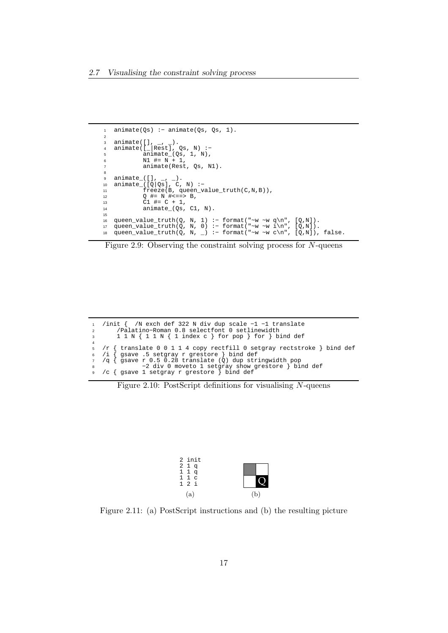```
1 animate(Qs) :− animate(Qs, Qs, 1).
2
3 animate([], _, _).
4 animate([_|Rest], Qs, N) :−
5 animate_(Qs, 1, N),
6 N1 \# = N + 1,
          animate(Rest, Qs, N1).
8
9 animate_([], _, _).
10 animate_([Q|Qs], C, N) :−
11 freeze(B, queen_value_truth(C,N,B)),
12 Q \# = N \# \le = \implies B,
13 C1 #= C + 1,
14 animate_(Qs, C1, N).
15
16 queen_value_truth(Q, N, 1) :- format("~w ~w q\n", [Q,N]).
17 queen_value_truth(Q, N, 0) :− format("~w ~w i\n", [Q,N]).
18 queen_value_truth(Q, N, ) :- format("~w ~w c\n", [Q,N]), false.
```


```
1 /init { /N exch def 322 N div dup scale −1 −1 translate
2 /Palatino−Roman 0.8 selectfont 0 setlinewidth
3 1 1 N { 1 1 N { 1 index c } for pop } for } bind def
4 
5 /r { translate 0 0 1 1 4 copy rectfill 0 setgray rectstroke } bind def
6 /i { gsave .5 setgray r grestore } bind def
7 /q { gsave r 0.5 0.28 translate (Q) dup stringwidth pop
8 −2 div 0 moveto 1 setgray show grestore } bind def
9 /c { gsave 1 setgray r grestore } bind def
```
Figure 2.10: PostScript definitions for visualising  $N$ -queens



Figure 2.11: (a) PostScript instructions and (b) the resulting picture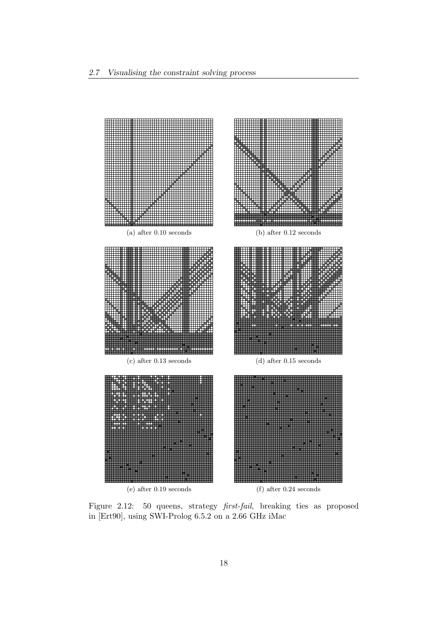

Figure 2.12: 50 queens, strategy first-fail, breaking ties as proposed in [Ert90], using SWI-Prolog 6.5.2 on a 2.66 GHz iMac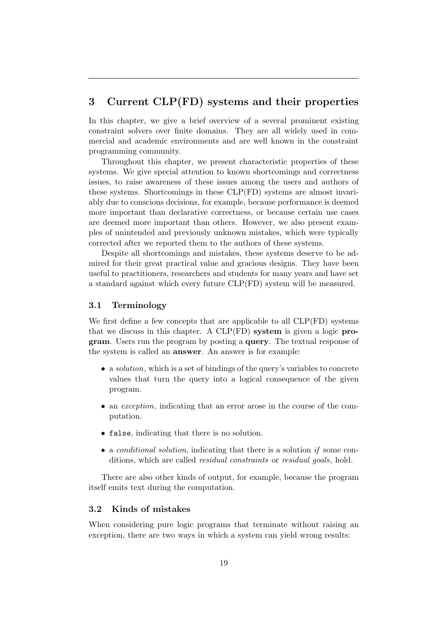## 3 Current CLP(FD) systems and their properties

In this chapter, we give a brief overview of a several prominent existing constraint solvers over finite domains. They are all widely used in commercial and academic environments and are well known in the constraint programming community.

Throughout this chapter, we present characteristic properties of these systems. We give special attention to known shortcomings and correctness issues, to raise awareness of these issues among the users and authors of these systems. Shortcomings in these CLP(FD) systems are almost invariably due to conscious decisions, for example, because performance is deemed more important than declarative correctness, or because certain use cases are deemed more important than others. However, we also present examples of unintended and previously unknown mistakes, which were typically corrected after we reported them to the authors of these systems.

Despite all shortcomings and mistakes, these systems deserve to be admired for their great practical value and gracious designs. They have been useful to practitioners, researchers and students for many years and have set a standard against which every future CLP(FD) system will be measured.

#### 3.1 Terminology

We first define a few concepts that are applicable to all CLP(FD) systems that we discuss in this chapter. A CLP(FD) system is given a logic program. Users run the program by posting a query. The textual response of the system is called an answer. An answer is for example:

- a *solution*, which is a set of bindings of the query's variables to concrete values that turn the query into a logical consequence of the given program.
- an *exception*, indicating that an error arose in the course of the computation.
- false, indicating that there is no solution.
- a *conditional solution*, indicating that there is a solution *if* some conditions, which are called *residual constraints* or *residual goals*, hold.

There are also other kinds of output, for example, because the program itself emits text during the computation.

## 3.2 Kinds of mistakes

When considering pure logic programs that terminate without raising an exception, there are two ways in which a system can yield wrong results: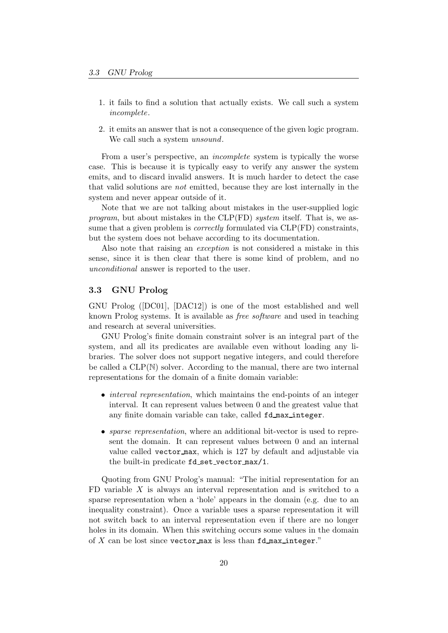- 1. it fails to find a solution that actually exists. We call such a system incomplete.
- 2. it emits an answer that is not a consequence of the given logic program. We call such a system *unsound*.

From a user's perspective, an incomplete system is typically the worse case. This is because it is typically easy to verify any answer the system emits, and to discard invalid answers. It is much harder to detect the case that valid solutions are not emitted, because they are lost internally in the system and never appear outside of it.

Note that we are not talking about mistakes in the user-supplied logic program, but about mistakes in the CLP(FD) system itself. That is, we assume that a given problem is *correctly* formulated via CLP(FD) constraints, but the system does not behave according to its documentation.

Also note that raising an exception is not considered a mistake in this sense, since it is then clear that there is some kind of problem, and no unconditional answer is reported to the user.

### 3.3 GNU Prolog

GNU Prolog ([DC01], [DAC12]) is one of the most established and well known Prolog systems. It is available as free software and used in teaching and research at several universities.

GNU Prolog's finite domain constraint solver is an integral part of the system, and all its predicates are available even without loading any libraries. The solver does not support negative integers, and could therefore be called a  $CLP(N)$  solver. According to the manual, there are two internal representations for the domain of a finite domain variable:

- *interval representation*, which maintains the end-points of an integer interval. It can represent values between 0 and the greatest value that any finite domain variable can take, called fd max integer.
- *sparse representation*, where an additional bit-vector is used to represent the domain. It can represent values between 0 and an internal value called vector max, which is 127 by default and adjustable via the built-in predicate fd set vector max/1.

Quoting from GNU Prolog's manual: "The initial representation for an FD variable  $X$  is always an interval representation and is switched to a sparse representation when a 'hole' appears in the domain (e.g. due to an inequality constraint). Once a variable uses a sparse representation it will not switch back to an interval representation even if there are no longer holes in its domain. When this switching occurs some values in the domain of  $X$  can be lost since vector max is less than  $fd$  max integer."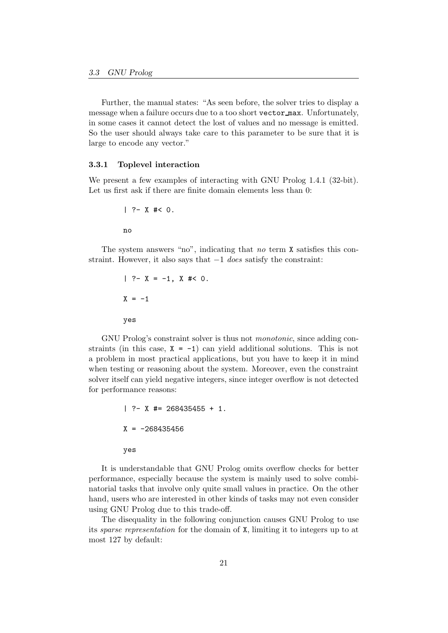Further, the manual states: "As seen before, the solver tries to display a message when a failure occurs due to a too short vector max. Unfortunately, in some cases it cannot detect the lost of values and no message is emitted. So the user should always take care to this parameter to be sure that it is large to encode any vector."

#### 3.3.1 Toplevel interaction

We present a few examples of interacting with GNU Prolog 1.4.1 (32-bit). Let us first ask if there are finite domain elements less than 0:

$$
| ?- X \nless 0.
$$
no

The system answers "no", indicating that no term X satisfies this constraint. However, it also says that  $-1$  does satisfy the constraint:

$$
| ?- X = -1, X #< 0.
$$
  
 $X = -1$   
*yes*

GNU Prolog's constraint solver is thus not monotonic, since adding constraints (in this case,  $X = -1$ ) can yield additional solutions. This is not a problem in most practical applications, but you have to keep it in mind when testing or reasoning about the system. Moreover, even the constraint solver itself can yield negative integers, since integer overflow is not detected for performance reasons:

```
| ?- X #= 268435455 + 1.
X = -268435456yes
```
It is understandable that GNU Prolog omits overflow checks for better performance, especially because the system is mainly used to solve combinatorial tasks that involve only quite small values in practice. On the other hand, users who are interested in other kinds of tasks may not even consider using GNU Prolog due to this trade-off.

The disequality in the following conjunction causes GNU Prolog to use its sparse representation for the domain of X, limiting it to integers up to at most 127 by default: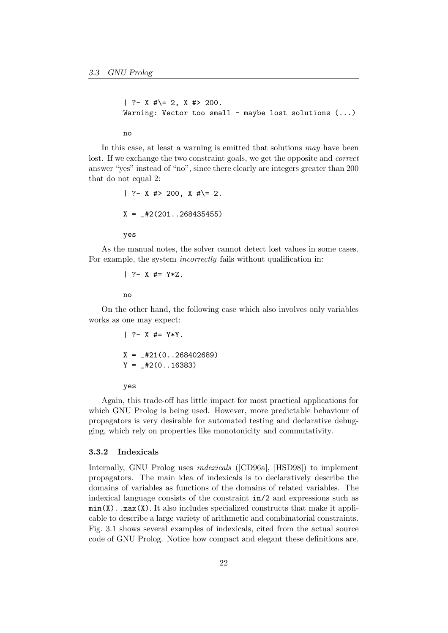```
| ?- X #\= 2, X #> 200.
Warning: Vector too small - maybe lost solutions (\ldots)
```
no

In this case, at least a warning is emitted that solutions may have been lost. If we exchange the two constraint goals, we get the opposite and correct answer "yes" instead of "no", since there clearly are integers greater than 200 that do not equal 2:

$$
?
$$
 - X  $\#$  > 200, X  $\#$  = 2.  
X =  $\_ \#2(201..268435455)$   
yes

As the manual notes, the solver cannot detect lost values in some cases. For example, the system *incorrectly* fails without qualification in:

$$
|- ? - X # = Y*Z.
$$

no

On the other hand, the following case which also involves only variables works as one may expect:

$$
?
$$
 - X #= Y\*Y.  
\nX = \_#21(0..268402689)  
\nY = \_#2(0..16383)

yes

Again, this trade-off has little impact for most practical applications for which GNU Prolog is being used. However, more predictable behaviour of propagators is very desirable for automated testing and declarative debugging, which rely on properties like monotonicity and commutativity.

#### 3.3.2 Indexicals

Internally, GNU Prolog uses indexicals ([CD96a], [HSD98]) to implement propagators. The main idea of indexicals is to declaratively describe the domains of variables as functions of the domains of related variables. The indexical language consists of the constraint in/2 and expressions such as  $min(X)$ ..max $(X)$ . It also includes specialized constructs that make it applicable to describe a large variety of arithmetic and combinatorial constraints. Fig. 3.1 shows several examples of indexicals, cited from the actual source code of GNU Prolog. Notice how compact and elegant these definitions are.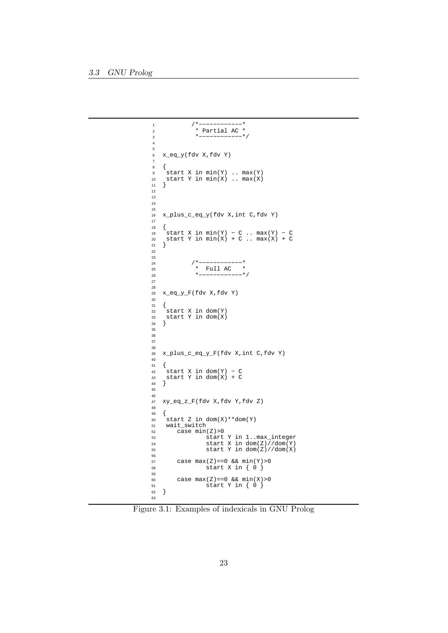```
1 /*−−−−−−−−−−−−<br>2 * Partial AC *
2 * Partial AC *<br>3 *------------*
                   *−−−−−−−−−−−−− */
4
5
    6 x_eq_y(fdv X,fdv Y)
\begin{array}{c} 6 \\ 7 \end{array}\begin{matrix}8\\9\end{matrix} \quad \  \  \, \left\{ \begin{matrix} \\ 2\end{matrix} \right.9 start X in min(Y) .. max(Y)
10 start Y in min(X).. max(X)\begin{bmatrix} 10 \\ 11 \end{bmatrix}12
13
14
15
16 x_plus_c_eq_y(fdv X,int C,fdv Y)
17
\begin{matrix} 18 & \left\{ \\ 19 & \right. \end{matrix}19 start X in min(Y) − C .. max(Y) − C
20 start Y in min(X) + C .. max(X) + C
\begin{bmatrix} 21 \end{bmatrix}22
23
24 / * −−−−−−−−−−− *
25 * Full AC * 
20 *−−−−−−−−−−− */
27
28
    x_eq_y_F(fdv X, fdv Y)30
\begin{array}{c} 31 \\ 32 \end{array}32 start X in dom(Y)
33 start Y in dom(X)
    \big\}\begin{array}{c} 34 \\ 35 \end{array}36
37
38
39 x_plus_c_eq_y_F(fdv X,int C,fdv Y)
\frac{40}{41}\begin{array}{cc} 41 & \left\{ \\ 42 & \right. \end{array}42 start X in dom(Y) − C
43 start Y in dom(X) + C
44 }
45
46
    47 xy_eq_z_F(fdv X,fdv Y,fdv Z)
48
\begin{matrix} 49 &\phantom{0} \end{matrix} \hspace{0.5cm} \Big\{ \vspace{0.5cm} \begin{matrix} 50 & \phantom{0} \end{matrix}50 start Z in dom(X) * dom(Y)<br>51 wait_switch
51 wait_switch<br>52 case min
52 case min(Z) > 0<br>53 start
53 start Y in 1..max_integer
54 start X in dom(Z)//dom(Y)
55 start Y in dom(Z)//dom(X)
56
57 case max(Z) == 0 & min(Y) > 0<br>58 start X in \{ 0 \}start X in \{ 0 \}59
60 case max(Z)==0 && min(X)>0
61 start Y in { 0 }
62}
63
```
Figure 3.1: Examples of indexicals in GNU Prolog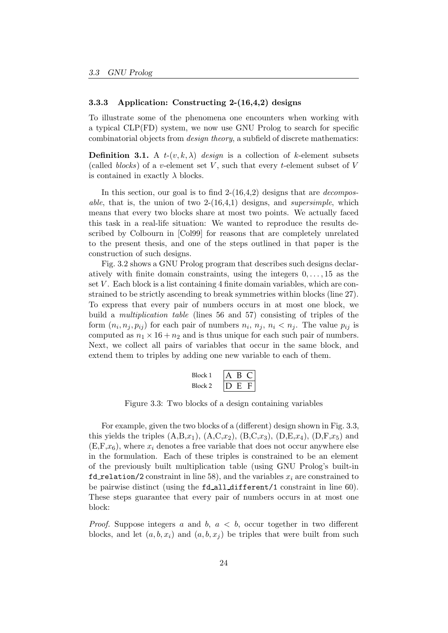#### 3.3.3 Application: Constructing 2-(16,4,2) designs

To illustrate some of the phenomena one encounters when working with a typical CLP(FD) system, we now use GNU Prolog to search for specific combinatorial objects from design theory, a subfield of discrete mathematics:

**Definition 3.1.** A  $t$ - $(v, k, \lambda)$  design is a collection of k-element subsets (called *blocks*) of a v-element set V, such that every t-element subset of V is contained in exactly  $\lambda$  blocks.

In this section, our goal is to find  $2-(16,4,2)$  designs that are *decomposable*, that is, the union of two  $2-(16,4,1)$  designs, and *supersimple*, which means that every two blocks share at most two points. We actually faced this task in a real-life situation: We wanted to reproduce the results described by Colbourn in [Col99] for reasons that are completely unrelated to the present thesis, and one of the steps outlined in that paper is the construction of such designs.

Fig. 3.2 shows a GNU Prolog program that describes such designs declaratively with finite domain constraints, using the integers  $0, \ldots, 15$  as the set  $V$ . Each block is a list containing 4 finite domain variables, which are constrained to be strictly ascending to break symmetries within blocks (line 27). To express that every pair of numbers occurs in at most one block, we build a multiplication table (lines 56 and 57) consisting of triples of the form  $(n_i, n_j, p_{ij})$  for each pair of numbers  $n_i, n_j, n_i < n_j$ . The value  $p_{ij}$  is computed as  $n_1 \times 16 + n_2$  and is thus unique for each such pair of numbers. Next, we collect all pairs of variables that occur in the same block, and extend them to triples by adding one new variable to each of them.

$$
\begin{array}{c|cc}\n\text{Block 1} & A & B & C \\
\hline\n\text{Block 2} & D & E & F\n\end{array}
$$

Figure 3.3: Two blocks of a design containing variables

For example, given the two blocks of a (different) design shown in Fig. 3.3, this yields the triples  $(A,B,x_1), (A,C,x_2), (B,C,x_3), (D,E,x_4), (D,F,x_5)$  and  $(E, F, x_6)$ , where  $x_i$  denotes a free variable that does not occur anywhere else in the formulation. Each of these triples is constrained to be an element of the previously built multiplication table (using GNU Prolog's built-in fd relation/2 constraint in line 58), and the variables  $x_i$  are constrained to be pairwise distinct (using the fd all different/1 constraint in line 60). These steps guarantee that every pair of numbers occurs in at most one block:

*Proof.* Suppose integers a and b,  $a < b$ , occur together in two different blocks, and let  $(a, b, x_i)$  and  $(a, b, x_j)$  be triples that were built from such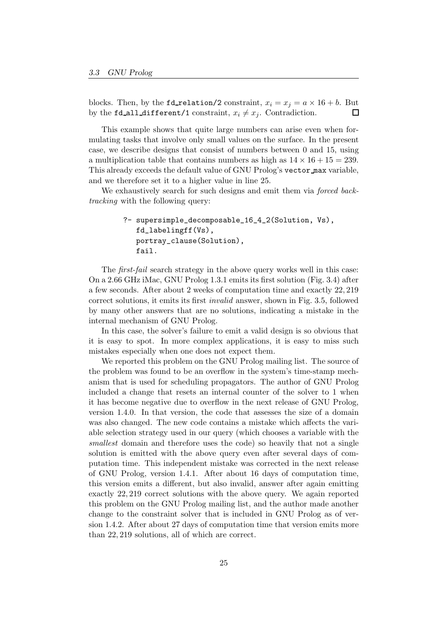blocks. Then, by the **fd\_relation/2** constraint,  $x_i = x_j = a \times 16 + b$ . But by the fd all different/1 constraint,  $x_i \neq x_j$ . Contradiction.  $\Box$ 

This example shows that quite large numbers can arise even when formulating tasks that involve only small values on the surface. In the present case, we describe designs that consist of numbers between 0 and 15, using a multiplication table that contains numbers as high as  $14 \times 16 + 15 = 239$ . This already exceeds the default value of GNU Prolog's vector max variable, and we therefore set it to a higher value in line 25.

We exhaustively search for such designs and emit them via forced backtracking with the following query:

```
?- supersimple_decomposable_16_4_2(Solution, Vs),
   fd_labelingff(Vs),
   portray_clause(Solution),
   fail.
```
The *first-fail* search strategy in the above query works well in this case: On a 2.66 GHz iMac, GNU Prolog 1.3.1 emits its first solution (Fig. 3.4) after a few seconds. After about 2 weeks of computation time and exactly 22, 219 correct solutions, it emits its first invalid answer, shown in Fig. 3.5, followed by many other answers that are no solutions, indicating a mistake in the internal mechanism of GNU Prolog.

In this case, the solver's failure to emit a valid design is so obvious that it is easy to spot. In more complex applications, it is easy to miss such mistakes especially when one does not expect them.

We reported this problem on the GNU Prolog mailing list. The source of the problem was found to be an overflow in the system's time-stamp mechanism that is used for scheduling propagators. The author of GNU Prolog included a change that resets an internal counter of the solver to 1 when it has become negative due to overflow in the next release of GNU Prolog, version 1.4.0. In that version, the code that assesses the size of a domain was also changed. The new code contains a mistake which affects the variable selection strategy used in our query (which chooses a variable with the smallest domain and therefore uses the code) so heavily that not a single solution is emitted with the above query even after several days of computation time. This independent mistake was corrected in the next release of GNU Prolog, version 1.4.1. After about 16 days of computation time, this version emits a different, but also invalid, answer after again emitting exactly 22, 219 correct solutions with the above query. We again reported this problem on the GNU Prolog mailing list, and the author made another change to the constraint solver that is included in GNU Prolog as of version 1.4.2. After about 27 days of computation time that version emits more than 22, 219 solutions, all of which are correct.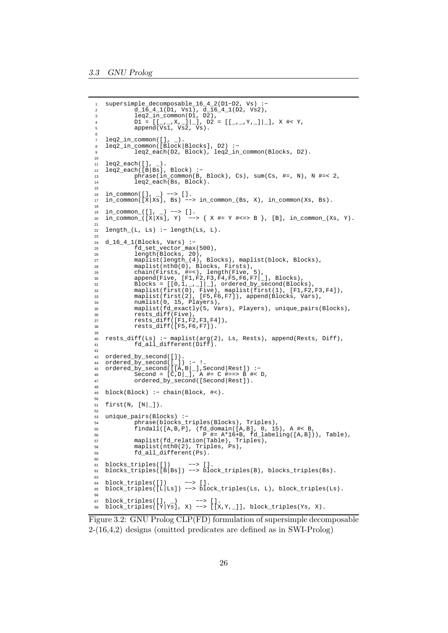```
supersimple_decomposable_16_4_2(D1-D2, Vs) :-
           \overline{d}\_{1}\overline{6}\_{4}\_{1}(\overline{D}1, Vs1), \overline{d}\_{1}\overline{6}\_{4}\_{1}(D2, Vs2),3 leq2_in_common(D1, D2),
4 D1 = [[_,_,X,_]|_], D2 = [[_,_,Y,_]|_], X #< Y,
5 append(Vs1, Vs2, Vs).
6
7 leq2_in_common([], _).
8 leq2_in_common([Block|Blocks], D2) :−
           leq2_each(D2, Block), leq2_in_common(Blocks, D2).
10
   leq2_each([],
12 leq2_each([B|Bs], Block) :−
13 phrase(in_common(B, Block), Cs), sum(Cs, #=, N), N #=< 2,
14 leq2_each(Bs, Block).
15
16 in_common([], _) −−> [].
17 in_common([X|Xs], Bs) −−> in_common_(Bs, X), in_common(Xs, Bs).
18
19 in_common_([], _) −−> [].
20 in_common_([X|Xs], Y) −−> { X #= Y #<=> B }, [B], in_common_(Xs, Y).
21
22 length_(L, Ls) :− length(Ls, L).
23
24 d_16_4_1(Blocks, Vars) :−
25 fd_set_vector_max(500),
26 length(Blocks, 20),
27 maplist(length_(4), Blocks), maplist(block, Blocks),
28 maplist(nth0(0), Blocks, Firsts),
29 chain(Firsts, #=<), length(Five, 5),
30 append(Five, [F1,F2,F3,F4,F5,F6,F7|_], Blocks),
Blocks = \lfloor [0,1,\_,-1] \rfloor \rfloor, ordered_by_second(Blocks),
32 maplist(first(0), Five), maplist(first(1), [F1,F2,F3,F4]),
33 maplist(first(2), [F5,F6,F7]), append(Blocks, Vars),
34 numlist(0, 15, Players),
35 maplist(fd_exactly(5, Vars), Players), unique_pairs(Blocks),
36 rests_diff(Five),<br>37 rests diff([F1,F2
37 rests\overline{diff}(\overline{F1},\overline{F2},\overline{F3},\overline{F4}),<br>38 rests diff(\overline{F5},\overline{F6},\overline{F71}).
           rests diff([F5,F6,F7]).
39
40 rests_diff(Ls) :− maplist(arg(2), Ls, Rests), append(Rests, Diff),
41 fd_all_different(Diff).
42
43 ordered_by_second([]).
44 ordered_by_second([_]) :− !.
45 ordered_by_second([[A,B|_],Second|Rest]) :−
46 Second = [C,D]_{-}, A #= C #==> B #< D,
47 ordered_by_second([Second|Rest]).
48
49 block(Block) :− chain(Block, #<).
50
51 first(N, [N].
52
53 unique_pairs(Blocks) :−
54 phrase(blocks_triples(Blocks), Triples),
55 findall([A,B,P], (fd_domain([A,B], 0, 15), A #< B,
56 P #= A*16+B, fd_labeling([A,B])), Table),
57 maplist(fd_relation(Table), Triples),
58 maplist(nth0(2), Triples, Ps),
59 fd_all_different(Ps).
6061 blocks_triples([]) −−> [].
62 blocks_triples([B|Bs]) −−> block_triples(B), blocks_triples(Bs).
63
64 block_triples([]) −−> [].
65 block_triples([L|Ls]) −−> block_triples(Ls, L), block_triples(Ls).
66
67 block_triples([], _) −−> [].
68 block_triples([Y|Ys], X) −−> [[X,Y,_]], block_triples(Ys, X).
```
Figure 3.2: GNU Prolog CLP(FD) formulation of supersimple decomposable 2-(16,4,2) designs (omitted predicates are defined as in SWI-Prolog)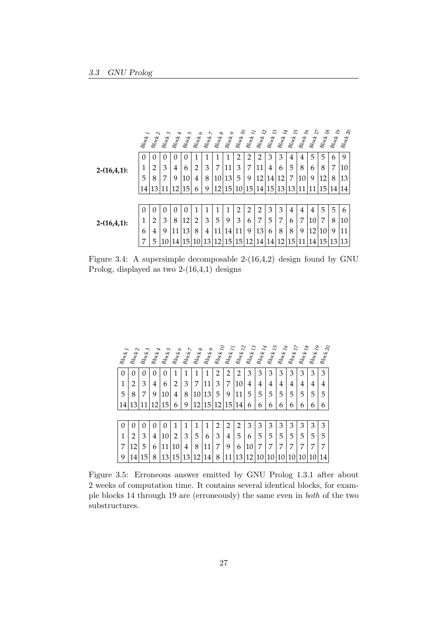|                | $\mathcal{B}l_{\mathcal{O}_{\mathbb{C}\nolimits_{\mathbb{C}}I}}$ | $B_{logk$ 2    | $\mathcal{B}l_{\text{OQ}k}$ $_3$ | $B_{\text{O}}$ ok 4 | $\mathcal{B}l_{\mathcal{O}_{\mathbb{C}\pmb{\ell}}}$ 5 | $\ensuremath{^{B\!{log}}}\xspace_{\delta}$ | $B_{\rm log}$ $>$ | $\mathcal{B}_{\text{log}_\mathcal{B}}$ | $\mathcal{B}l_{\text{Oc}}$ | $\stackrel{B\!I_{O{\mathbb Q}}}{\sim} I_O$ | $\stackrel{B_{\mbox{\scriptsize{log}}}}{\sim} I_I$ | $\stackrel{B_0}{\sim}_{{\cal C}\hspace{-.1em}\ell} \hspace{.1em} \times \hspace{.1em} {\cal D}$ | $\stackrel{B_0}{\sim}$ $\stackrel{I_3}{\sim}$ | $\stackrel{B_{{\cal I}_{\rm O}}}{\sim}{}_{I_4}$ | $\ensuremath{\mathcal{B}\!}\xspace_{\mathit{O}\xspace\mathit{C}\xspace\mathit{K}}$ $_{I5}$ | $\stackrel{B\!f}_{\,QQ\!f}_{\!k}$ $I_{\!6}$ |    | $\stackrel{B\!I_{O{\rm C}\!k}}{d}I_8$ | $\stackrel{B\!f}_{\,}{{\cal O}}\nolimits_{C\! \not \! k \, \, Ig}$ | $\mathcal{B}l_{\text{Oc}}$ $\mathcal{C}$ |
|----------------|------------------------------------------------------------------|----------------|----------------------------------|---------------------|-------------------------------------------------------|--------------------------------------------|-------------------|----------------------------------------|----------------------------|--------------------------------------------|----------------------------------------------------|-------------------------------------------------------------------------------------------------|-----------------------------------------------|-------------------------------------------------|--------------------------------------------------------------------------------------------|---------------------------------------------|----|---------------------------------------|--------------------------------------------------------------------|------------------------------------------|
|                | $\theta$                                                         | 0              | 0                                | 0                   | $\theta$                                              |                                            |                   |                                        |                            | $\overline{2}$                             | $\overline{2}$                                     | 2                                                                                               | 3                                             | 3                                               | 4                                                                                          | 4                                           | 5  | 5                                     | 6                                                                  | 9                                        |
| $2-(16,4,1)$ : | 1                                                                | $\overline{2}$ | 3                                | 4                   | 6                                                     | $\overline{2}$                             | 3                 | 7                                      | 11                         | 3                                          | 7                                                  | 11                                                                                              | 4                                             | 6                                               | 5                                                                                          | 8                                           | 6  | 8                                     | 7                                                                  | 10                                       |
|                | 5                                                                | 8              | 7                                | 9                   | 10                                                    | 4                                          | 8                 | 10                                     | 13                         | 5                                          | 9                                                  | 12                                                                                              | 14                                            | 12                                              | 7                                                                                          | 10                                          | 9  | 12                                    | 8                                                                  | 13                                       |
|                | 14                                                               | 13             |                                  | 12                  | 15                                                    | 6                                          | q                 | 12                                     | 15                         | 10                                         | 15                                                 | 14                                                                                              | 15                                            | 13                                              | 13                                                                                         |                                             |    | 15                                    | 14                                                                 | 14                                       |
|                |                                                                  |                |                                  |                     |                                                       |                                            |                   |                                        |                            |                                            |                                                    |                                                                                                 |                                               |                                                 |                                                                                            |                                             |    |                                       |                                                                    |                                          |
|                | $\theta$                                                         | $\Omega$       | $\Omega$                         | $\Omega$            | $\Omega$                                              |                                            |                   |                                        |                            | $\overline{2}$                             | 2                                                  | 2                                                                                               | 3                                             | 3                                               | $\overline{4}$                                                                             | 4                                           | 4  | 5                                     | 5                                                                  | 6                                        |
| $2-(16,4,1)$ : | 1                                                                | 2              | 3                                | 8                   | 12                                                    | 2                                          | 3                 | 5                                      | 9                          | 3                                          | 6                                                  | 7                                                                                               | 5                                             | 7                                               | 6                                                                                          | 7                                           | 10 | 7                                     | 8                                                                  | 10                                       |
|                | 6                                                                | 4              | 9                                | 11                  | 13                                                    | 8                                          | 4                 | 11                                     | 14                         | 11                                         | 9                                                  | 13                                                                                              | 6                                             | 8                                               | 8                                                                                          | 9                                           | 12 | 10                                    | 9                                                                  | 11                                       |
|                | 7                                                                | 5              | 10                               | 14                  | 15                                                    | 10                                         | 13                | 12                                     | 15                         | 15                                         | 12                                                 | 14                                                                                              | 14                                            | 12                                              | 15                                                                                         | 11                                          | 14 | 15                                    | 13                                                                 | 13                                       |

Figure 3.4: A supersimple decomposable 2-(16,4,2) design found by GNU Prolog, displayed as two 2-(16,4,1) designs

|                           |                                |                                  |                              | 5                          |                                                        |                    |                                                 |                                              |                                            |                |                                                      |                                |                                    |                                      |                                                                                                     |                                      |                                  |                                    |                     |
|---------------------------|--------------------------------|----------------------------------|------------------------------|----------------------------|--------------------------------------------------------|--------------------|-------------------------------------------------|----------------------------------------------|--------------------------------------------|----------------|------------------------------------------------------|--------------------------------|------------------------------------|--------------------------------------|-----------------------------------------------------------------------------------------------------|--------------------------------------|----------------------------------|------------------------------------|---------------------|
| $\mathcal{B}l_{OQk}$ $_I$ | $\mathcal{B}_{\textit{log}_2}$ | $\mathcal{B}l_{\text{OQ}k}$ $_3$ | $\mathcal{B}l_{OQk$ $_{\AA}$ | $\mathcal{B}_{\text{IQC}}$ | $\mathcal{B}l_{\mathcal{O}_{\mathbb{Q}_K^k}}$ $\delta$ | $Bl_{\rm OQf}$ $>$ | $\mathcal{B}l_{\text{OQ} \xi}$ $_{\mathcal{S}}$ | $\mathcal{B}l_{\text{OQf}}$ $_{\mathcal{G}}$ | $\mathcal{B}l_{\rm OQf}$ $I_{\mathcal{O}}$ |                | $\mathcal{B}l_{\text{OQ}k}$ $\mathcal{I}_{\text{Q}}$ | $\mathcal{B}l_{\rm OQf}$ $I_3$ | $\mathcal{B}l_{\rm OQf}$ $I_{\AA}$ | $\emph{B}l_{\emph{OQ}k}$ $\emph{I5}$ | $\mathcal{B}_{I\hspace{-1pt}O_{\mathrm{C}\hspace{-1pt}c\hspace{-1pt}c\hspace{-1pt}c}}$ $I_{\delta}$ | $\mathcal{B}l_{\rm OQf}$ $_{I\!\!P}$ | $\mathcal{B}l_{\rm OQf}$ $_{Ig}$ | $\mathcal{B}_{\text{Pok}}$ $_{I9}$ | $B_{\text{Pok}}$ 20 |
| $\theta$                  | 0                              | 0                                | 0                            | 0                          | 1                                                      | 1                  |                                                 | 1                                            | 2                                          | 2              | 2                                                    | 3                              | 3                                  | 3                                    | 3                                                                                                   | 3                                    | 3                                | 3                                  | 3                   |
| 1                         | 2                              | 3                                | 4                            | 6                          | 2                                                      | 3                  | 7                                               | 11                                           | 3                                          | 7              | 10                                                   | 4                              | 4                                  | 4                                    | 4                                                                                                   | 4                                    | 4                                | 4                                  | 4                   |
| 5                         | 8                              | 7                                | 9                            | 10                         | 4                                                      | 8                  | 10                                              | 13                                           | 5                                          | 9              | 11                                                   | 5                              | 5                                  | 5                                    | 5                                                                                                   | 5                                    | 5                                | 5                                  | 5                   |
| 14                        | 13                             |                                  | 12                           | 15                         | 6                                                      | 9                  | 12                                              | 15                                           | 2                                          | 15             | 14                                                   | 6                              | 6                                  | 6                                    | 6                                                                                                   | 6                                    | 6                                | 6                                  | 6                   |
|                           |                                |                                  |                              |                            |                                                        |                    |                                                 |                                              |                                            |                |                                                      |                                |                                    |                                      |                                                                                                     |                                      |                                  |                                    |                     |
| $\theta$                  | 0                              | 0                                | 0                            | 0                          | 1                                                      |                    |                                                 |                                              | 2                                          | $\overline{2}$ | 2                                                    | 3                              | 3                                  | 3                                    | 3                                                                                                   | 3                                    | 3                                | 3                                  | 3                   |
| 1                         | 2                              | 3                                | 4                            | 10                         | 2                                                      | 3                  | 5                                               | 6                                            | 3                                          | 4              | 5                                                    | 6                              | 5                                  | 5                                    | 5                                                                                                   | 5                                    | 5                                | 5                                  | 5                   |
| 7                         | 12                             | 5                                | 6                            | 11                         | $10\,$                                                 | 4                  | 8                                               | 11                                           | 7                                          | 9              | 6                                                    | 10                             | 7                                  | 7                                    | 7                                                                                                   | 7                                    | 7                                | 7                                  | 7                   |
| 9                         | 14                             | 15                               | 8                            | 13                         | 15                                                     | 13                 | 12                                              | 14                                           | 8                                          | 11             | 13                                                   | 12                             | 10                                 | 10                                   | 10                                                                                                  | 10                                   | 10                               | 10                                 | 14                  |

Figure 3.5: Erroneous answer emitted by GNU Prolog 1.3.1 after about 2 weeks of computation time. It contains several identical blocks, for example blocks 14 through 19 are (erroneously) the same even in both of the two substructures.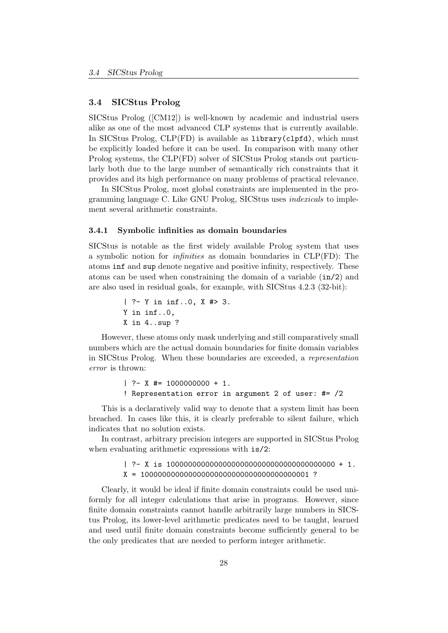## 3.4 SICStus Prolog

SICStus Prolog ([CM12]) is well-known by academic and industrial users alike as one of the most advanced CLP systems that is currently available. In SICStus Prolog, CLP(FD) is available as library(clpfd), which must be explicitly loaded before it can be used. In comparison with many other Prolog systems, the CLP(FD) solver of SICStus Prolog stands out particularly both due to the large number of semantically rich constraints that it provides and its high performance on many problems of practical relevance.

In SICStus Prolog, most global constraints are implemented in the programming language C. Like GNU Prolog, SICStus uses indexicals to implement several arithmetic constraints.

#### 3.4.1 Symbolic infinities as domain boundaries

SICStus is notable as the first widely available Prolog system that uses a symbolic notion for infinities as domain boundaries in CLP(FD): The atoms inf and sup denote negative and positive infinity, respectively. These atoms can be used when constraining the domain of a variable (in/2) and are also used in residual goals, for example, with SICStus 4.2.3 (32-bit):

> | ?- Y in inf..0, X #> 3. Y in inf..0, X in 4..sup ?

However, these atoms only mask underlying and still comparatively small numbers which are the actual domain boundaries for finite domain variables in SICStus Prolog. When these boundaries are exceeded, a representation error is thrown:

```
| ? - X | \neq 1000000000 + 1.! Representation error in argument 2 of user: #= /2
```
This is a declaratively valid way to denote that a system limit has been breached. In cases like this, it is clearly preferable to silent failure, which indicates that no solution exists.

In contrast, arbitrary precision integers are supported in SICStus Prolog when evaluating arithmetic expressions with  $is/2$ :

> | ?- X is 100000000000000000000000000000000000000 + 1. X = 100000000000000000000000000000000000001 ?

Clearly, it would be ideal if finite domain constraints could be used uniformly for all integer calculations that arise in programs. However, since finite domain constraints cannot handle arbitrarily large numbers in SICStus Prolog, its lower-level arithmetic predicates need to be taught, learned and used until finite domain constraints become sufficiently general to be the only predicates that are needed to perform integer arithmetic.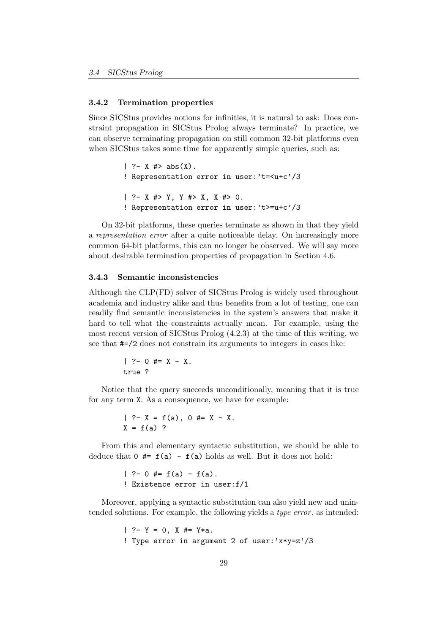#### 3.4.2 Termination properties

Since SICStus provides notions for infinities, it is natural to ask: Does constraint propagation in SICStus Prolog always terminate? In practice, we can observe terminating propagation on still common 32-bit platforms even when SICStus takes some time for apparently simple queries, such as:

```
| ?- X #> abs(X).
! Representation error in user:'t=<u+c'/3
| ?- X #> Y, Y #> X, X #> 0.
! Representation error in user:'t>=u+c'/3
```
On 32-bit platforms, these queries terminate as shown in that they yield a representation error after a quite noticeable delay. On increasingly more common 64-bit platforms, this can no longer be observed. We will say more about desirable termination properties of propagation in Section 4.6.

#### 3.4.3 Semantic inconsistencies

Although the CLP(FD) solver of SICStus Prolog is widely used throughout academia and industry alike and thus benefits from a lot of testing, one can readily find semantic inconsistencies in the system's answers that make it hard to tell what the constraints actually mean. For example, using the most recent version of SICStus Prolog (4.2.3) at the time of this writing, we see that #=/2 does not constrain its arguments to integers in cases like:

> $| ? - 0 # = X - X.$ true ?

Notice that the query succeeds unconditionally, meaning that it is true for any term X. As a consequence, we have for example:

> | ?-  $X = f(a)$ , 0 #=  $X - X$ .  $X = f(a)$  ?

From this and elementary syntactic substitution, we should be able to deduce that  $0 \neq f(a) - f(a)$  holds as well. But it does not hold:

> | ?- 0 #=  $f(a) - f(a)$ . ! Existence error in user:f/1

Moreover, applying a syntactic substitution can also yield new and unintended solutions. For example, the following yields a *type error*, as intended:

```
| ? - Y = 0, X # = Y*a.! Type error in argument 2 of user:'x*y=z'/3
```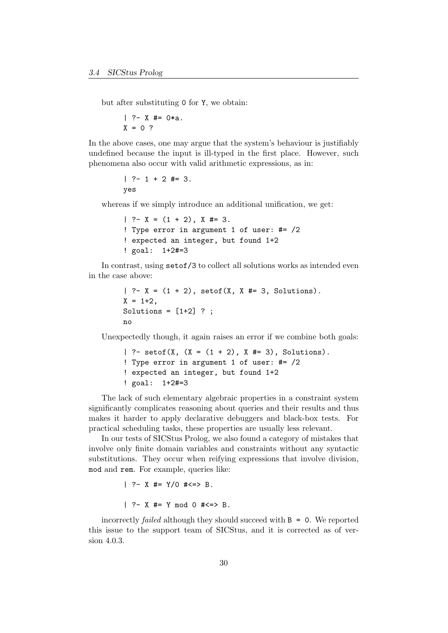but after substituting 0 for Y, we obtain:

 $| ?- X #= 0*a.$  $X = 0$  ?

In the above cases, one may argue that the system's behaviour is justifiably undefined because the input is ill-typed in the first place. However, such phenomena also occur with valid arithmetic expressions, as in:

$$
| ?- 1 + 2 #= 3.
$$
  
yes

whereas if we simply introduce an additional unification, we get:

```
| ?- X = (1 + 2), X \neq 3.
! Type error in argument 1 of user: #= /2
! expected an integer, but found 1+2
! goal: 1+2#=3
```
In contrast, using setof/3 to collect all solutions works as intended even in the case above:

```
| ? - X = (1 + 2), setof(X, X #= 3, Solutions).
X = 1 + 2.
Solutions = [1+2] ?;
no
```
Unexpectedly though, it again raises an error if we combine both goals:

```
| ?- setof(X, (X = (1 + 2), X \neq 3), Solutions).
! Type error in argument 1 of user: #= /2
! expected an integer, but found 1+2
! goal: 1+2#=3
```
The lack of such elementary algebraic properties in a constraint system significantly complicates reasoning about queries and their results and thus makes it harder to apply declarative debuggers and black-box tests. For practical scheduling tasks, these properties are usually less relevant.

In our tests of SICStus Prolog, we also found a category of mistakes that involve only finite domain variables and constraints without any syntactic substitutions. They occur when reifying expressions that involve division, mod and rem. For example, queries like:

```
| ? - X | \neq = Y / 0 | \neq \leq > B.
| ? - X | \neq Y mod 0 \neq <=> B.
```
incorrectly *failed* although they should succeed with  $B = 0$ . We reported this issue to the support team of SICStus, and it is corrected as of version 4.0.3.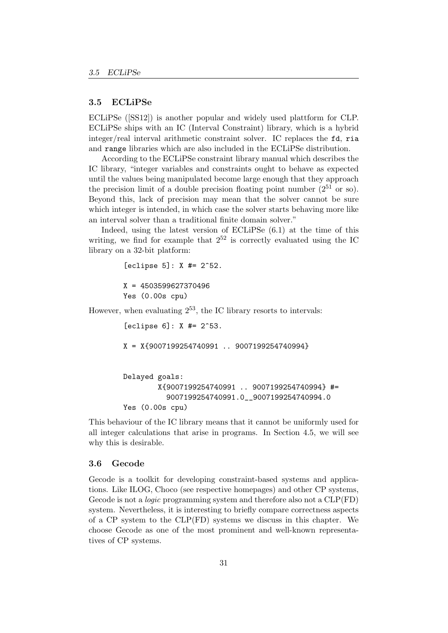## 3.5 ECLiPSe

ECLiPSe ([SS12]) is another popular and widely used plattform for CLP. ECLiPSe ships with an IC (Interval Constraint) library, which is a hybrid integer/real interval arithmetic constraint solver. IC replaces the fd, ria and range libraries which are also included in the ECLiPSe distribution.

According to the ECLiPSe constraint library manual which describes the IC library, "integer variables and constraints ought to behave as expected until the values being manipulated become large enough that they approach the precision limit of a double precision floating point number  $(2^{51} \text{ or so}).$ Beyond this, lack of precision may mean that the solver cannot be sure which integer is intended, in which case the solver starts behaving more like an interval solver than a traditional finite domain solver."

Indeed, using the latest version of ECLiPSe (6.1) at the time of this writing, we find for example that  $2^{52}$  is correctly evaluated using the IC library on a 32-bit platform:

```
[eclipse 5]: X #= 2^52.X = 4503599627370496
         Yes (0.00s cpu)
However, when evaluating 2^{53}, the IC library resorts to intervals:
```
[eclipse 6]: X #= 2^53. X = X{9007199254740991 .. 9007199254740994} Delayed goals: X{9007199254740991 .. 9007199254740994} #= 9007199254740991.0\_\_9007199254740994.0 Yes (0.00s cpu)

This behaviour of the IC library means that it cannot be uniformly used for all integer calculations that arise in programs. In Section 4.5, we will see why this is desirable.

## 3.6 Gecode

Gecode is a toolkit for developing constraint-based systems and applications. Like ILOG, Choco (see respective homepages) and other CP systems, Gecode is not a *logic* programming system and therefore also not a  $CLP(FD)$ system. Nevertheless, it is interesting to briefly compare correctness aspects of a CP system to the CLP(FD) systems we discuss in this chapter. We choose Gecode as one of the most prominent and well-known representatives of CP systems.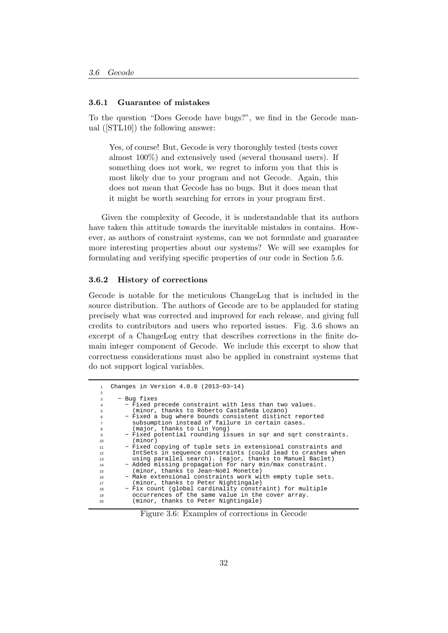## 3.6.1 Guarantee of mistakes

To the question "Does Gecode have bugs?", we find in the Gecode manual ([STL10]) the following answer:

Yes, of course! But, Gecode is very thoroughly tested (tests cover almost 100%) and extensively used (several thousand users). If something does not work, we regret to inform you that this is most likely due to your program and not Gecode. Again, this does not mean that Gecode has no bugs. But it does mean that it might be worth searching for errors in your program first.

Given the complexity of Gecode, it is understandable that its authors have taken this attitude towards the inevitable mistakes in contains. However, as authors of constraint systems, can we not formulate and guarantee more interesting properties about our systems? We will see examples for formulating and verifying specific properties of our code in Section 5.6.

### 3.6.2 History of corrections

Gecode is notable for the meticulous ChangeLog that is included in the source distribution. The authors of Gecode are to be applauded for stating precisely what was corrected and improved for each release, and giving full credits to contributors and users who reported issues. Fig. 3.6 shows an excerpt of a ChangeLog entry that describes corrections in the finite domain integer component of Gecode. We include this excerpt to show that correctness considerations must also be applied in constraint systems that do not support logical variables.

|                | Changes in Version 4.0.0 (2013-03-14)                          |
|----------------|----------------------------------------------------------------|
| 2              |                                                                |
| 3              | - Bug fixes                                                    |
| 4              | - Fixed precede constraint with less than two values.          |
| 5              | (minor, thanks to Roberto Castañeda Lozano)                    |
| 6              | - Fixed a bug where bounds consistent distinct reported        |
| $\overline{7}$ | subsumption instead of failure in certain cases.               |
| 8              | (major, thanks to Lin Yong)                                    |
| 9              | - Fixed potential rounding issues in sqr and sqrt constraints. |
| 10             | (minor)                                                        |
| 11             | - Fixed copying of tuple sets in extensional constraints and   |
| 12             | IntSets in sequence constraints (could lead to crashes when    |
| 13             | using parallel search). (major, thanks to Manuel Baclet)       |
| 14             | - Added missing propagation for nary min/max constraint.       |
| 15             | (minor, thanks to Jean-Noël Monette)                           |
| 16             | - Make extensional constraints work with empty tuple sets.     |
| 17             | (minor, thanks to Peter Nightingale)                           |
| 18             | - Fix count (global cardinality constraint) for multiple       |
| 19             | occurrences of the same value in the cover array.              |
| 20             | (minor, thanks to Peter Nightingale)                           |

Figure 3.6: Examples of corrections in Gecode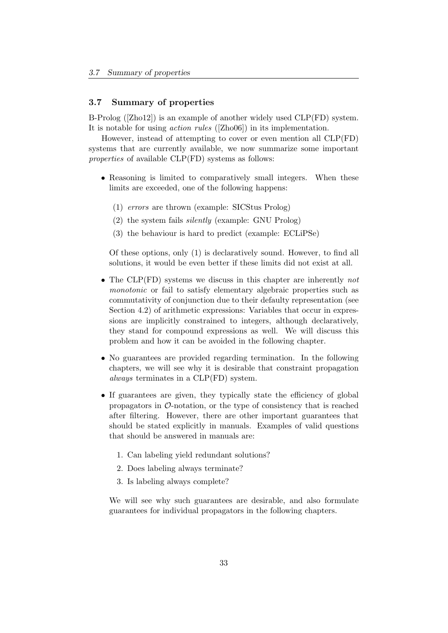## 3.7 Summary of properties

B-Prolog ([Zho12]) is an example of another widely used CLP(FD) system. It is notable for using action rules ([Zho06]) in its implementation.

However, instead of attempting to cover or even mention all CLP(FD) systems that are currently available, we now summarize some important properties of available CLP(FD) systems as follows:

- Reasoning is limited to comparatively small integers. When these limits are exceeded, one of the following happens:
	- (1) errors are thrown (example: SICStus Prolog)
	- (2) the system fails silently (example: GNU Prolog)
	- (3) the behaviour is hard to predict (example: ECLiPSe)

Of these options, only (1) is declaratively sound. However, to find all solutions, it would be even better if these limits did not exist at all.

- The CLP(FD) systems we discuss in this chapter are inherently not monotonic or fail to satisfy elementary algebraic properties such as commutativity of conjunction due to their defaulty representation (see Section 4.2) of arithmetic expressions: Variables that occur in expressions are implicitly constrained to integers, although declaratively, they stand for compound expressions as well. We will discuss this problem and how it can be avoided in the following chapter.
- No guarantees are provided regarding termination. In the following chapters, we will see why it is desirable that constraint propagation always terminates in a CLP(FD) system.
- If guarantees are given, they typically state the efficiency of global propagators in  $\mathcal{O}\text{-notation}$ , or the type of consistency that is reached after filtering. However, there are other important guarantees that should be stated explicitly in manuals. Examples of valid questions that should be answered in manuals are:
	- 1. Can labeling yield redundant solutions?
	- 2. Does labeling always terminate?
	- 3. Is labeling always complete?

We will see why such guarantees are desirable, and also formulate guarantees for individual propagators in the following chapters.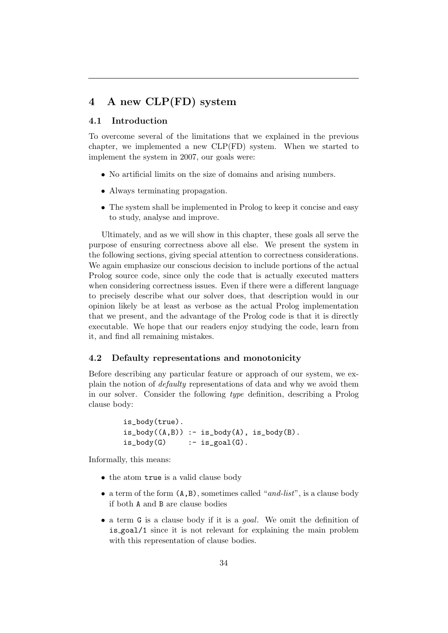# 4 A new CLP(FD) system

## 4.1 Introduction

To overcome several of the limitations that we explained in the previous chapter, we implemented a new CLP(FD) system. When we started to implement the system in 2007, our goals were:

- No artificial limits on the size of domains and arising numbers.
- Always terminating propagation.
- The system shall be implemented in Prolog to keep it concise and easy to study, analyse and improve.

Ultimately, and as we will show in this chapter, these goals all serve the purpose of ensuring correctness above all else. We present the system in the following sections, giving special attention to correctness considerations. We again emphasize our conscious decision to include portions of the actual Prolog source code, since only the code that is actually executed matters when considering correctness issues. Even if there were a different language to precisely describe what our solver does, that description would in our opinion likely be at least as verbose as the actual Prolog implementation that we present, and the advantage of the Prolog code is that it is directly executable. We hope that our readers enjoy studying the code, learn from it, and find all remaining mistakes.

## 4.2 Defaulty representations and monotonicity

Before describing any particular feature or approach of our system, we explain the notion of defaulty representations of data and why we avoid them in our solver. Consider the following type definition, describing a Prolog clause body:

```
is_body(true).
is\_body((A,B)) := is\_body(A), is\_body(B).is\_body(G) :- is\_goal(G).
```
Informally, this means:

- the atom true is a valid clause body
- a term of the form  $(A, B)$ , sometimes called "and-list", is a clause body if both A and B are clause bodies
- a term G is a clause body if it is a goal. We omit the definition of is goal/1 since it is not relevant for explaining the main problem with this representation of clause bodies.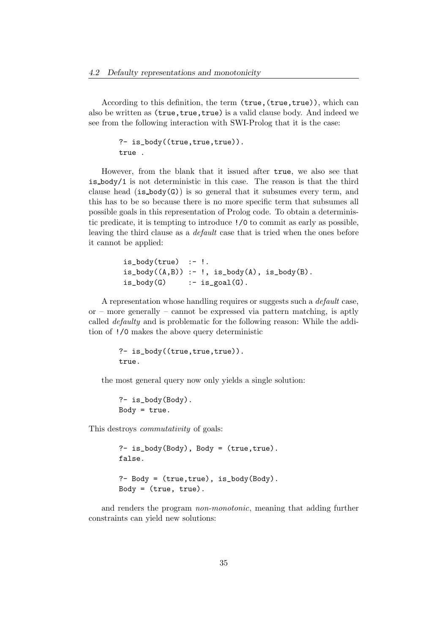According to this definition, the term (true, (true, true)), which can also be written as (true, true, true) is a valid clause body. And indeed we see from the following interaction with SWI-Prolog that it is the case:

```
?- is_body((true,true,true)).
true .
```
However, from the blank that it issued after true, we also see that is body/1 is not deterministic in this case. The reason is that the third clause head  $(is_body(G))$  is so general that it subsumes every term, and this has to be so because there is no more specific term that subsumes all possible goals in this representation of Prolog code. To obtain a deterministic predicate, it is tempting to introduce !/0 to commit as early as possible, leaving the third clause as a default case that is tried when the ones before it cannot be applied:

```
is\_body(true) :-!.
is\_body((A,B)) :- !, is\_body(A), is\_body(B).
is\_body(G) :- is\_goal(G).
```
A representation whose handling requires or suggests such a *default* case. or – more generally – cannot be expressed via pattern matching, is aptly called defaulty and is problematic for the following reason: While the addition of !/0 makes the above query deterministic

```
?- is_body((true,true,true)).
true.
```
the most general query now only yields a single solution:

?- is\_body(Body). Body =  $true.$ 

This destroys commutativity of goals:

```
?- is_body(Body), Body = (true,true).
false.
?- Body = (true,true), is_body(Body).
Body = (true, true).
```
and renders the program non-monotonic, meaning that adding further constraints can yield new solutions: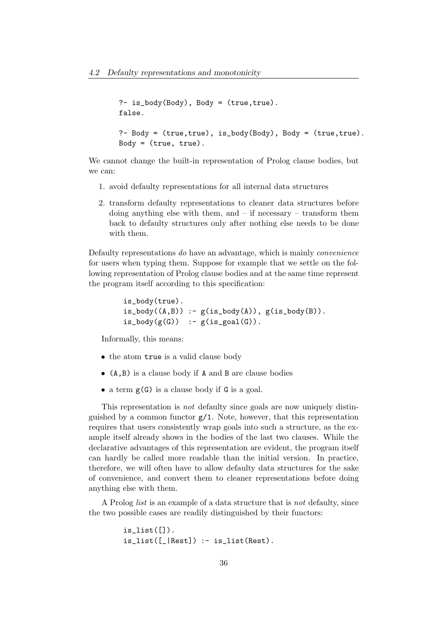```
?- is_body(Body), Body = (true,true).
false.
?- Body = (true,true), is_body(Body), Body = (true,true).
Body = (true, true).
```
We cannot change the built-in representation of Prolog clause bodies, but we can:

- 1. avoid defaulty representations for all internal data structures
- 2. transform defaulty representations to cleaner data structures before doing anything else with them, and  $-$  if necessary  $-$  transform them back to defaulty structures only after nothing else needs to be done with them.

Defaulty representations do have an advantage, which is mainly convenience for users when typing them. Suppose for example that we settle on the following representation of Prolog clause bodies and at the same time represent the program itself according to this specification:

```
is_body(true).
is\_body((A,B)) := g(is\_body(A)), g(is\_body(B)).is\_body(g(G)) :- g(is\_goal(G)).
```
Informally, this means:

- the atom true is a valid clause body
- (A,B) is a clause body if A and B are clause bodies
- a term g(G) is a clause body if G is a goal.

This representation is not defaulty since goals are now uniquely distinguished by a common functor  $g/1$ . Note, however, that this representation requires that users consistently wrap goals into such a structure, as the example itself already shows in the bodies of the last two clauses. While the declarative advantages of this representation are evident, the program itself can hardly be called more readable than the initial version. In practice, therefore, we will often have to allow defaulty data structures for the sake of convenience, and convert them to cleaner representations before doing anything else with them.

A Prolog list is an example of a data structure that is not defaulty, since the two possible cases are readily distinguished by their functors:

```
is\_list([]).
is_list([[]Rest]) :- is_list(Rest).
```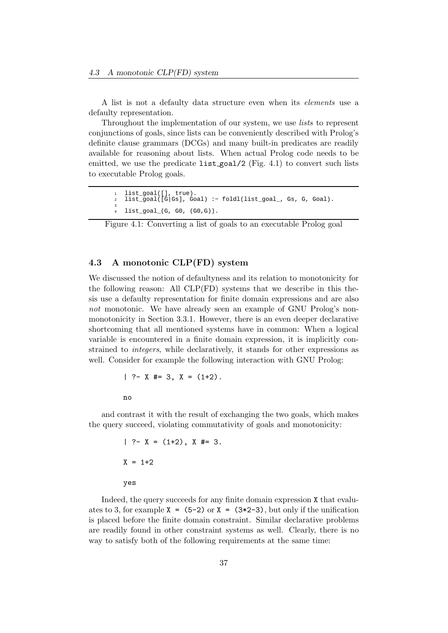A list is not a defaulty data structure even when its elements use a defaulty representation.

Throughout the implementation of our system, we use *lists* to represent conjunctions of goals, since lists can be conveniently described with Prolog's definite clause grammars (DCGs) and many built-in predicates are readily available for reasoning about lists. When actual Prolog code needs to be emitted, we use the predicate  $list_{goal}/2$  (Fig. 4.1) to convert such lists to executable Prolog goals.

```
list_goal([], true).
2 list_goal([G|Gs], Goal) :− foldl(list_goal_, Gs, G, Goal).
3
4 list_goal_(G, G0, (G0,G)).
```
Figure 4.1: Converting a list of goals to an executable Prolog goal

## 4.3 A monotonic CLP(FD) system

We discussed the notion of defaultyness and its relation to monotonicity for the following reason: All CLP(FD) systems that we describe in this thesis use a defaulty representation for finite domain expressions and are also not monotonic. We have already seen an example of GNU Prolog's nonmonotonicity in Section 3.3.1. However, there is an even deeper declarative shortcoming that all mentioned systems have in common: When a logical variable is encountered in a finite domain expression, it is implicitly constrained to integers, while declaratively, it stands for other expressions as well. Consider for example the following interaction with GNU Prolog:

$$
?
$$
  $?$   $?$   $?$   $?$   $+$   $?$   $?$   $?$   $?$   $?$   $?$   $?$   $?$   $?$   $?$   $?$   $?$   $?$   $?$   $?$   $?$   $?$   $?$   $?$   $?$   $?$   $?$   $?$   $?$   $?$   $?$   $?$   $?$   $?$   $?$   $?$   $?$   $?$   $?$   $?$   $?$   $?$   $?$   $?$   $?$   $?$   $?$   $?$   $?$   $?$   $?$   $?$   $?$   $?$   $?$   $?$   $?$   $?$   $?$   $?$   $?$   $?$   $?$   $?$   $?$   $?$   $?$   $?$   $?$   $?$   $?$   $?$   $?$   $?$   $?$   $?$   $?$   $?$   $?$   $?$   $?$   $?$   $?$   $?$   $?$   $?$   $?$   $?$   $?$   $?$   $?$   $?$   $?$   $?$   $?$   $?$   $?$   $?$   $?$   $?$   $?$   $?$   $?$   $?$   $?$   $?$   $?$   $?$   $?$   $?$   $?$   $?$   $?$   $?$   $?$   $?$   $?$   $?$   $?$   $?$   $?$   $?$   $?$   $?$   $?$   $?$ 

no

and contrast it with the result of exchanging the two goals, which makes the query succeed, violating commutativity of goals and monotonicity:

$$
?
$$
 - X = (1+2), X #= 3.  
X = 1+2  
yes

Indeed, the query succeeds for any finite domain expression X that evaluates to 3, for example  $X = (5-2)$  or  $X = (3*2-3)$ , but only if the unification is placed before the finite domain constraint. Similar declarative problems are readily found in other constraint systems as well. Clearly, there is no way to satisfy both of the following requirements at the same time: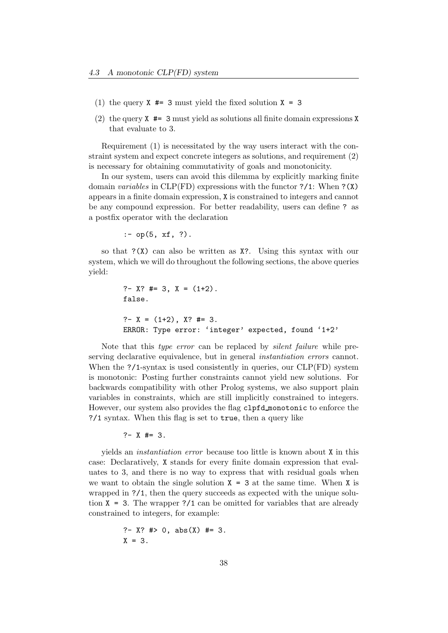- (1) the query  $X \neq 3$  must yield the fixed solution  $X = 3$
- (2) the query  $X \neq 3$  must yield as solutions all finite domain expressions X that evaluate to 3.

Requirement (1) is necessitated by the way users interact with the constraint system and expect concrete integers as solutions, and requirement (2) is necessary for obtaining commutativity of goals and monotonicity.

In our system, users can avoid this dilemma by explicitly marking finite domain variables in CLP(FD) expressions with the functor ?/1: When ?(X) appears in a finite domain expression, X is constrained to integers and cannot be any compound expression. For better readability, users can define ? as a postfix operator with the declaration

 $:$  - op(5, xf, ?).

so that ?(X) can also be written as X?. Using this syntax with our system, which we will do throughout the following sections, the above queries yield:

```
?- X? #= 3, X = (1+2).
false.
?- X = (1+2), X? #= 3.
ERROR: Type error: 'integer' expected, found '1+2'
```
Note that this type error can be replaced by silent failure while preserving declarative equivalence, but in general instantiation errors cannot. When the ?/1-syntax is used consistently in queries, our CLP(FD) system is monotonic: Posting further constraints cannot yield new solutions. For backwards compatibility with other Prolog systems, we also support plain variables in constraints, which are still implicitly constrained to integers. However, our system also provides the flag clpfd monotonic to enforce the ?/1 syntax. When this flag is set to true, then a query like

 $? - X$  #= 3.

yields an instantiation error because too little is known about X in this case: Declaratively, X stands for every finite domain expression that evaluates to 3, and there is no way to express that with residual goals when we want to obtain the single solution  $X = 3$  at the same time. When X is wrapped in ?/1, then the query succeeds as expected with the unique solution  $X = 3$ . The wrapper ?/1 can be omitted for variables that are already constrained to integers, for example:

?- X? #> 0, abs(X) #= 3. X = 3.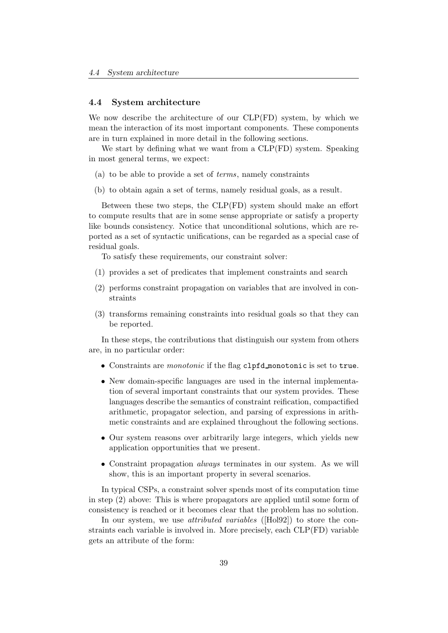### 4.4 System architecture

We now describe the architecture of our CLP(FD) system, by which we mean the interaction of its most important components. These components are in turn explained in more detail in the following sections.

We start by defining what we want from a CLP(FD) system. Speaking in most general terms, we expect:

- (a) to be able to provide a set of terms, namely constraints
- (b) to obtain again a set of terms, namely residual goals, as a result.

Between these two steps, the CLP(FD) system should make an effort to compute results that are in some sense appropriate or satisfy a property like bounds consistency. Notice that unconditional solutions, which are reported as a set of syntactic unifications, can be regarded as a special case of residual goals.

To satisfy these requirements, our constraint solver:

- (1) provides a set of predicates that implement constraints and search
- (2) performs constraint propagation on variables that are involved in constraints
- (3) transforms remaining constraints into residual goals so that they can be reported.

In these steps, the contributions that distinguish our system from others are, in no particular order:

- Constraints are monotonic if the flag clpfd monotonic is set to true.
- New domain-specific languages are used in the internal implementation of several important constraints that our system provides. These languages describe the semantics of constraint reification, compactified arithmetic, propagator selection, and parsing of expressions in arithmetic constraints and are explained throughout the following sections.
- Our system reasons over arbitrarily large integers, which yields new application opportunities that we present.
- Constraint propagation always terminates in our system. As we will show, this is an important property in several scenarios.

In typical CSPs, a constraint solver spends most of its computation time in step (2) above: This is where propagators are applied until some form of consistency is reached or it becomes clear that the problem has no solution.

In our system, we use *attributed variables* ([Hol92]) to store the constraints each variable is involved in. More precisely, each CLP(FD) variable gets an attribute of the form: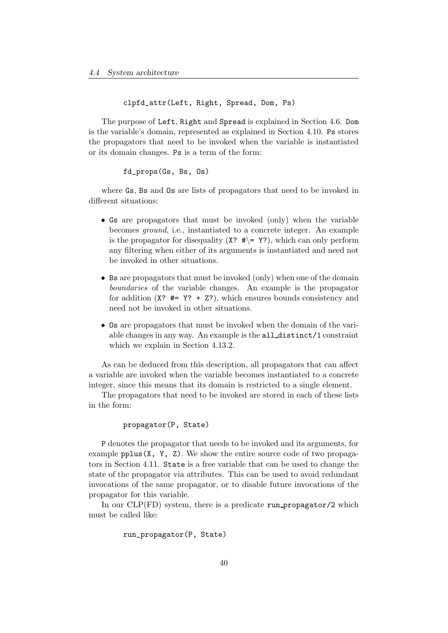```
clpfd_attr(Left, Right, Spread, Dom, Ps)
```
The purpose of Left, Right and Spread is explained in Section 4.6. Dom is the variable's domain, represented as explained in Section 4.10. Ps stores the propagators that need to be invoked when the variable is instantiated or its domain changes. Ps is a term of the form:

## fd\_props(Gs, Bs, Os)

where Gs, Bs and Os are lists of propagators that need to be invoked in different situations:

- Gs are propagators that must be invoked (only) when the variable becomes ground, i.e., instantiated to a concrete integer. An example is the propagator for disequality  $(X^2, \#)= Y^2$ , which can only perform any filtering when either of its arguments is instantiated and need not be invoked in other situations.
- Bs are propagators that must be invoked (only) when one of the domain boundaries of the variable changes. An example is the propagator for addition  $(X^2 \# = Y^2 + Z^2)$ , which ensures bounds consistency and need not be invoked in other situations.
- Os are propagators that must be invoked when the domain of the variable changes in any way. An example is the all distinct/1 constraint which we explain in Section 4.13.2.

As can be deduced from this description, all propagators that can affect a variable are invoked when the variable becomes instantiated to a concrete integer, since this means that its domain is restricted to a single element.

The propagators that need to be invoked are stored in each of these lists in the form:

## propagator(P, State)

P denotes the propagator that needs to be invoked and its arguments, for example  $pplus(X, Y, Z)$ . We show the entire source code of two propagators in Section 4.11. State is a free variable that can be used to change the state of the propagator via attributes. This can be used to avoid redundant invocations of the same propagator, or to disable future invocations of the propagator for this variable.

In our  $CLP(FD)$  system, there is a predicate run propagator/2 which must be called like:

```
run_propagator(P, State)
```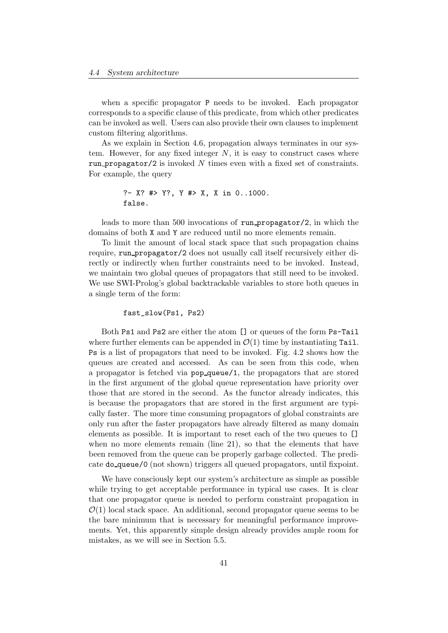when a specific propagator P needs to be invoked. Each propagator corresponds to a specific clause of this predicate, from which other predicates can be invoked as well. Users can also provide their own clauses to implement custom filtering algorithms.

As we explain in Section 4.6, propagation always terminates in our system. However, for any fixed integer  $N$ , it is easy to construct cases where run propagator/2 is invoked  $N$  times even with a fixed set of constraints. For example, the query

```
?- X? #> Y?, Y #> X, X in 0..1000.
false.
```
leads to more than 500 invocations of run propagator/2, in which the domains of both X and Y are reduced until no more elements remain.

To limit the amount of local stack space that such propagation chains require, run propagator/2 does not usually call itself recursively either directly or indirectly when further constraints need to be invoked. Instead, we maintain two global queues of propagators that still need to be invoked. We use SWI-Prolog's global backtrackable variables to store both queues in a single term of the form:

### fast\_slow(Ps1, Ps2)

Both Ps1 and Ps2 are either the atom [] or queues of the form Ps-Tail where further elements can be appended in  $\mathcal{O}(1)$  time by instantiating Tail. Ps is a list of propagators that need to be invoked. Fig. 4.2 shows how the queues are created and accessed. As can be seen from this code, when a propagator is fetched via pop queue/1, the propagators that are stored in the first argument of the global queue representation have priority over those that are stored in the second. As the functor already indicates, this is because the propagators that are stored in the first argument are typically faster. The more time consuming propagators of global constraints are only run after the faster propagators have already filtered as many domain elements as possible. It is important to reset each of the two queues to [] when no more elements remain (line 21), so that the elements that have been removed from the queue can be properly garbage collected. The predicate do queue/0 (not shown) triggers all queued propagators, until fixpoint.

We have consciously kept our system's architecture as simple as possible while trying to get acceptable performance in typical use cases. It is clear that one propagator queue is needed to perform constraint propagation in  $\mathcal{O}(1)$  local stack space. An additional, second propagator queue seems to be the bare minimum that is necessary for meaningful performance improvements. Yet, this apparently simple design already provides ample room for mistakes, as we will see in Section 5.5.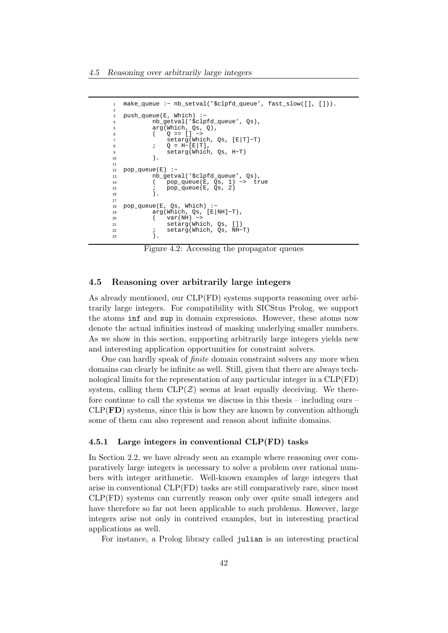```
1 make_queue :− nb_setval('$clpfd_queue', fast_slow([], [])).
2
3 push_queue(E, Which) :−
           4 nb_getval('$clpfd_queue', Qs),
           arg(Which, Qs, Q),
6 ( Q == [] −>
               7 setarg(Which, Qs, [E|T]−T)
8 ; Q = H - [E|T],
9 setarg(Which, Qs, H-T)<br>
10 ).
           ).
11
12 pop_queue(E) :-<br>13 nb gety
           nb_getval('$clpfd_queue', Qs),
14 ( pop_queue(E, Qs, 1) −> true
15 i pop_queue(E, Qs, 2)
16 ).
17
18 pop_queue(E, Qs, Which)<br>19 arg(Which, Os, J
           arg(Which, Qs, [E|NH]-T),
20 ( var(NH) −>
21 setarg(Which, Qs, [])
22 ; setarg(Which, \widetilde{Q}s, NH-T)<br>23 ).
           \lambda.
```
Figure 4.2: Accessing the propagator queues

## 4.5 Reasoning over arbitrarily large integers

As already mentioned, our CLP(FD) systems supports reasoning over arbitrarily large integers. For compatibility with SICStus Prolog, we support the atoms inf and sup in domain expressions. However, these atoms now denote the actual infinities instead of masking underlying smaller numbers. As we show in this section, supporting arbitrarily large integers yields new and interesting application opportunities for constraint solvers.

One can hardly speak of finite domain constraint solvers any more when domains can clearly be infinite as well. Still, given that there are always technological limits for the representation of any particular integer in a CLP(FD) system, calling them  $CLP(\mathcal{Z})$  seems at least equally deceiving. We therefore continue to call the systems we discuss in this thesis – including ours –  $CLP(\mathbf{FD})$  systems, since this is how they are known by convention although some of them can also represent and reason about infinite domains.

#### 4.5.1 Large integers in conventional CLP(FD) tasks

In Section 2.2, we have already seen an example where reasoning over comparatively large integers is necessary to solve a problem over rational numbers with integer arithmetic. Well-known examples of large integers that arise in conventional CLP(FD) tasks are still comparatively rare, since most CLP(FD) systems can currently reason only over quite small integers and have therefore so far not been applicable to such problems. However, large integers arise not only in contrived examples, but in interesting practical applications as well.

For instance, a Prolog library called julian is an interesting practical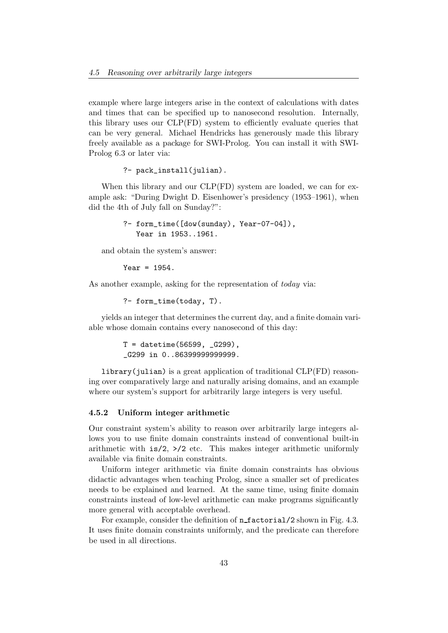example where large integers arise in the context of calculations with dates and times that can be specified up to nanosecond resolution. Internally, this library uses our CLP(FD) system to efficiently evaluate queries that can be very general. Michael Hendricks has generously made this library freely available as a package for SWI-Prolog. You can install it with SWI-Prolog 6.3 or later via:

?- pack install(julian).

When this library and our CLP(FD) system are loaded, we can for example ask: "During Dwight D. Eisenhower's presidency (1953–1961), when did the 4th of July fall on Sunday?":

> ?- form\_time([dow(sunday), Year-07-04]), Year in 1953..1961.

and obtain the system's answer:

Year =  $1954$ .

As another example, asking for the representation of *today* via:

?- form\_time(today, T).

yields an integer that determines the current day, and a finite domain variable whose domain contains every nanosecond of this day:

> $T =$  datetime(56599,  $(G299)$ , \_G299 in 0..86399999999999.

library(julian) is a great application of traditional CLP(FD) reasoning over comparatively large and naturally arising domains, and an example where our system's support for arbitrarily large integers is very useful.

### 4.5.2 Uniform integer arithmetic

Our constraint system's ability to reason over arbitrarily large integers allows you to use finite domain constraints instead of conventional built-in arithmetic with  $is/2$ ,  $>$ /2 etc. This makes integer arithmetic uniformly available via finite domain constraints.

Uniform integer arithmetic via finite domain constraints has obvious didactic advantages when teaching Prolog, since a smaller set of predicates needs to be explained and learned. At the same time, using finite domain constraints instead of low-level arithmetic can make programs significantly more general with acceptable overhead.

For example, consider the definition of **n\_factorial**/2 shown in Fig. 4.3. It uses finite domain constraints uniformly, and the predicate can therefore be used in all directions.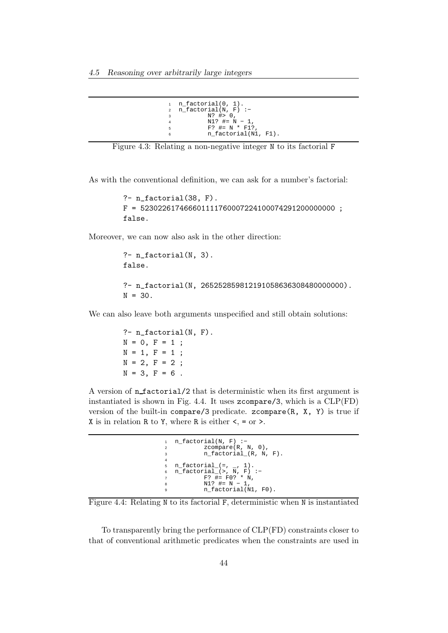```
1 n_factorial(0, 1).<br>2 n factorial(N.F)
  n_factorial(N, F) :-
3 N? #> 0,
4 N1? #= N − 1,
5 F? \# = N * F1?
6 n_factorial(N1, F1).
```


As with the conventional definition, we can ask for a number's factorial:

```
?- n_factorial(38, F).
F = 523022617466601111760007224100074291200000000 ;
false.
```
Moreover, we can now also ask in the other direction:

```
?- n_factorial(N, 3).
false.
?- n_factorial(N, 265252859812191058636308480000000).
N = 30.
```
We can also leave both arguments unspecified and still obtain solutions:

?- n\_factorial(N, F).  $N = 0, F = 1;$  $N = 1, F = 1;$  $N = 2, F = 2;$  $N = 3, F = 6$ .

A version of n factorial/2 that is deterministic when its first argument is instantiated is shown in Fig. 4.4. It uses zcompare/3, which is a CLP(FD) version of the built-in compare/3 predicate. zcompare(R, X, Y) is true if X is in relation R to Y, where R is either  $\lt$ , = or  $\gt$ .

```
n_factorial(N, F) :-
2 zcompare(R, N, 0),
3 n_factorial_(R, N, F).
4
n_{factorial} =, _{-}, 1).
6 n_factorial_(>, N, F) :−
7 F? #= F0? * N,
8 N1? #= N − 1,
9 n_factorial(N1, F0).
```
Figure 4.4: Relating N to its factorial F, deterministic when N is instantiated

To transparently bring the performance of CLP(FD) constraints closer to that of conventional arithmetic predicates when the constraints are used in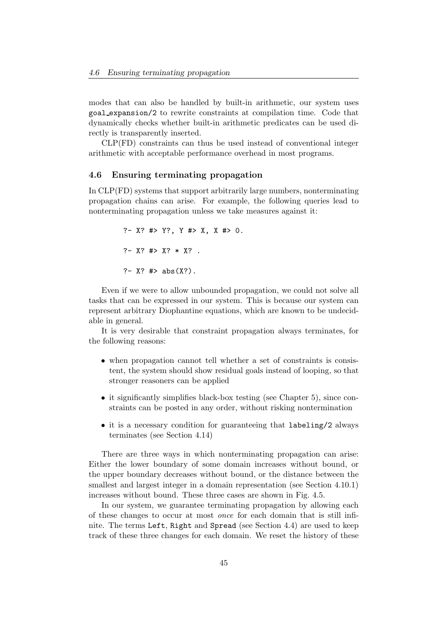modes that can also be handled by built-in arithmetic, our system uses goal expansion/2 to rewrite constraints at compilation time. Code that dynamically checks whether built-in arithmetic predicates can be used directly is transparently inserted.

CLP(FD) constraints can thus be used instead of conventional integer arithmetic with acceptable performance overhead in most programs.

## 4.6 Ensuring terminating propagation

In CLP(FD) systems that support arbitrarily large numbers, nonterminating propagation chains can arise. For example, the following queries lead to nonterminating propagation unless we take measures against it:

```
?- X? #> Y?, Y #> X, X #> 0.
?- X? #> X? * X? .
?- X? #> abs(X?).
```
Even if we were to allow unbounded propagation, we could not solve all tasks that can be expressed in our system. This is because our system can represent arbitrary Diophantine equations, which are known to be undecidable in general.

It is very desirable that constraint propagation always terminates, for the following reasons:

- when propagation cannot tell whether a set of constraints is consistent, the system should show residual goals instead of looping, so that stronger reasoners can be applied
- it significantly simplifies black-box testing (see Chapter 5), since constraints can be posted in any order, without risking nontermination
- it is a necessary condition for guaranteeing that labeling/2 always terminates (see Section 4.14)

There are three ways in which nonterminating propagation can arise: Either the lower boundary of some domain increases without bound, or the upper boundary decreases without bound, or the distance between the smallest and largest integer in a domain representation (see Section 4.10.1) increases without bound. These three cases are shown in Fig. 4.5.

In our system, we guarantee terminating propagation by allowing each of these changes to occur at most once for each domain that is still infinite. The terms Left, Right and Spread (see Section 4.4) are used to keep track of these three changes for each domain. We reset the history of these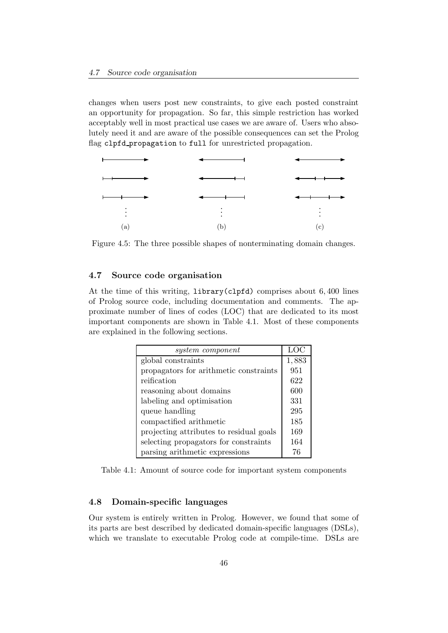changes when users post new constraints, to give each posted constraint an opportunity for propagation. So far, this simple restriction has worked acceptably well in most practical use cases we are aware of. Users who absolutely need it and are aware of the possible consequences can set the Prolog flag clpfd\_propagation to full for unrestricted propagation.



Figure 4.5: The three possible shapes of nonterminating domain changes.

## 4.7 Source code organisation

At the time of this writing, library(clpfd) comprises about 6, 400 lines of Prolog source code, including documentation and comments. The approximate number of lines of codes (LOC) that are dedicated to its most important components are shown in Table 4.1. Most of these components are explained in the following sections.

| system component                        | LOC.  |
|-----------------------------------------|-------|
| global constraints                      | 1,883 |
| propagators for arithmetic constraints  | 951   |
| reification                             | 622   |
| reasoning about domains                 | 600   |
| labeling and optimisation               | 331   |
| queue handling                          | 295   |
| compactified arithmetic                 | 185   |
| projecting attributes to residual goals | 169   |
| selecting propagators for constraints   | 164   |
| parsing arithmetic expressions          | 76    |

Table 4.1: Amount of source code for important system components

## 4.8 Domain-specific languages

Our system is entirely written in Prolog. However, we found that some of its parts are best described by dedicated domain-specific languages (DSLs), which we translate to executable Prolog code at compile-time. DSLs are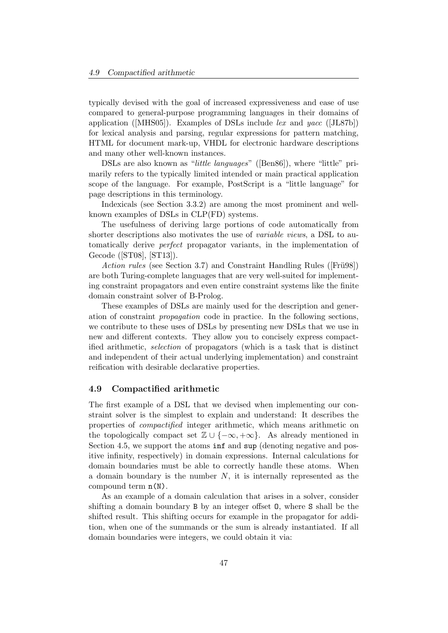typically devised with the goal of increased expressiveness and ease of use compared to general-purpose programming languages in their domains of application ([MHS05]). Examples of DSLs include lex and yacc ([JL87b]) for lexical analysis and parsing, regular expressions for pattern matching, HTML for document mark-up, VHDL for electronic hardware descriptions and many other well-known instances.

DSLs are also known as "little languages" ([Ben86]), where "little" primarily refers to the typically limited intended or main practical application scope of the language. For example, PostScript is a "little language" for page descriptions in this terminology.

Indexicals (see Section 3.3.2) are among the most prominent and wellknown examples of DSLs in CLP(FD) systems.

The usefulness of deriving large portions of code automatically from shorter descriptions also motivates the use of variable views, a DSL to automatically derive perfect propagator variants, in the implementation of Gecode ([ST08], [ST13]).

Action rules (see Section 3.7) and Constraint Handling Rules ([Frügg]) are both Turing-complete languages that are very well-suited for implementing constraint propagators and even entire constraint systems like the finite domain constraint solver of B-Prolog.

These examples of DSLs are mainly used for the description and generation of constraint propagation code in practice. In the following sections, we contribute to these uses of DSLs by presenting new DSLs that we use in new and different contexts. They allow you to concisely express compactified arithmetic, selection of propagators (which is a task that is distinct and independent of their actual underlying implementation) and constraint reification with desirable declarative properties.

### 4.9 Compactified arithmetic

The first example of a DSL that we devised when implementing our constraint solver is the simplest to explain and understand: It describes the properties of compactified integer arithmetic, which means arithmetic on the topologically compact set  $\mathbb{Z} \cup \{-\infty, +\infty\}$ . As already mentioned in Section 4.5, we support the atoms inf and sup (denoting negative and positive infinity, respectively) in domain expressions. Internal calculations for domain boundaries must be able to correctly handle these atoms. When a domain boundary is the number  $N$ , it is internally represented as the compound term n(N).

As an example of a domain calculation that arises in a solver, consider shifting a domain boundary B by an integer offset O, where S shall be the shifted result. This shifting occurs for example in the propagator for addition, when one of the summands or the sum is already instantiated. If all domain boundaries were integers, we could obtain it via: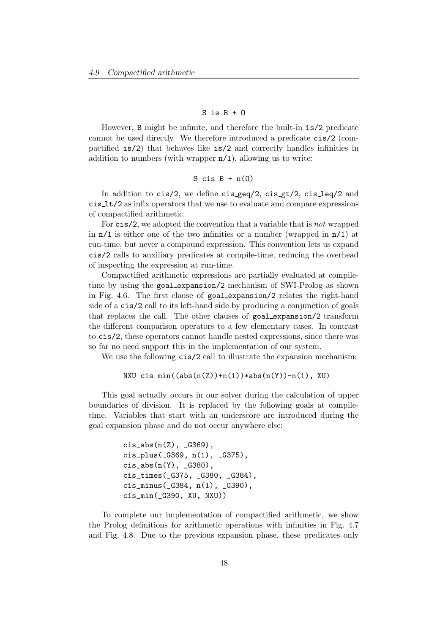## $S$  is  $B + 0$

However, B might be infinite, and therefore the built-in is/2 predicate cannot be used directly. We therefore introduced a predicate cis/2 (compactified is/2) that behaves like is/2 and correctly handles infinities in addition to numbers (with wrapper  $n/1$ ), allowing us to write:

## S cis  $B + n(0)$

In addition to  $cis/2$ , we define  $cis\_geq/2$ ,  $cis\_gt/2$ ,  $cis\_leq/2$  and cis lt/2 as infix operators that we use to evaluate and compare expressions of compactified arithmetic.

For cis/2, we adopted the convention that a variable that is not wrapped in  $n/1$  is either one of the two infinities or a number (wrapped in  $n/1$ ) at run-time, but never a compound expression. This convention lets us expand cis/2 calls to auxiliary predicates at compile-time, reducing the overhead of inspecting the expression at run-time.

Compactified arithmetic expressions are partially evaluated at compiletime by using the goal expansion/2 mechanism of SWI-Prolog as shown in Fig. 4.6. The first clause of goal expansion/2 relates the right-hand side of a cis/2 call to its left-hand side by producing a conjunction of goals that replaces the call. The other clauses of goal expansion/2 transform the different comparison operators to a few elementary cases. In contrast to cis/2, these operators cannot handle nested expressions, since there was so far no need support this in the implementation of our system.

We use the following  $\text{cis}/2$  call to illustrate the expansion mechanism:

NXU cis  $min((abs(n(Z)) + n(1)) * abs(n(Y)) - n(1)$ , XU)

This goal actually occurs in our solver during the calculation of upper boundaries of division. It is replaced by the following goals at compiletime. Variables that start with an underscore are introduced during the goal expansion phase and do not occur anywhere else:

```
cis\_abs(n(Z), G369),
cis_plus(_G369, n(1), _G375),
cis\_abs(n(Y), _G380),
cis_times(_G375, _G380, _G384),
cis_minus(_G384, n(1), _G390),
cis_min(_G390, XU, NXU))
```
To complete our implementation of compactified arithmetic, we show the Prolog definitions for arithmetic operations with infinities in Fig. 4.7 and Fig. 4.8. Due to the previous expansion phase, these predicates only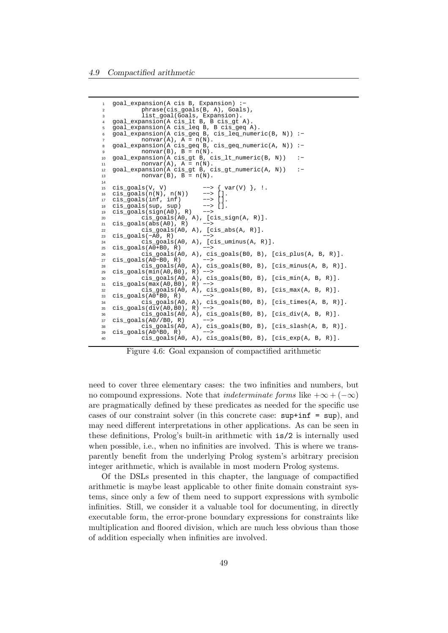```
goal_expansion(A cis B, Expansion) :-
2 phrase(cis_goals(B, A), Goals),
3 list_goal(Goals, Expansion).
   4 goal_expansion(A cis_lt B, B cis_gt A).
   5 goal_expansion(A cis_leq B, B cis_geq A).
   6 goal_expansion(A cis_geq B, cis_leq_numeric(B, N)) :−
            nonvar(A), A = n(N).
   8 goal_expansion(A cis_geq B, cis_geq_numeric(A, N)) :−
            nonvar(B), B = n(N).
10 goal_expansion(A cis_gt B, cis_lt_numeric(B, N)) :−
11 nonvar(A), A = n(N).
12 goal_expansion(A cis_gt B, cis_gt_numeric(A, N)) :−
13 nonvar(B), B = n(N).
14<br>1515 cis_goals(V, V) --> { var(V) }, !.<br>16 cis_goals(n(N), n(N)) --> [].
16 cis_goals(n(N), n(N)) --> [].<br>17 cis_goals(inf, inf) --> [].
   cis_goals(inf, inf) --> [].<br>cis_goals(sup, sup) --> [].
18 cis_goals(sup, sup) −−> [].
19 cis_goals(sign(A0), R) −−>
20 cis_goals(A0, A), [cis_sign(A, R)].
21 cis_goals(abs(A0), R)<br>22 cis goals(A0,
22 cis_goals(A0, A), [cis_abs(A, R)].<br>
23 cis_goals(-A0, R) -->
23 cis_goals(-A0, R)<br>24 cis_goals
\frac{24}{25} cis_goals(A0, A), [cis_uminus(A, R)].<br>25 cis goals(A0+B0, R) -->
   cis_goals(A0+B0, R)
26 cis_goals(A0, A), cis_goals(B0, B), [cis_plus(A, B, R)].
27 cis_goals(A0−B0, R)<br>28 cis_goals(A
             cis_goals(A0, A), cis_goals(B0, B), [cis_minus(A, B, R)].
29 cis_goals(min(A0,B0), R) --><br>30 cis goals(A0, A), ci
30 cis_goals(A0, A), cis_goals(B0, B), [cis_min(A, B, R)].<br>31 cis qoals(max(A0,B0), R) -->
31 cis_goals(max(A0,B0), R) --><br>32 cis goals(A0, A), ci
            32 cis_goals(A0, A), cis_goals(B0, B), [cis_max(A, B, R)].
33 cis_goals(A0*B0, R) −−>
34 cis_goals(A0, A), cis_goals(B0, B), [cis_times(A, B, R)].
35 cis_goals(\det(V(A0,B0), R) -->
\frac{36}{37} cis_goals(A0, A), cis_goals(B0, B), [cis_div(A, B, R)].<br>37 cis goals(A0//B0, R) -->
   cis\_goals(A0//B0, R)38 cis_goals(A0, A), cis_goals(B0, B), [cis_slash(A, B, R)].
   cis_goals(A0^B0, R)
40 cis_goals(A0, A), cis_goals(B0, B), [cis_exp(A, B, R)].
```
Figure 4.6: Goal expansion of compactified arithmetic

need to cover three elementary cases: the two infinities and numbers, but no compound expressions. Note that *indeterminate forms* like  $+\infty + (-\infty)$ are pragmatically defined by these predicates as needed for the specific use cases of our constraint solver (in this concrete case: sup+inf = sup), and may need different interpretations in other applications. As can be seen in these definitions, Prolog's built-in arithmetic with is/2 is internally used when possible, i.e., when no infinities are involved. This is where we transparently benefit from the underlying Prolog system's arbitrary precision integer arithmetic, which is available in most modern Prolog systems.

Of the DSLs presented in this chapter, the language of compactified arithmetic is maybe least applicable to other finite domain constraint systems, since only a few of them need to support expressions with symbolic infinities. Still, we consider it a valuable tool for documenting, in directly executable form, the error-prone boundary expressions for constraints like multiplication and floored division, which are much less obvious than those of addition especially when infinities are involved.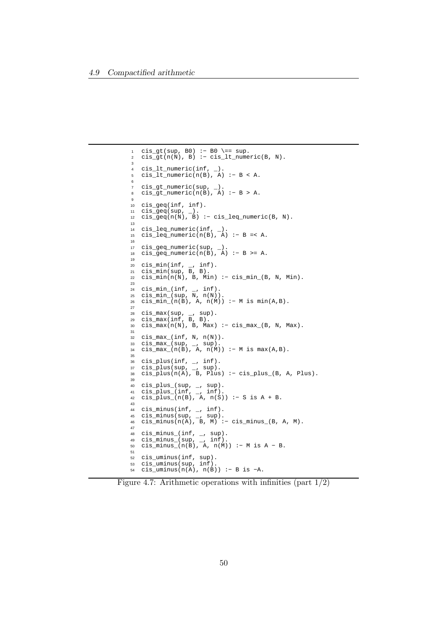```
1 cis_gt(sup, B0) :− B0 \== sup.
2 cis_gt(n(N), B) :− cis_lt_numeric(B, N).
3
4 cis_lt_numeric(inf, _).
5 cis_lt_numeric(n(B), A) :− B < A.
6
7 cis_gt_numeric(sup, _).
8 cis_gt_numeric(n(B), A) :− B > A.
\alpha10 cis_geq(inf, inf).
11 \text{ cis\_geq}(\sup, \_).12 cis_geq(n(N), B) :− cis_leq_numeric(B, N).
13
14 cis_leq_numeric(inf, _).
15 cis_leq_numeric(n(B), A) :− B =< A.
16
17 cis_geq_numeric(sup, _).
18 cis_geq_numeric(n(B), A) :− B >= A.
19
20 cis_min(inf, \overline{\phantom{a}}, inf).
21 cis_min(sup, B, B).
22 cis_min(n(N), B, Min) :− cis_min_(B, N, Min).
23
24 cis_min_(inf, _, inf).
25 cis_min_(sup, N, n(N)).
26 cis_min_(n(B), A, n(M)) :− M is min(A,B).
27
28 cis_max(sup, _, sup).
29 cis_max(inf, B, B).
30 cis_max(n(N), B, Max) :− cis_max_(B, N, Max).
31
32 cis_max_(inf, N, n(N)).<br>33 cis max (sup, , sup).
33 cis_max_(sup, _, sup).
34 cis_max_(n(B), A, n(M)) :− M is max(A,B).
35
36 cis_plus(inf, _, inf).
37 cis_plus(sup, _, sup).
38 cis_plus(n(A), B, Plus) :− cis_plus_(B, A, Plus).
39
40 cis_plus_(sup, _, sup).
41 cis_plus_(inf, _, inf).
42 cis_plus_(n(B), A, n(S)) :- S is A + B.
43
44 cis_minus(inf, _, inf).
45 cis_minus(sup, _, sup).
46 cis_minus(n(A), B, M) :− cis_minus_(B, A, M).
47
48 cis_minus_(inf, _, sup).
49 cis_minus_(sup, _, inf).
50 cis_minus_(n(B), A, n(M)) :− M is A − B.
51
52 cis_uminus(inf, sup).<br>53 cis uminus(sup, inf).
   cis_uminus(sup, inf).
54 cis\_uminus(n(A), n(B)) := B is -A.
```
Figure 4.7: Arithmetic operations with infinities (part  $1/2$ )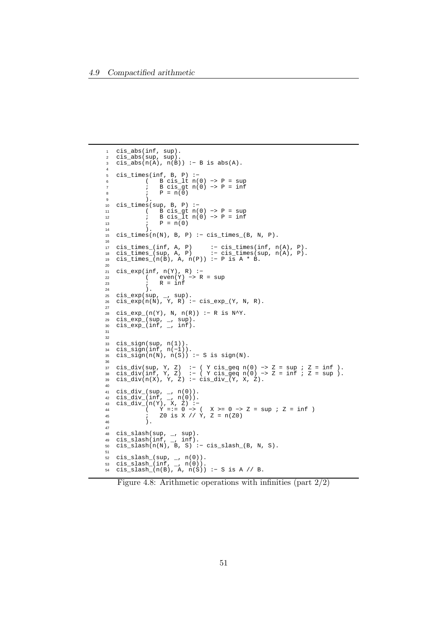```
1 cis_abs(inf, sup).
2 cis_abs(sup, sup).
3 cis_abs(n(A), n(B)) :− B is abs(A).
4
5 cis_times(inf, B, P) :−
6 ( B cis_lt n(0) −> P = sup
7 ; B cis_gt n(0) −> P = inf
8 ; P = n(0)
9 ).
10 cis_times(sup, B, P) :−
11 ( B cis_gt n(0) −> P = sup
12 ; B cis_lt n(0) −> P = inf
13 ; \quad P = n(0)14 ).
15 cis_times(n(N), B, P) :− cis_times_(B, N, P).
16
17 cis_times_(inf, A, P) :− cis_times(inf, n(A), P).
18 cis_times_(sup, A, P) :− cis_times(sup, n(A), P).
19 cis_times_(n(B), A, n(P)) :− P is A * B.
20
21 cis_exp(inf, n(Y), R) :−
22 ( even(Y) −> R = sup
23 ; R = inf<br>24 ).
24 ) .
25 cis_exp(sup, _, sup).
26 cis_exp(n(N), Y, R) :− cis_exp_(Y, N, R).
27
28 cis_exp_(n(Y), N, n(R)) :− R is N^Y.
29 cis_exp_(sup, _, sup).
30 cis_exp_(inf, _, inf).
31
32
33 cis_sign(sup, n(1)).
34 cis_sign(inf, n(−1)).
35 cis_sign(n(N), n(S)) :− S is sign(N).
36
37 cis_div(sup, Y, Z) :− ( Y cis_geq n(0) −> Z = sup ; Z = inf ).
38 cis_div(inf, Y, Z) :− ( Y cis_geq n(0) −> Z = inf ; Z = sup ).
39 cis_div(n(X), Y, Z) :− cis_div_(Y, X, Z).
40
41 cis_div_(sup, _, n(0)).<br>42 cis_div_(inf, _, n(0)).
42 cis_div_(inf, _, n(0)).
43 cis_div_(n(Y), X, Z) :−
44 ( Y =:= 0 −> ( X >= 0 −> Z = sup ; Z = inf )
45 ; Z0 is X // Y, Z = n(Z0)
46 ).
47
48 cis_slash(sup, _, sup).
49 cis_slash(inf, _, inf).
50 cis_slash(n(N), B, S) :− cis_slash_(B, N, S).
51
52 \text{ cis\_slash}(\text{sup}, \_, n(0)).53 cis\_slash\_(inf, ..., n(0)).
54 cis_slash_(n(B), A, n(S)) :− S is A // B.
```
Figure 4.8: Arithmetic operations with infinities (part 2/2)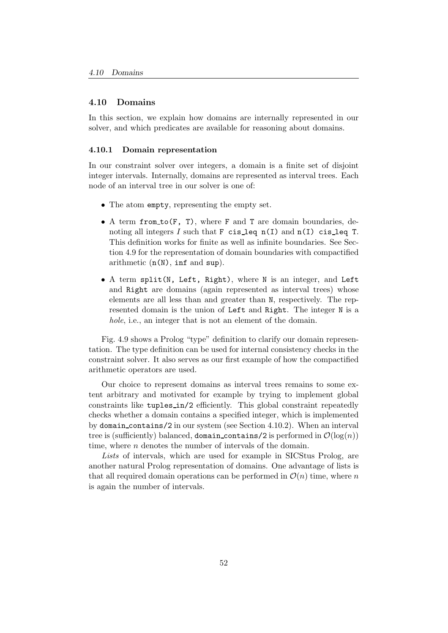### 4.10 Domains

In this section, we explain how domains are internally represented in our solver, and which predicates are available for reasoning about domains.

### 4.10.1 Domain representation

In our constraint solver over integers, a domain is a finite set of disjoint integer intervals. Internally, domains are represented as interval trees. Each node of an interval tree in our solver is one of:

- The atom empty, representing the empty set.
- A term from  $\text{to}(F, T)$ , where F and T are domain boundaries, denoting all integers  $I$  such that  $F$  cis leq  $n(I)$  and  $n(I)$  cis leq T. This definition works for finite as well as infinite boundaries. See Section 4.9 for the representation of domain boundaries with compactified arithmetic  $(n(N), inf$  and sup).
- A term split(N, Left, Right), where N is an integer, and Left and Right are domains (again represented as interval trees) whose elements are all less than and greater than N, respectively. The represented domain is the union of Left and Right. The integer N is a hole, i.e., an integer that is not an element of the domain.

Fig. 4.9 shows a Prolog "type" definition to clarify our domain representation. The type definition can be used for internal consistency checks in the constraint solver. It also serves as our first example of how the compactified arithmetic operators are used.

Our choice to represent domains as interval trees remains to some extent arbitrary and motivated for example by trying to implement global constraints like tuples in/2 efficiently. This global constraint repeatedly checks whether a domain contains a specified integer, which is implemented by domain contains/2 in our system (see Section 4.10.2). When an interval tree is (sufficiently) balanced, domain contains/2 is performed in  $\mathcal{O}(\log(n))$ time, where *n* denotes the number of intervals of the domain.

Lists of intervals, which are used for example in SICStus Prolog, are another natural Prolog representation of domains. One advantage of lists is that all required domain operations can be performed in  $\mathcal{O}(n)$  time, where n is again the number of intervals.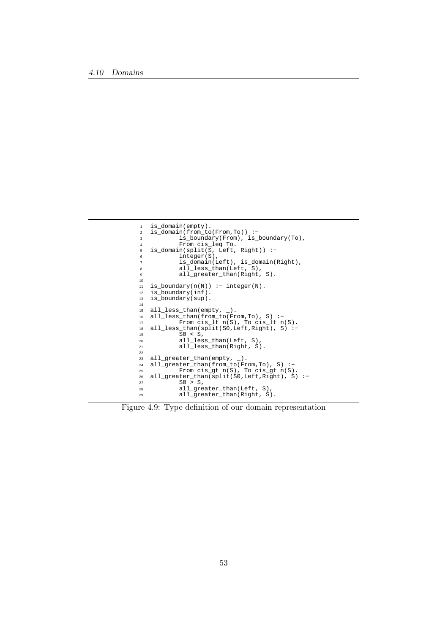```
1 is_domain(empty).
2 is_domain(from_to(From,To)) :−
3 is_boundary(From), is_boundary(To),<br>4 From cis leg To.
<sup>1</sup> From cis_leq To.<br>5 is domain(split(S. Left.
   is\_domain(split(S, Left, Right)) :-6 integer(S),
7 is_domain(Left), is_domain(Right),
8 all_less_than(Left, S),
9 all_greater_than(Right, S).
10
11 is_boundary(n(N)) :- integer(N).<br>12 is_boundary(inf).
12 is_boundary(inf).<br>13 is_boundary(sup).
   is_boundary(sup).
\frac{14}{15}15 all_less_than(empty, _).
16 all_less_than(from_to(From,To), S) :−
17 From cis_lt n(S), To cis_lt n(S).
17 b From cis_1t n(S), To cis_1t n(S).<br>
18 all_less_than(split(S0,Left,Right), S) :-<br>
50 < S,
19 S0 < S,
20 all_less_than(Left, S),
21 all_less_than(Right, S).
22
23 all_greater_than(empty, _).
24 all_greater_than(from_to(From,To), S) :−
25 From cis_gt n(S), To cis_gt n(S).
26 all_greater_than(split(S0,Left,Right), S) :−
27 SO > S,
28 all_greater_than(Left, S),
29 all_greater_than(Right, S).
```
Figure 4.9: Type definition of our domain representation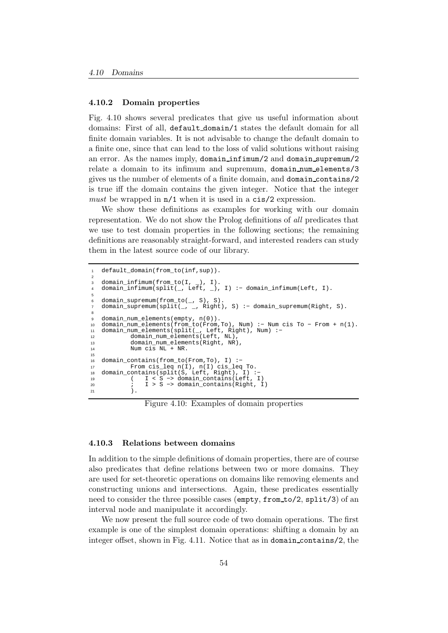### 4.10.2 Domain properties

Fig. 4.10 shows several predicates that give us useful information about domains: First of all, default domain/1 states the default domain for all finite domain variables. It is not advisable to change the default domain to a finite one, since that can lead to the loss of valid solutions without raising an error. As the names imply, domain infimum/2 and domain supremum/2 relate a domain to its infimum and supremum, domain num elements/3 gives us the number of elements of a finite domain, and domain contains/2 is true iff the domain contains the given integer. Notice that the integer must be wrapped in  $n/1$  when it is used in a cis/2 expression.

We show these definitions as examples for working with our domain representation. We do not show the Prolog definitions of all predicates that we use to test domain properties in the following sections; the remaining definitions are reasonably straight-forward, and interested readers can study them in the latest source code of our library.

```
default domain(from to(inf,sup)).
2
   domain_infimum(from_to(I, _), I).
   domain_infimum(split(_, Left, _), I) :- domain_infimum(Left, I).
5
   domain_supremum(from_to(_, S), S).
7 domain_supremum(split(_, _, Right), S) :− domain_supremum(Right, S).
8
9 domain_num_elements(empty, n(0)).<br>10 domain_num_elements(from_to(From,
   10 domain_num_elements(from_to(From,To), Num) :− Num cis To − From + n(1).
11 domain_num_elements(split(_, Left, Right), Num) :−
12 domain_num_elements(Left, NL),
13 domain_num_elements(Right, NR),
14 Num cis NL + NR.
15
16 domain_contains(from_to(From,To), I) :−
17 From cis_leq n(I), n(I) cis_leq To.
   domain_contains(split(S, Left, Right), I) :-
19 ( I < S −> domain_contains(Left, I)
20 ; I > S -> domain_contains(Right, I)<br>21 ).
           ).
```
Figure 4.10: Examples of domain properties

## 4.10.3 Relations between domains

In addition to the simple definitions of domain properties, there are of course also predicates that define relations between two or more domains. They are used for set-theoretic operations on domains like removing elements and constructing unions and intersections. Again, these predicates essentially need to consider the three possible cases (empty, from to/2, split/3) of an interval node and manipulate it accordingly.

We now present the full source code of two domain operations. The first example is one of the simplest domain operations: shifting a domain by an integer offset, shown in Fig. 4.11. Notice that as in domain contains/2, the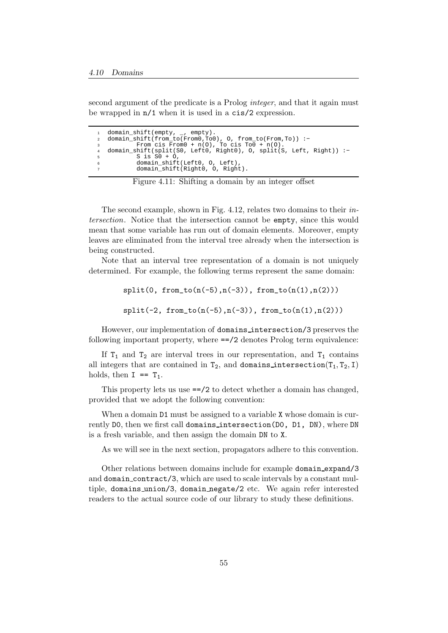second argument of the predicate is a Prolog integer, and that it again must be wrapped in n/1 when it is used in a cis/2 expression.

```
1 domain_shift(empty, _, empty).
2 domain_shift(from_to(From0,To0), O, from_to(From,To)) :−
3 From cis From0 + n(O), To cis To0 + n(O).
4 domain_shift(split(S0, Left0, Right0), O, split(S, Left, Right)) :−
          S is S0 + 0.
          domain_shift(Left0, O, Left),
7 domain_shift(Right0, O, Right).
```
Figure 4.11: Shifting a domain by an integer offset

The second example, shown in Fig. 4.12, relates two domains to their intersection. Notice that the intersection cannot be empty, since this would mean that some variable has run out of domain elements. Moreover, empty leaves are eliminated from the interval tree already when the intersection is being constructed.

Note that an interval tree representation of a domain is not uniquely determined. For example, the following terms represent the same domain:

> $split(0, from_to(n(-5),n(-3)), from_to(n(1),n(2)))$  $split(-2, from_to(n(-5),n(-3)), from_to(n(1),n(2)))$

However, our implementation of domains intersection/3 preserves the following important property, where ==/2 denotes Prolog term equivalence:

If  $T_1$  and  $T_2$  are interval trees in our representation, and  $T_1$  contains all integers that are contained in  $T_2$ , and domains intersection( $T_1, T_2, I$ ) holds, then  $I = T_1$ .

This property lets us use ==/2 to detect whether a domain has changed, provided that we adopt the following convention:

When a domain  $D1$  must be assigned to a variable X whose domain is currently D0, then we first call domains intersection(D0, D1, DN), where DN is a fresh variable, and then assign the domain DN to X.

As we will see in the next section, propagators adhere to this convention.

Other relations between domains include for example domain expand/3 and domain contract/3, which are used to scale intervals by a constant multiple, domains union/3, domain negate/2 etc. We again refer interested readers to the actual source code of our library to study these definitions.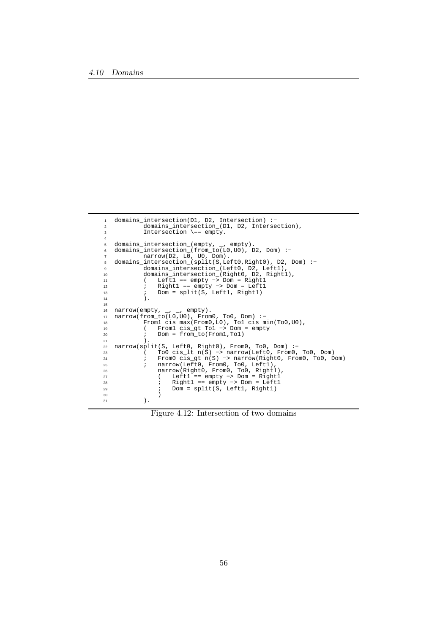| $\mathbf{1}$   | domains intersection( $D1$ , $D2$ , Intersection) :-                        |
|----------------|-----------------------------------------------------------------------------|
| $\overline{2}$ | domains intersection (D1, D2, Intersection),                                |
| 3              | Intersection $\ ==$ empty.                                                  |
| $\overline{4}$ |                                                                             |
| 5              | domains_intersection_(empty, _, empty).                                     |
| 6              | domains_intersection_(from_to( $L0, U0$ ), D2, Dom) :-                      |
| $\overline{7}$ | narrow(D2, L0, U0, Dom).                                                    |
| 8              | domains_intersection_(split(S, Left0, Right0), D2, Dom) :-                  |
| 9              | domains_intersection_(Left0, D2, Left1),                                    |
| 10             | domains_intersection_(Right0, D2, Right1),                                  |
| 11             | Left1 == $empty \rightarrow Dom = Right1$                                   |
| 12             | $Right1 == empty -> Dom = Left1$                                            |
| 13             | Dom = split(S, Left1, Right1)<br>$\ddot{i}$                                 |
| 14             | Ι.                                                                          |
| 15             |                                                                             |
| 16             | narrow(empty, $\overline{\phantom{0}}$ , $\overline{\phantom{0}}$ , empty). |
| 17             | $narrow(from to (L0, U0)$ , $From 0, To 0, Dom)$ :                          |
| 18             | Froml cis $max(From0, L0)$ , Tol cis $min(T00, U0)$ ,                       |
| 19             | Froml $cis_qt$ Tol -> Dom = empty                                           |
| 20             | $Dom = from to (From 1, To 1)$                                              |
| 21             |                                                                             |
| 22             | $narrow(split(S, Left0, Right0), From0, To0, Dom) :-$                       |
| 23             | To $\circ$ cis lt $n(S)$ -> narrow (Left0, From 0, To 0, Dom)               |
| 24             | From0 cis_qt $n(S) \rightarrow$ narrow(Right0, From0, To0, Dom)             |
| 25             | narrow(Left0, From0, To0, Left1),                                           |
| 26             | narrow(Right0, From0, To0, Right1),                                         |
| 27             | Left1 == $empty \rightarrow$ Dom = $Right1$                                 |
| 28             | $Right1 == empty -> Dom = Left1$                                            |
| 29             | $Dom = split(S, Left1, Right1)$                                             |
| 30             |                                                                             |
| 31             |                                                                             |

Figure 4.12: Intersection of two domains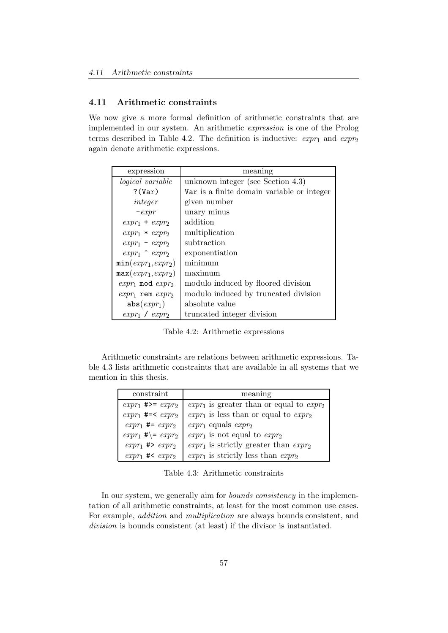## 4.11 Arithmetic constraints

We now give a more formal definition of arithmetic constraints that are implemented in our system. An arithmetic expression is one of the Prolog terms described in Table 4.2. The definition is inductive:  $expr_1$  and  $expr_2$ again denote arithmetic expressions.

| expression               | meaning                                    |
|--------------------------|--------------------------------------------|
| <i>logical</i> variable  | unknown integer (see Section $4.3$ )       |
| $?$ (Var)                | Var is a finite domain variable or integer |
| integer                  | given number                               |
| $-expr$                  | unary minus                                |
| $expr_1 + expr_2$        | addition                                   |
| $expr_1 * expr_2$        | multiplication                             |
| $expr_1 - expr_2$        | subtraction                                |
| $expr_1 \uparrow expr_2$ | exponentiation                             |
| $min(exp_1, exp_2)$      | minimum                                    |
| $max(exp_1, exp_2)$      | maximum                                    |
| $expr_1$ mod $expr_2$    | modulo induced by floored division         |
| $expr_1$ rem $expr_2$    | modulo induced by truncated division       |
| $abs(expr_1)$            | absolute value                             |
| $expr_1$ / $expr_2$      | truncated integer division                 |

Table 4.2: Arithmetic expressions

Arithmetic constraints are relations between arithmetic expressions. Table 4.3 lists arithmetic constraints that are available in all systems that we mention in this thesis.

| constraint                            | meaning                                       |
|---------------------------------------|-----------------------------------------------|
| $expr_1$ #>= $expr_2$                 | $expr_1$ is greater than or equal to $expr_2$ |
| $expr_1$ #=< $expr_2$                 | $expr_1$ is less than or equal to $expr_2$    |
| $expr_1 += expr_2$                    | $expr_1$ equals $expr_2$                      |
| $expr_1 \# \rightleftharpoons expr_2$ | $expr_1$ is not equal to $expr_2$             |
| $expr_1 \nleftrightarrow expr_2$      | $expr_1$ is strictly greater than $expr_2$    |
| $expr_1$ #< $expr_2$                  | $\exp r_1$ is strictly less than $\exp r_2$   |

Table 4.3: Arithmetic constraints

In our system, we generally aim for *bounds consistency* in the implementation of all arithmetic constraints, at least for the most common use cases. For example, addition and multiplication are always bounds consistent, and division is bounds consistent (at least) if the divisor is instantiated.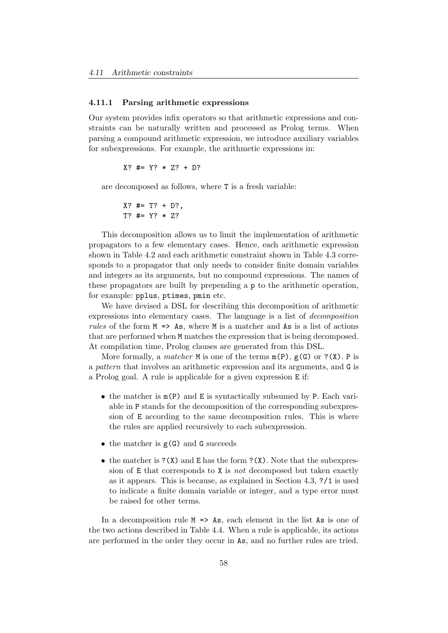### 4.11.1 Parsing arithmetic expressions

Our system provides infix operators so that arithmetic expressions and constraints can be naturally written and processed as Prolog terms. When parsing a compound arithmetic expression, we introduce auxiliary variables for subexpressions. For example, the arithmetic expressions in:

$$
X? #= Y? * Z? + D?
$$

are decomposed as follows, where T is a fresh variable:

$$
X
$$
? #= T? + D?,  
T? #= Y? \* Z?

This decomposition allows us to limit the implementation of arithmetic propagators to a few elementary cases. Hence, each arithmetic expression shown in Table 4.2 and each arithmetic constraint shown in Table 4.3 corresponds to a propagator that only needs to consider finite domain variables and integers as its arguments, but no compound expressions. The names of these propagators are built by prepending a p to the arithmetic operation, for example: pplus, ptimes, pmin etc.

We have devised a DSL for describing this decomposition of arithmetic expressions into elementary cases. The language is a list of decomposition rules of the form  $M \implies As$ , where M is a matcher and As is a list of actions that are performed when M matches the expression that is being decomposed. At compilation time, Prolog clauses are generated from this DSL.

More formally, a *matcher*  $M$  is one of the terms  $m(P)$ ,  $g(G)$  or  $?$  (X). P is a pattern that involves an arithmetic expression and its arguments, and G is a Prolog goal. A rule is applicable for a given expression E if:

- the matcher is m(P) and E is syntactically subsumed by P. Each variable in P stands for the decomposition of the corresponding subexpression of E according to the same decomposition rules. This is where the rules are applied recursively to each subexpression.
- the matcher is  $g(G)$  and G succeeds
- the matcher is  $?(X)$  and E has the form  $?(X)$ . Note that the subexpression of E that corresponds to X is not decomposed but taken exactly as it appears. This is because, as explained in Section 4.3, ?/1 is used to indicate a finite domain variable or integer, and a type error must be raised for other terms.

In a decomposition rule  $M \implies As$ , each element in the list As is one of the two actions described in Table 4.4. When a rule is applicable, its actions are performed in the order they occur in As, and no further rules are tried.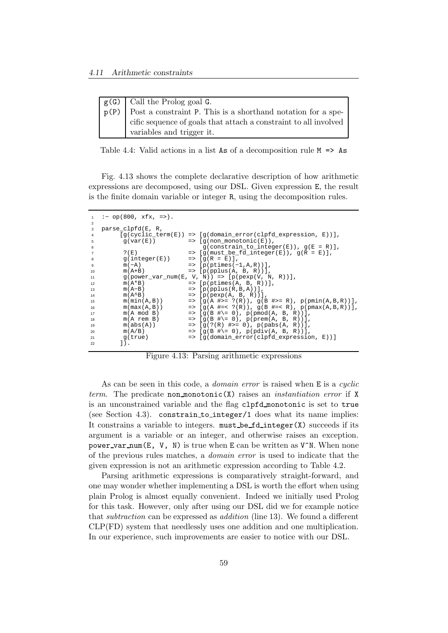| $\mid$ g(G) $\mid$ Call the Prolog goal G.                                            |
|---------------------------------------------------------------------------------------|
| $\mathbf{p}(\mathbf{P})$ Post a constraint P. This is a shorthand notation for a spe- |
| cific sequence of goals that attach a constraint to all involved                      |
| variables and trigger it.                                                             |

Table 4.4: Valid actions in a list As of a decomposition rule  $M \implies As$ 

Fig. 4.13 shows the complete declarative description of how arithmetic expressions are decomposed, using our DSL. Given expression E, the result is the finite domain variable or integer R, using the decomposition rules.

```
1 :− op(800, xfx, =>).
2
3 parse_clpfd(E, R,
4 [g(cyclic_term(E)) => [g(domain_error(clpfd_expression, E))],
          \overline{g(\text{var}(E))} => \overline{[g(\text{non-monotonic}(E))]},
           g(\text{constraint-to\_integer}(E)), g(E = R)],<br>
\{g(mnst: a \neq 0 \text{ integer}(E)), g(E = E)\}.? (E) => [g(\text{must}\_\text{be}\_\text{f\overline{d}\_\text{integer}(E)), g(\overline{R} = E)],<br>g(integer(E)) => [g(R = E)],
g(integer(E)) => [g(R = E)],9 m(−A) => [p(ptimes(-1,A,R))],
10 m(A+B) => [p(pplus(A, B, R))],
11 g(power_var_num(E, V, N)) => [p(\text{pexp}(V, N, R))],<br>
12 m(A*B) => [p(\text{ptimes}(A, B, R))],
m(A^*B) => [p(ptimes(A, B, R))],<br>
m(A^*B) => [p(ptimes(A, B, R))],<br>
m(A-B) => [p(pplus(R, B, A))],
13 m(A–B) => [p(pplus(R, B, A))]<br>
14 m(A<sup>\landB)</sup> => [p(pplus(R, B, A))]14 m(A^{\wedge}B) => [p(pexp(A, B, R))],
15 m(min(A, B)) => [g(A \#)= ?(R)), g(B \#>= R), p(pmin(A, B, R)),
16 m(max(A, B)) => [g(A \#=< ?(R)), g(B \#=< R), p(pmax(A, B, R))],
17 m(A \mod B) => [g(B \# \equiv 0), p(pmod(A, B, R))],
18 m(A rem B) => [g(B #)= 0), p(prem(A, B, R))],
19 m(abs(A)) => [g(?(R) #>= 0), p(pabs(A, R))],
20 m(A/B) => [g(B^{\#}) = 0, p(pdiv(A, B, R))],<br>21 g(ttrue) => [g(domain error(c)phied expression)[g(domain_error(clpfd_expression, E))]22 ]).
```
Figure 4.13: Parsing arithmetic expressions

As can be seen in this code, a *domain error* is raised when E is a *cuclic* term. The predicate non monotonic(X) raises an *instantiation error* if X is an unconstrained variable and the flag clpfd monotonic is set to true (see Section 4.3). constrain to integer/1 does what its name implies: It constrains a variable to integers.  $must$  be  $fd$  integer $(X)$  succeeds if its argument is a variable or an integer, and otherwise raises an exception. power\_var\_num(E, V, N) is true when E can be written as  $V^N$ . When none of the previous rules matches, a domain error is used to indicate that the given expression is not an arithmetic expression according to Table 4.2.

Parsing arithmetic expressions is comparatively straight-forward, and one may wonder whether implementing a DSL is worth the effort when using plain Prolog is almost equally convenient. Indeed we initially used Prolog for this task. However, only after using our DSL did we for example notice that subtraction can be expressed as addition (line 13). We found a different CLP(FD) system that needlessly uses one addition and one multiplication. In our experience, such improvements are easier to notice with our DSL.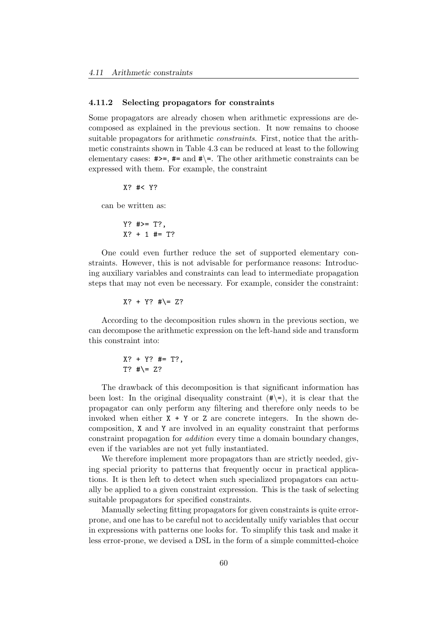### 4.11.2 Selecting propagators for constraints

Some propagators are already chosen when arithmetic expressions are decomposed as explained in the previous section. It now remains to choose suitable propagators for arithmetic constraints. First, notice that the arithmetic constraints shown in Table 4.3 can be reduced at least to the following elementary cases:  $\#>=$ ,  $\#=\$  and  $\#>=$ . The other arithmetic constraints can be expressed with them. For example, the constraint

X? #< Y?

can be written as:

Y? #>= T?, X? + 1 #= T?

One could even further reduce the set of supported elementary constraints. However, this is not advisable for performance reasons: Introducing auxiliary variables and constraints can lead to intermediate propagation steps that may not even be necessary. For example, consider the constraint:

 $X? + Y?$  #\= Z?

According to the decomposition rules shown in the previous section, we can decompose the arithmetic expression on the left-hand side and transform this constraint into:

$$
X? + Y? #= T?,
$$
  
T? #\ = Z?

The drawback of this decomposition is that significant information has been lost: In the original disequality constraint  $(\# \equiv)$ , it is clear that the propagator can only perform any filtering and therefore only needs to be invoked when either  $X + Y$  or Z are concrete integers. In the shown decomposition, X and Y are involved in an equality constraint that performs constraint propagation for addition every time a domain boundary changes, even if the variables are not yet fully instantiated.

We therefore implement more propagators than are strictly needed, giving special priority to patterns that frequently occur in practical applications. It is then left to detect when such specialized propagators can actually be applied to a given constraint expression. This is the task of selecting suitable propagators for specified constraints.

Manually selecting fitting propagators for given constraints is quite errorprone, and one has to be careful not to accidentally unify variables that occur in expressions with patterns one looks for. To simplify this task and make it less error-prone, we devised a DSL in the form of a simple committed-choice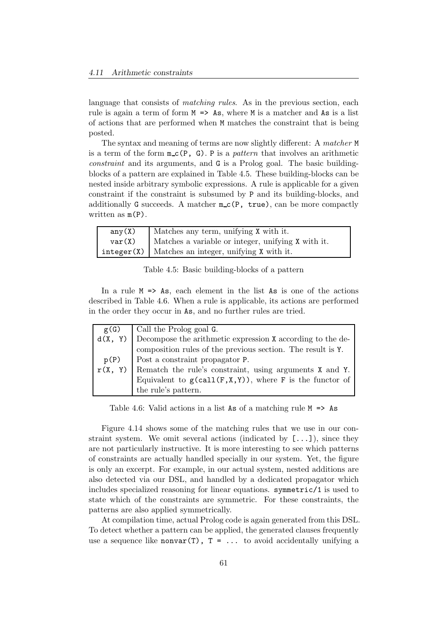language that consists of *matching rules*. As in the previous section, each rule is again a term of form  $M \geq A s$ , where M is a matcher and As is a list of actions that are performed when M matches the constraint that is being posted.

The syntax and meaning of terms are now slightly different: A matcher M is a term of the form  $m_c(P, G)$ . P is a *pattern* that involves an arithmetic constraint and its arguments, and G is a Prolog goal. The basic buildingblocks of a pattern are explained in Table 4.5. These building-blocks can be nested inside arbitrary symbolic expressions. A rule is applicable for a given constraint if the constraint is subsumed by P and its building-blocks, and additionally G succeeds. A matcher  $m_c(P, true)$ , can be more compactly written as m(P).

| any(X) | Matches any term, unifying X with it.                |
|--------|------------------------------------------------------|
| var(X) | Matches a variable or integer, unifying X with it.   |
|        | $integer(X)$ Matches an integer, unifying X with it. |

|  |  | Table 4.5: Basic building-blocks of a pattern |  |  |
|--|--|-----------------------------------------------|--|--|
|--|--|-----------------------------------------------|--|--|

In a rule  $M \Rightarrow As$ , each element in the list As is one of the actions described in Table 4.6. When a rule is applicable, its actions are performed in the order they occur in As, and no further rules are tried.

| g(G)    | Call the Prolog goal G.                                     |  |
|---------|-------------------------------------------------------------|--|
| d(X, Y) | Decompose the arithmetic expression X according to the de-  |  |
|         | composition rules of the previous section. The result is Y. |  |
|         | $p(P)$ Post a constraint propagator P.                      |  |
| r(X, Y) | Rematch the rule's constraint, using arguments X and Y.     |  |
|         | Equivalent to $g(call(F,X,Y))$ , where F is the functor of  |  |
|         | the rule's pattern.                                         |  |

Table 4.6: Valid actions in a list As of a matching rule  $M \implies As$ 

Figure 4.14 shows some of the matching rules that we use in our constraint system. We omit several actions (indicated by  $[\ldots]$ ), since they are not particularly instructive. It is more interesting to see which patterns of constraints are actually handled specially in our system. Yet, the figure is only an excerpt. For example, in our actual system, nested additions are also detected via our DSL, and handled by a dedicated propagator which includes specialized reasoning for linear equations. symmetric/1 is used to state which of the constraints are symmetric. For these constraints, the patterns are also applied symmetrically.

At compilation time, actual Prolog code is again generated from this DSL. To detect whether a pattern can be applied, the generated clauses frequently use a sequence like nonvar(T),  $T = ...$  to avoid accidentally unifying a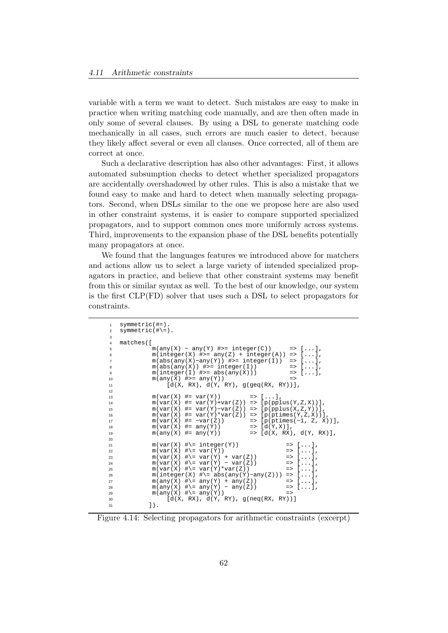variable with a term we want to detect. Such mistakes are easy to make in practice when writing matching code manually, and are then often made in only some of several clauses. By using a DSL to generate matching code mechanically in all cases, such errors are much easier to detect, because they likely affect several or even all clauses. Once corrected, all of them are correct at once.

Such a declarative description has also other advantages: First, it allows automated subsumption checks to detect whether specialized propagators are accidentally overshadowed by other rules. This is also a mistake that we found easy to make and hard to detect when manually selecting propagators. Second, when DSLs similar to the one we propose here are also used in other constraint systems, it is easier to compare supported specialized propagators, and to support common ones more uniformly across systems. Third, improvements to the expansion phase of the DSL benefits potentially many propagators at once.

We found that the languages features we introduced above for matchers and actions allow us to select a large variety of intended specialized propagators in practice, and believe that other constraint systems may benefit from this or similar syntax as well. To the best of our knowledge, our system is the first CLP(FD) solver that uses such a DSL to select propagators for constraints.

```
symmetric(#=).
2 symmetric(#\=).
3
4 matches([
\lim_{x \to \infty} \frac{1}{\max(x)} - \max(Y) #>= integer(C)) => [...],
6 m(integer(X) \neq)= any(Z) + integer(A)) \Rightarrow [...],7 m(abs(any(X)−any(Y)) #>= integer(I)) => [...],
8 m(abs(any(X)) #>= integer(I)) => [...],<br>9 m(integer(I) #>= abs(any(X))) => [...],
9 m(integer(I) \#>= abs(any(X))) => [...],
10 m(any(X) \#>= any(Y)) =>
11 [d(X, RX), d(Y, RY), g(\text{geq}(RX, RY))],
12
13 m(var(X) \# = var(Y)) => [...]
14 m(var(X) \# = var(Y)+var(Z)) \implies [p(pplus(Y, Z, X))],
15 m(var(X) #= var(Y)−var(Z)) => [p(pplus(X,Z,Y))],
16 m(var(X) \# = var(Y)*var(Z)) => [p(ptimes(Y,Z,X))],
17 m(var(X) #= −var(Z)) => [p(ptimes(−1, Z, X))],
18 m(var(X) \#= any(Y)) \Rightarrow [d(Y,X)],<br>19 m(any(X) \#= any(Y)) \Rightarrow [d(X, RX)]19 m(\text{any}(X) = \text{any}(Y)) => [d(X, RX), d(Y, RX)],20
21 m(var(X) \#)= integer(Y)) => [...],<br>22 m(var(X) \#)= var(Y)) => [...],
             m(var(X) \#)= var(\overline{Y}) => [\ldots],<br>
m(var(X) \#)= var(Y) + var(Z)) => [\ldots],23 m(var(X) \#)= var(Y) + var(Z)) => [...],<br>
24 m(var(X) \#)= var(Y) - var(Z)) => [...],
m(var(X) \#)= var(Y) - var(Z) => [...],
25 m(var(X) \#)= var(Y)*var(Z)) => [...],
26 m(integer(X) #\= abs(any(Y)−any(Z))) => [...],<br>27 m(any(X) #\= any(Y) + any(Z)) => [...],
27 m(any(X) \# = any(Y) + any(Z)) = > [...],<br>
28 m(any(X) \# = any(Y) - any(Z)) = > [...],
             m(\text{any}(X) \#)= \text{any}(Y) - \text{any}(Z)29 m(\text{any}(X) \#)= \text{any}(Y) = >
30 [d(X, RX), d(Y, RY), g(neq(RX, RY))]<br>31 ].
            1).
```
Figure 4.14: Selecting propagators for arithmetic constraints (excerpt)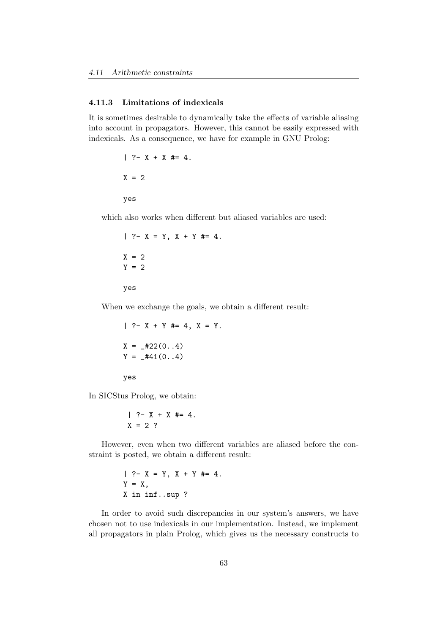## 4.11.3 Limitations of indexicals

It is sometimes desirable to dynamically take the effects of variable aliasing into account in propagators. However, this cannot be easily expressed with indexicals. As a consequence, we have for example in GNU Prolog:

> $| ? - X + X | \neq 4.$  $X = 2$ yes

which also works when different but aliased variables are used:

 $| ? - X = Y, X + Y = 4.$  $X = 2$  $Y = 2$ yes

When we exchange the goals, we obtain a different result:

 $| ?- X + Y | = 4, X = Y.$  $X = 122(0.4)$  $Y = 441(0..4)$ yes

In SICStus Prolog, we obtain:

$$
| ?- X + X #= 4.
$$
  

$$
X = 2 ?
$$

However, even when two different variables are aliased before the constraint is posted, we obtain a different result:

$$
?
$$
 - X = Y, X + Y #= 4.  
Y = X,  
X in inf..sup ?

In order to avoid such discrepancies in our system's answers, we have chosen not to use indexicals in our implementation. Instead, we implement all propagators in plain Prolog, which gives us the necessary constructs to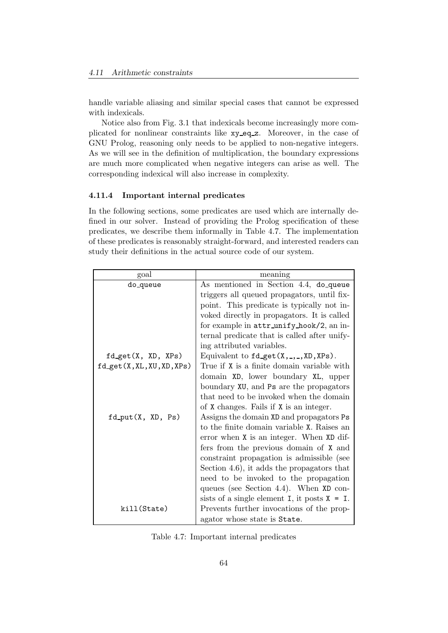handle variable aliasing and similar special cases that cannot be expressed with indexicals.

Notice also from Fig. 3.1 that indexicals become increasingly more complicated for nonlinear constraints like xy eq z. Moreover, in the case of GNU Prolog, reasoning only needs to be applied to non-negative integers. As we will see in the definition of multiplication, the boundary expressions are much more complicated when negative integers can arise as well. The corresponding indexical will also increase in complexity.

## 4.11.4 Important internal predicates

In the following sections, some predicates are used which are internally defined in our solver. Instead of providing the Prolog specification of these predicates, we describe them informally in Table 4.7. The implementation of these predicates is reasonably straight-forward, and interested readers can study their definitions in the actual source code of our system.

| goal                   | meaning                                            |
|------------------------|----------------------------------------------------|
| do_queue               | As mentioned in Section 4.4, do_queue              |
|                        | triggers all queued propagators, until fix-        |
|                        | point. This predicate is typically not in-         |
|                        | voked directly in propagators. It is called        |
|                        | for example in attr_unify_hook/2, an in-           |
|                        | ternal predicate that is called after unify-       |
|                        | ing attributed variables.                          |
| $fd\_get(X, XD, XPs)$  | Equivalent to $fd$ get $(X, \_, \_, XD, XPs)$ .    |
| fd.get(X,XL,XU,XD,XPs) | True if X is a finite domain variable with         |
|                        | domain XD, lower boundary XL, upper                |
|                        | boundary XU, and Ps are the propagators            |
|                        | that need to be invoked when the domain            |
|                        | of X changes. Fails if X is an integer.            |
| fd_put(X, XD, Ps)      | Assigns the domain XD and propagators Ps           |
|                        | to the finite domain variable X. Raises an         |
|                        | error when X is an integer. When XD dif-           |
|                        | fers from the previous domain of X and             |
|                        | constraint propagation is admissible (see          |
|                        | Section 4.6), it adds the propagators that         |
|                        | need to be invoked to the propagation              |
|                        | queues (see Section 4.4). When $XD$ con-           |
|                        | sists of a single element $I$ , it posts $X = I$ . |
| kill(State)            | Prevents further invocations of the prop-          |
|                        | agator whose state is State.                       |

Table 4.7: Important internal predicates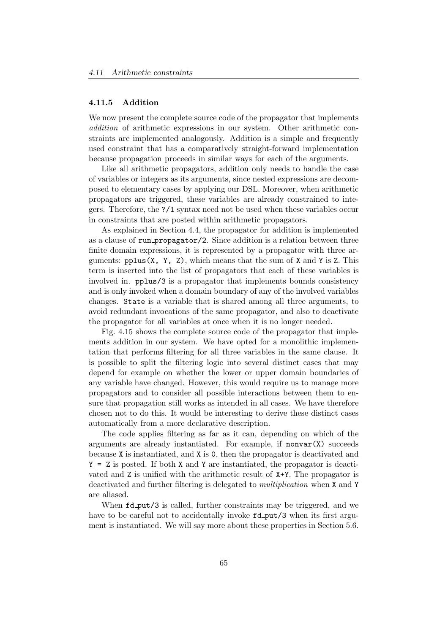#### 4.11.5 Addition

We now present the complete source code of the propagator that implements addition of arithmetic expressions in our system. Other arithmetic constraints are implemented analogously. Addition is a simple and frequently used constraint that has a comparatively straight-forward implementation because propagation proceeds in similar ways for each of the arguments.

Like all arithmetic propagators, addition only needs to handle the case of variables or integers as its arguments, since nested expressions are decomposed to elementary cases by applying our DSL. Moreover, when arithmetic propagators are triggered, these variables are already constrained to integers. Therefore, the ?/1 syntax need not be used when these variables occur in constraints that are posted within arithmetic propagators.

As explained in Section 4.4, the propagator for addition is implemented as a clause of run propagator/2. Since addition is a relation between three finite domain expressions, it is represented by a propagator with three arguments:  $pplus(X, Y, Z)$ , which means that the sum of X and Y is Z. This term is inserted into the list of propagators that each of these variables is involved in. pplus/3 is a propagator that implements bounds consistency and is only invoked when a domain boundary of any of the involved variables changes. State is a variable that is shared among all three arguments, to avoid redundant invocations of the same propagator, and also to deactivate the propagator for all variables at once when it is no longer needed.

Fig. 4.15 shows the complete source code of the propagator that implements addition in our system. We have opted for a monolithic implementation that performs filtering for all three variables in the same clause. It is possible to split the filtering logic into several distinct cases that may depend for example on whether the lower or upper domain boundaries of any variable have changed. However, this would require us to manage more propagators and to consider all possible interactions between them to ensure that propagation still works as intended in all cases. We have therefore chosen not to do this. It would be interesting to derive these distinct cases automatically from a more declarative description.

The code applies filtering as far as it can, depending on which of the arguments are already instantiated. For example, if  $nonvar(X)$  succeeds because X is instantiated, and X is 0, then the propagator is deactivated and  $Y = Z$  is posted. If both X and Y are instantiated, the propagator is deactivated and Z is unified with the arithmetic result of X+Y. The propagator is deactivated and further filtering is delegated to multiplication when X and Y are aliased.

When  $fd$ -put/3 is called, further constraints may be triggered, and we have to be careful not to accidentally invoke  $fd$ -put/3 when its first argument is instantiated. We will say more about these properties in Section 5.6.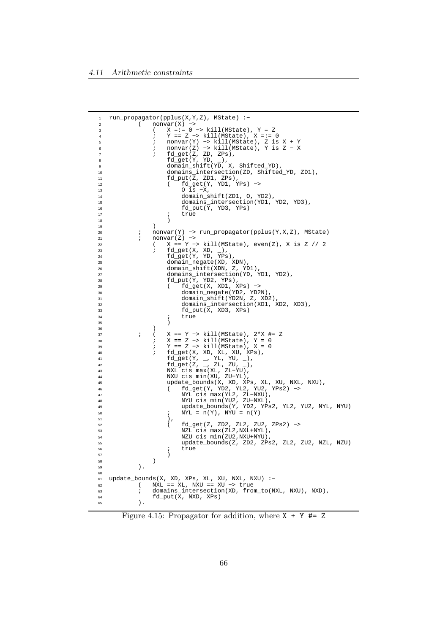```
1 run_propagator(pplus(X,Y,Z), MState) :−
2 ( nonvar(X) −>
3 ( X =:= 0 −> kill(MState), Y = Z
4 ; Y == Z −> kill(MState), X =:= 0
5 ; nonvar(Y) −> kill(MState), Z is X + Y
6 ; nonvar(Z) −> kill(MState), Y is Z − X
7 ; fd_get(Z, ZD, ZPs),
8 fd_get(Y, YD, _),
9 domain_shift(YD, X, Shifted_YD),
10 domains_intersection(ZD, Shifted_YD, ZD1),
11 fd_put(Z, ZD1, ZPs),
12 ( fd_get(Y, YD1, YPs) −>
13 O is −X,
14 domain_shift(ZD1, O, YD2),
15 domains_intersection(YD1, YD2, YD3),
16 fd_put(\overline{Y}, YD3, YPs)<br>17 <br>
; true
                 true
\overline{18} )
19 )
20 ; nonvar(Y) −> run_propagator(pplus(Y,X,Z), MState)
21 ; nonvar(Z) –><br>22 <br>(X == Y –
22 ( X = Y - > \text{kill}(\text{MState}), even(Z), X is Z // 2<br>
23 <br>
\text{fd\_get}(X, \text{XD}, \_),23 ; fd_get(X, XD, _),
24 fd_get(Y, YD, YPs),
25 domain_negate(XD, XDN),
26 domain_shift(XDN, Z, YD1),
27 domains_intersection(YD, YD1, YD2),
28 fd_put(Y, YD2, YPs),
29 ( fd_get(X, XD1, XPs) −>
30 domain_negate(YD2, YD2N),
31 domain_shift(YD2N, Z, XD2),
32 domains_intersection(XD1, XD2, XD3),
33 fd_put(X, XD3, XPs)
\frac{34}{35} ; true
35 )
36 )
37 ; ( X == Y −> kill(MState), 2*X #= Z
38 ; X == Z −> kill(MState), Y = 0
39 ; Y == Z −> kill(MState), X = 0
40 ; fd_get(X, XD, XL, XU, XPs),
41 fd_get(Y, _, YL, YU, _),
42 fd_get(Z, _, ZL, ZU, _),
43 NXL cis max(XL, ZL−YU),
44 NXU cis min(XU, ZU−YL),
45 update_bounds(X, XD, XPs, XL, XU, NXL, NXU),
46 ( fd_get(Y, YD2, YL2, YU2, YPs2) −>
47 NYL cis max(YL2, ZL−NXU),
48 NYU cis min(YU2, ZU−NXL),
49 update_bounds(Y, YD2, YPs2, YL2, YU2, NYL, NYU)
50 i NYL = n(Y), NYU = n(Y)51 ),
52 ( fd_get(Z, ZD2, ZL2, ZU2, ZPs2) −>
53 NZL cis max(ZL2,NXL+NYL),
54 NZU cis min(ZU2, NXU+NYU),<br>55 the state_bounds(Z, ZD2, ZPs
55 update_bounds(Z, ZD2, ZPs2, ZL2, ZU2, NZL, NZU)
\begin{array}{ccc} 56 & & \text{if } \\ 57 & & \text{if } \\ \end{array}57 )
58 )
59 ).
60
61 update_bounds(X, XD, XPs, XL, XU, NXL, NXU) :−
62 ( NXL == XL, NXU == XU −> true
63 \qquad ; domains_intersection(XD, from_to(NXL, NXU), NXD), 64 fd_put(X, NXD, XPs)64 fd_put(X, NXD, XPs)
65 ).
```
Figure 4.15: Propagator for addition, where  $X + Y \neq Z$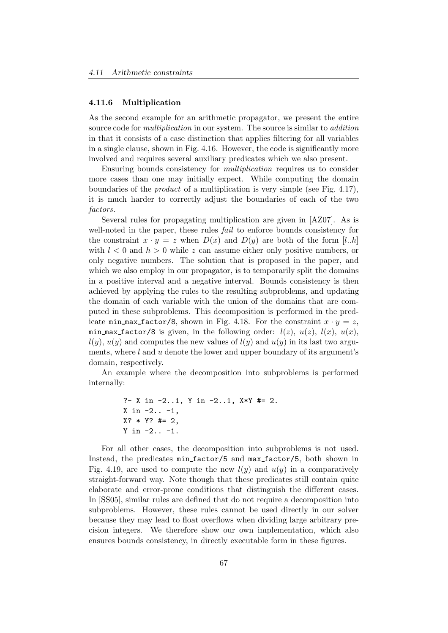#### 4.11.6 Multiplication

As the second example for an arithmetic propagator, we present the entire source code for *multiplication* in our system. The source is similar to *addition* in that it consists of a case distinction that applies filtering for all variables in a single clause, shown in Fig. 4.16. However, the code is significantly more involved and requires several auxiliary predicates which we also present.

Ensuring bounds consistency for multiplication requires us to consider more cases than one may initially expect. While computing the domain boundaries of the product of a multiplication is very simple (see Fig. 4.17), it is much harder to correctly adjust the boundaries of each of the two factors.

Several rules for propagating multiplication are given in [AZ07]. As is well-noted in the paper, these rules *fail* to enforce bounds consistency for the constraint  $x \cdot y = z$  when  $D(x)$  and  $D(y)$  are both of the form [l..h] with  $l < 0$  and  $h > 0$  while z can assume either only positive numbers, or only negative numbers. The solution that is proposed in the paper, and which we also employ in our propagator, is to temporarily split the domains in a positive interval and a negative interval. Bounds consistency is then achieved by applying the rules to the resulting subproblems, and updating the domain of each variable with the union of the domains that are computed in these subproblems. This decomposition is performed in the predicate min max factor/8, shown in Fig. 4.18. For the constraint  $x \cdot y = z$ , min max factor/8 is given, in the following order:  $l(z)$ ,  $u(z)$ ,  $l(x)$ ,  $u(x)$ ,  $l(y)$ ,  $u(y)$  and computes the new values of  $l(y)$  and  $u(y)$  in its last two arguments, where  $l$  and  $u$  denote the lower and upper boundary of its argument's domain, respectively.

An example where the decomposition into subproblems is performed internally:

?- X in -2..1, Y in -2..1, X\*Y #= 2. X in -2.. -1, X? \* Y? #= 2, Y in -2.. -1.

For all other cases, the decomposition into subproblems is not used. Instead, the predicates min factor/5 and max factor/5, both shown in Fig. 4.19, are used to compute the new  $l(y)$  and  $u(y)$  in a comparatively straight-forward way. Note though that these predicates still contain quite elaborate and error-prone conditions that distinguish the different cases. In [SS05], similar rules are defined that do not require a decomposition into subproblems. However, these rules cannot be used directly in our solver because they may lead to float overflows when dividing large arbitrary precision integers. We therefore show our own implementation, which also ensures bounds consistency, in directly executable form in these figures.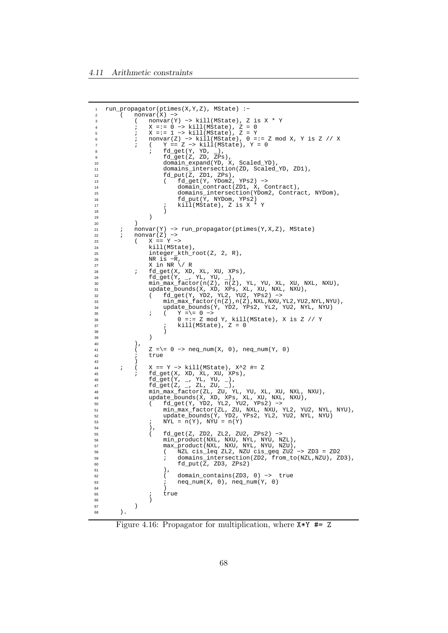```
1 run_propagator(ptimes(X,Y,Z), MState) :−
2 ( nonvar(X) −>
3 ( nonvar(Y) −> kill(MState), Z is X * Y
4 ; X =:= 0 −> kill(MState), Z = 0
5 ; X =:= 1 −> kill(MState), Z = Y
6 ; nonvar(Z) −> kill(MState), 0 =:= Z mod X, Y is Z // X
7 ; ( Y == Z −> kill(MState), Y = 0
8 i fd_get(Y, YD, _),
9 fd_get(Z, ZD, ZPs),
10 domain_expand(YD, X, Scaled_YD),
11 domains_intersection(ZD, Scaled_YD, ZD1),<br>12 domains_intersection(ZD, Scaled_YD, ZD1),<br>12 fd put(Z, ZD1, ZPS),
12 fd_put(Z, ZD1, ZPs),
13 ( fd_get(Y, YDom2, YPs2) −>
14 domain_contract(ZD1, X, Contract),<br>domains_intersection(YDom2, Contra
                         domains_intersection(YDom2, Contract, NYDom),
16 fd_put(Y, NYDom, YPs2)
17 ; kill(MState), Z is X * Y
\overline{18} )
19 )
20 )
21 ; nonvar(Y) -> run_propagator(ptimes(Y,X,Z), MState)<br>22 ; nonvar(Z) ->
22 ; nonvar(Z) −>
23 ( X == Y −>
<sup>24</sup> kill(MState),<br>
25 integer kth r
25 integer_kth_rroot(Z, 2, R),<br>
26 NR is -R,
26 \overline{NR} is -\overline{R},<br>27 \overline{X} in \overline{NR} \setminusX in NR \setminus/ R
28 ; fd_get(X, XD, XL, XU, XPs),
29 fd_get(Y, _, YL, YU, _),
30 min_max_factor(n(Z), n(Z), YL, YU, XL, XU, NXL, NXU),
31 update_bounds(X, XD, XPs, XL, XU, NXL, NXU),
32 ( fd_get(Y, YD2, YL2, YU2, YPs2) −>
33 min_max_factor(n(Z),n(Z),NXL,NXU,YL2,YU2,NYL,NYU),
34 update_bounds(Y, YD2, YPs2, YL2, YU2, NYL, NYU)<br>35 ( Y = = 0 ->
35 ; ( Y =\= 0 −>
36 0 =:= Z mod Y, kill(MState), X is Z // Y
37 ; kill(MState), Z = 0
38 )
39 )
\begin{array}{ccc} 40 & & \\ 41 & & \end{array}Z = \ = 0 \rightarrow \text{neq\_num}(X, 0), \text{neq\_num}(Y, 0)42 ; true
43 )
44 ; ( X == Y −> kill(MState), X^2 #= Z<br>45 ; fd qet(X, XD, XL, XU, XPs),
46 ; fd\_get(X, \overline{X}D, \overline{X}L, \overline{X}U, \overline{X}P\overline{s}),<br>46 fd\_get(Y, \_, YL, \overline{Y}U, \_),46 fd_get(Y, _, YL, YU, _),<br>47 fd_get(Z, _, ZL, ZU, _),
47 fd_get(Z, _, ZL, ZU, _),
48 min_max_factor(ZL, ZU, YL, YU, XL, XU, NXL, NXU),
49 update_bounds(X, XD, XPs, XL, XU, NXL, NXU),
50 ( fd_get(Y, YD2, YL2, YU2, YPs2) −>
51 min_max_factor(ZL, ZU, NXL, NXU, YL2, YU2, NYL, NYU),
52 update_bounds(Y, YD2, YPs2, YL2, YU2, NYL, NYU)
53 j NYL = n(Y), NYU = n(Y)\begin{array}{c} 54 \\ 55 \end{array} \begin{array}{c} \end{array}55 ( fd_get(Z, ZD2, ZL2, ZU2, ZPs2) −>
56 min_product(NXL, NXU, NYL, NYU, NZL),
57 max_product(NXL, NXU, NYL, NYU, NZU),
58 ( NZL cis_leq ZL2, NZU cis_geq ZU2 −> ZD3 = ZD2
59 ; domains_intersection(ZD2, from_to(NZL,NZU), ZD3),
60 fd_put(Z, ZD3, ZPs2)
61 ),
62 ( domain_contains(ZD3, 0) −> true
63 ; \text{neg\_num}(X, 0), \text{neg\_num}(Y, 0)64 )
\begin{array}{ccc} 65 & & \text{if} & \text{if} & \text{if} & \text{if} & \text{if} & \text{if} & \text{if} & \text{if} & \text{if} & \text{if} & \text{if} & \text{if} & \text{if} & \text{if} & \text{if} & \text{if} & \text{if} & \text{if} & \text{if} & \text{if} & \text{if} & \text{if} & \text{if} & \text{if} & \text{if} & \text{if} & \text{if} & \text{if} & \text{if} & \text{if} & \text{if} & \text{if} & \text{if} & \text{if} & \text{if66 )
67 )
       ).
```
Figure 4.16: Propagator for multiplication, where X\*Y #= Z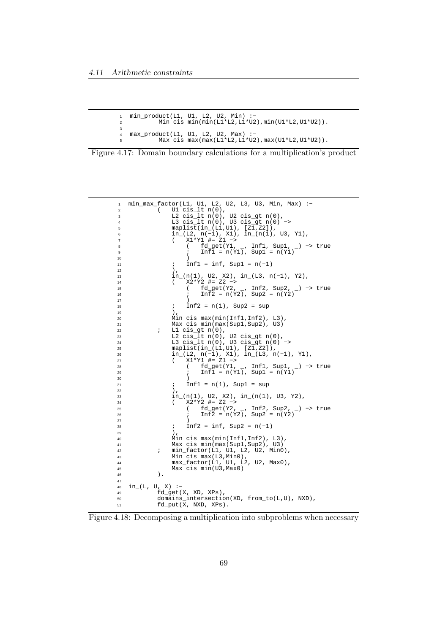```
min\_product(L1, U1, L2, U2, Min):-
         Min cis min(min(L1*L2, L1*U2),min(U1*L2, U1*U2)).
3
4 max_product(L1, U1, L2, U2, Max) :−
5 Max cis max(max(L1*L2,L1*U2),max(U1*L2,U1*U2)).
```


```
1 min_max_factor(L1, U1, L2, U2, L3, U3, Min, Max) :−
2 ( U1 cis_lt n(0),
3 L2 cis_lt n(0), U2 cis_gt n(0),
4 L3 cis_lt n(0), U3 cis_gt n(0) −>
5 maplist(in_(L1,U1), [Z1,Z2]),
6 in_(L2, n(−1), X1), in_(n(1), U3, Y1),
7 ( X1*Y1 #= Z1 −>
8 ( fd_get(Y1, _, Inf1, Sup1, _) −> true
9 ; Inf1 = n(Y1), Sup1 = n(Y1)
10 )
11 ; \inf_{12} = \inf_{12}, \sup_{12} = n(-1)12 ),
13 in_(n(1), U2, X2), in_(L3, n(−1), Y2),
14 ( X2*Y2 #= Z2 −>
15 ( fd_get(Y2, _, Inf2, Sup2, _) −> true
16 ; Inf2 = n(Y2), Sup2 = n(Y2)
17 )
18 ; \text{Inf2} = n(1), \text{ Sup2} = \text{sup}<br>19 );\frac{19}{19} ),
20 Min cis max(min(Inf1,Inf2), L3),
21 Max cis min(max(Sup1,Sup2), U3)
\frac{1}{2} ; L1 cis_gt n(0),
23 L2 cis_lt n(0), U2 cis_gt n(0),
24 L3 cis_lt n(0), U3 cis_gt n(0) −>
25 maplist(in_(L1,U1), [Z1,Z2]),<br>26 in_(L2, n(-1), X1), in_(L3, n
26 in_(L2, n(−1), X1), in_(L3, n(−1), Y1),
27 ( X1*Y1 #= Z1 −>
28 ( fd_get(Y1, _, Inf1, Sup1, _) −> true
29 ; Inf1 = n(Y1), Sup1 = n(Y1)
30 )
\int_{32}^{31} ; Inf1 = n(1), Sup1 = sup<br>32 ),
32 ),
33 in_(n(1), U2, X2), in_(n(1), U3, Y2),
34 ( X2*Y2 #= Z2 −>
35 ( fd_get(Y2, _, Inf2, Sup2, _) −> true
36 ; Inf2 = n(Y2), Sup2 = n(Y2)
37 )
\lim_{39} ; \ln f2 = \ln f, \text{Sup2} = n(-1)39 ),
40 Min cis max(min(Inf1,Inf2), L3),<br>41 Max cis min(max(Sup1,Sup2), U3)
41 Max cis min(max(Sup1,Sup2), U3)
42 ; min_factor(L1, U1, L2, U2, Min0),
43 Min cis max(L3,Min0),
44 max_factor(L1, U1, L2, U2, Max0),
\frac{1}{46} Max cis min(U3, Max0)<br>46
         \lambda.
47
48 in_(L, U, X) :−
49 fd_get(X, XD, XPs),
50 domains_intersection(XD, from_to(L,U), NXD),
51 fd_put(X, NXD, XPs).
```
Figure 4.18: Decomposing a multiplication into subproblems when necessary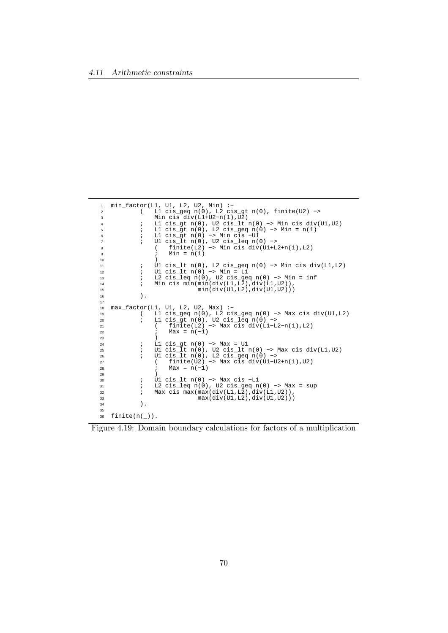```
1 min_factor(L1, U1, L2, U2, Min) :−
2 ( L1 cis_geq n(0), L2 cis_gt n(0), finite(U2) −>
3 Min cis div(L1+U2−n(1),U2)
4 ; L1 cis_gt n(0), U2 cis_lt n(0) −> Min cis div(U1,U2)
5 ; L1 cis_gt n(0), L2 cis_geq n(0) −> Min = n(1)
6 ; L1 cis_gt n(0) −> Min cis −U1
7 ; U1 cis_lt n(0), U2 cis_leq n(0) −>
8 ( finite(L2) −> Min cis div(U1+L2+n(1),L2)
9 ; Min = n(1)
10 )
11 ; U1 cis_lt n(0), L2 cis_geq n(0) −> Min cis div(L1,L2)
12 ; U1 cis_lt n(0) −> Min = L1
13 ; L2 cis_leq n(0), U2 cis_geq n(0) −> Min = inf
14 ; Min cis min(min(div(L1,L2),div(L1,U2)),
15 min(div(U1,L2),div(U1,U2)))
16 ).
17
18 max_factor(L1, U1, L2, U2, Max) :−
19 ( L1 cis_geq n(0), L2 cis_geq n(0) −> Max cis div(U1,L2)
20 ; L1 cis_gt n(0), U2 cis_leq n(0) −>
21 ( finite(L2) −> Max cis div(L1−L2−n(1),L2)
22 ; {\frac{1}{22}} ; {\frac{1}{22}} ; {\frac{1}{2}} ; {\frac{1}{2}} ; {\frac{1}{2}} ; {\frac{1}{2}} ; {\frac{1}{2}} ; {\frac{1}{2}} ; {\frac{1}{2}} ; {\frac{1}{2}} ; {\frac{1}{2}} ; {\frac{1}{2}} ; {\frac{1}{2}} ; {\frac{1}{2}} ; {\frac{1}{2}} ; {\frac{1}{2}} ; {\frac{1}{2}} ; {\frac{1}{2}}23 )
24 ; L1 cis_gt n(0) −> Max = U1
25 ; U1 cis_lt n(0), U2 cis_lt n(0) −> Max cis div(L1,U2)
26 ; U1 cis_lt n(0), L2 cis_geq n(0) −>
27 ( finite(U2) −> Max cis div(U1−U2+n(1),U2)
28 ; Max = n(−1)
29 )
30 ; U1 cis_lt n(0) -> Max cis -L1<br>31 ; L2 cis_leq n(0), U2 cis_geq n
31 ; L2 cis_leq n(0), U2 cis_geq n(0) −> Max = sup
32 ; Max cis max(max(div(L1,L2),div(L1,U2)),
33 max(div(U1, L2), div(U1, U2)))\hspace{1.6cm} 34 \hspace{1.5cm} \Big) \hspace{.1cm} .35
36 finite(n(_)).
```
Figure 4.19: Domain boundary calculations for factors of a multiplication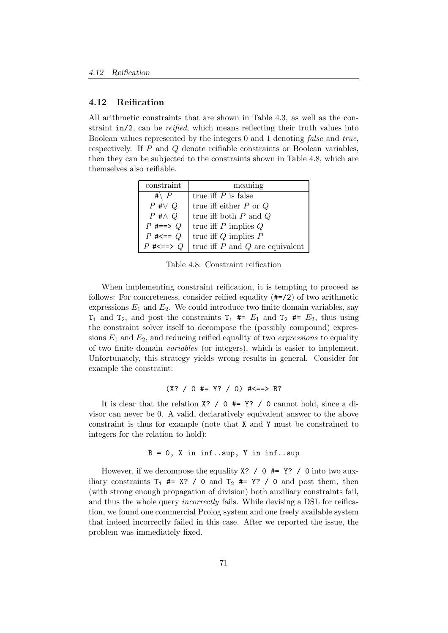#### 4.12 Reification

All arithmetic constraints that are shown in Table 4.3, as well as the constraint in/2, can be *reified*, which means reflecting their truth values into Boolean values represented by the integers 0 and 1 denoting false and true, respectively. If P and Q denote reifiable constraints or Boolean variables, then they can be subjected to the constraints shown in Table 4.8, which are themselves also reifiable.

| constraint          | meaning                                 |
|---------------------|-----------------------------------------|
| #\ $P$              | true iff $P$ is false                   |
| $P \neq \lor Q$     | true iff either $P$ or $Q$              |
| $P \# \wedge Q$     | true iff both ${\cal P}$ and ${\cal Q}$ |
| $P \neq == > Q$     | true iff $P$ implies $Q$                |
| $P \neq == Q$       | true iff $Q$ implies $\cal P$           |
| $P \neq \equiv > Q$ | true iff $P$ and $Q$ are equivalent     |

Table 4.8: Constraint reification

When implementing constraint reification, it is tempting to proceed as follows: For concreteness, consider reified equality (#=/2) of two arithmetic expressions  $E_1$  and  $E_2$ . We could introduce two finite domain variables, say  $T_1$  and  $T_2$ , and post the constraints  $T_1$  #=  $E_1$  and  $T_2$  #=  $E_2$ , thus using the constraint solver itself to decompose the (possibly compound) expressions  $E_1$  and  $E_2$ , and reducing reified equality of two *expressions* to equality of two finite domain variables (or integers), which is easier to implement. Unfortunately, this strategy yields wrong results in general. Consider for example the constraint:

$$
(X? / 0 #= Y? / 0) #<==> B?
$$

It is clear that the relation X? / 0 #= Y? / 0 cannot hold, since a divisor can never be 0. A valid, declaratively equivalent answer to the above constraint is thus for example (note that X and Y must be constrained to integers for the relation to hold):

## $B = 0$ , X in inf..sup, Y in inf..sup

However, if we decompose the equality  $X$ ? / 0  $#= Y$ ? / 0 into two auxiliary constraints  $T_1$  #= X? / 0 and  $T_2$  #= Y? / 0 and post them, then (with strong enough propagation of division) both auxiliary constraints fail, and thus the whole query incorrectly fails. While devising a DSL for reification, we found one commercial Prolog system and one freely available system that indeed incorrectly failed in this case. After we reported the issue, the problem was immediately fixed.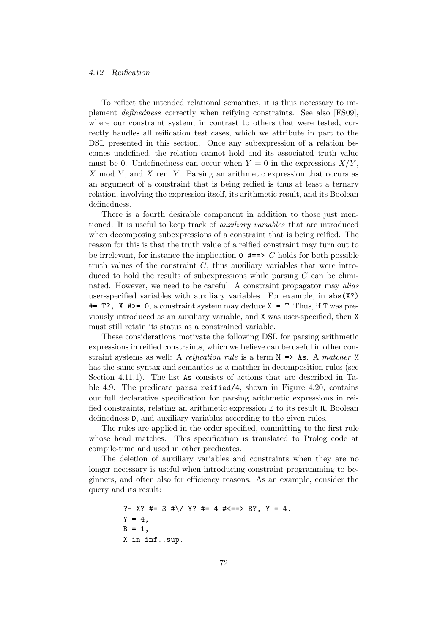To reflect the intended relational semantics, it is thus necessary to implement definedness correctly when reifying constraints. See also [FS09], where our constraint system, in contrast to others that were tested, correctly handles all reification test cases, which we attribute in part to the DSL presented in this section. Once any subexpression of a relation becomes undefined, the relation cannot hold and its associated truth value must be 0. Undefinedness can occur when  $Y = 0$  in the expressions  $X/Y$ , X mod Y, and X rem Y. Parsing an arithmetic expression that occurs as an argument of a constraint that is being reified is thus at least a ternary relation, involving the expression itself, its arithmetic result, and its Boolean definedness.

There is a fourth desirable component in addition to those just mentioned: It is useful to keep track of auxiliary variables that are introduced when decomposing subexpressions of a constraint that is being reified. The reason for this is that the truth value of a reified constraint may turn out to be irrelevant, for instance the implication  $0 \neq => C$  holds for both possible truth values of the constraint  $C$ , thus auxiliary variables that were introduced to hold the results of subexpressions while parsing  $C$  can be eliminated. However, we need to be careful: A constraint propagator may alias user-specified variables with auxiliary variables. For example, in abs(X?)  $#= T$ ?, X  $#>= 0$ , a constraint system may deduce  $X = T$ . Thus, if T was previously introduced as an auxiliary variable, and X was user-specified, then X must still retain its status as a constrained variable.

These considerations motivate the following DSL for parsing arithmetic expressions in reified constraints, which we believe can be useful in other constraint systems as well: A reification rule is a term  $M \Rightarrow$  As. A matcher M has the same syntax and semantics as a matcher in decomposition rules (see Section 4.11.1). The list As consists of actions that are described in Table 4.9. The predicate parse reified/4, shown in Figure 4.20, contains our full declarative specification for parsing arithmetic expressions in reified constraints, relating an arithmetic expression E to its result R, Boolean definedness D, and auxiliary variables according to the given rules.

The rules are applied in the order specified, committing to the first rule whose head matches. This specification is translated to Prolog code at compile-time and used in other predicates.

The deletion of auxiliary variables and constraints when they are no longer necessary is useful when introducing constraint programming to beginners, and often also for efficiency reasons. As an example, consider the query and its result:

```
?- X? #= 3 #\/ Y? #= 4 #<==> B?, Y = 4.
Y = 4,B = 1,
X in inf..sup.
```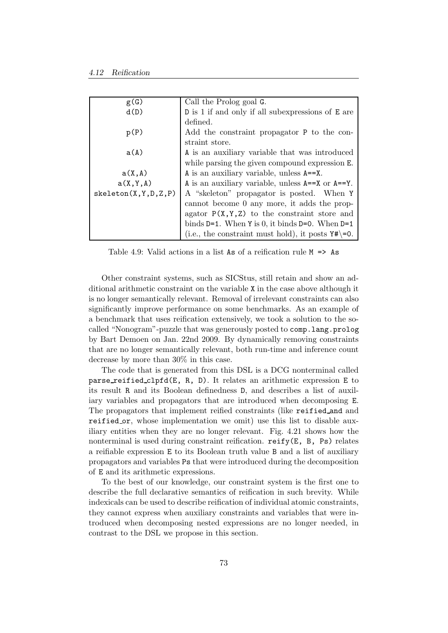| g(G)                    | Call the Prolog goal G.                                   |
|-------------------------|-----------------------------------------------------------|
| d(D)                    | D is 1 if and only if all subexpressions of E are         |
|                         | defined.                                                  |
| p(P)                    | Add the constraint propagator P to the con-               |
|                         | straint store.                                            |
| a(A)                    | A is an auxiliary variable that was introduced            |
|                         | while parsing the given compound expression E.            |
| a(X, A)                 | A is an auxiliary variable, unless A==X.                  |
| a(X, Y, A)              | A is an auxiliary variable, unless $A == X$ or $A == Y$ . |
| skeleton(X, Y, D, Z, P) | A "skeleton" propagator is posted. When Y                 |
|                         | cannot become 0 any more, it adds the prop-               |
|                         | agator $P(X, Y, Z)$ to the constraint store and           |
|                         | binds $D=1$ . When Y is 0, it binds $D=0$ . When $D=1$    |
|                         | (i.e., the constraint must hold), it posts $Y\#$ = 0.     |

Table 4.9: Valid actions in a list As of a reification rule  $M \Rightarrow$  As

Other constraint systems, such as SICStus, still retain and show an additional arithmetic constraint on the variable X in the case above although it is no longer semantically relevant. Removal of irrelevant constraints can also significantly improve performance on some benchmarks. As an example of a benchmark that uses reification extensively, we took a solution to the socalled "Nonogram"-puzzle that was generously posted to comp.lang.prolog by Bart Demoen on Jan. 22nd 2009. By dynamically removing constraints that are no longer semantically relevant, both run-time and inference count decrease by more than 30% in this case.

The code that is generated from this DSL is a DCG nonterminal called parse reified clpfd(E, R, D). It relates an arithmetic expression E to its result R and its Boolean definedness D, and describes a list of auxiliary variables and propagators that are introduced when decomposing E. The propagators that implement reified constraints (like reified and and reified or, whose implementation we omit) use this list to disable auxiliary entities when they are no longer relevant. Fig. 4.21 shows how the nonterminal is used during constraint reification. reify(E, B, Ps) relates a reifiable expression E to its Boolean truth value B and a list of auxiliary propagators and variables Ps that were introduced during the decomposition of E and its arithmetic expressions.

To the best of our knowledge, our constraint system is the first one to describe the full declarative semantics of reification in such brevity. While indexicals can be used to describe reification of individual atomic constraints, they cannot express when auxiliary constraints and variables that were introduced when decomposing nested expressions are no longer needed, in contrast to the DSL we propose in this section.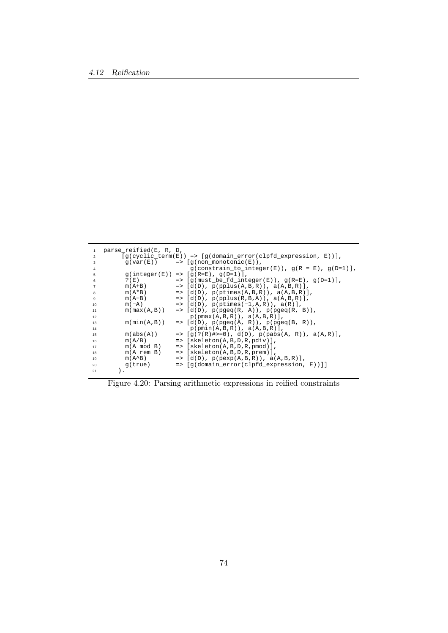|                | parse_reified(E, R, D, |                                                                              |
|----------------|------------------------|------------------------------------------------------------------------------|
| $\mathfrak{p}$ |                        | $[q(cyclic_cterm(E)) \Rightarrow [q(domain_cerror(clpfd_cexpression, E))]$ , |
| 3              |                        | $q(var(E))$ => $[q(non monotonic(E))]$ ,                                     |
| 4              |                        | $g(constraint_to_interest(F)), g(R = E), g(D=1)],$                           |
| 5              |                        | $q(integer(E)) \Rightarrow [q(R=E), q(D=1)],$                                |
| 6              | $?$ (E)                | $\Rightarrow$ [q(must_be_fd_integer(E)), q(R=E), q(D=1)],                    |
| $\overline{7}$ | $m(A+B)$               | $=$ [d(D), p(pplus(A,B,R)), a(A,B,R)],                                       |
| 8              | $m(A*B)$               | $=$ [d(D), p(ptimes(A,B,R)), a(A,B,R)],                                      |
| 9              | $m(A-B)$               | $=$ [d(D), p(pplus(R,B,A)), a(A,B,R)],                                       |
| 10             | $m(-A)$                | $\Rightarrow$ [d(D), p(ptimes(-1,A,R)), a(R)],                               |
| 11             | m(max(A,B))            | $\Rightarrow$ [d(D), p(pgeq(R, A)), p(pgeq(R, B)),                           |
| 12             |                        | $p(pmax(A,B,R))$ , $a(A,B,R)$ ],                                             |
| 13             | m(min(A, B))           | $\Rightarrow$ [d(D), p(pgeq(A, R)), p(pgeq(B, R)),                           |
| 14             |                        | $p(pmin(A,B,R))$ , $a(A,B,R)$ ],                                             |
| 15             | m(abs(A))              | $=$ $\left[ q(?(R)$ #>=0), d(D), p(pabs(A, R)), a(A,R)],                     |
| 16             | m(A/B)                 | $=$ [skeleton(A,B,D,R,pdiv)],                                                |
| 17             | $m(A \mod B)$          | $=$ [skeleton(A,B,D,R,pmod)],                                                |
| 18             | $m(A$ rem B)           | $=$ [skeleton(A,B,D,R, prem)],                                               |
| 19             | $m(A^{\wedge}B)$       | $=$ [d(D), p(pexp(A,B,R)), a(A,B,R)],                                        |
| 20             | q(true)                | $\Rightarrow$ [q(domain error(clpfd expression, E))]]                        |
| 21             |                        |                                                                              |

Figure 4.20: Parsing arithmetic expressions in reified constraints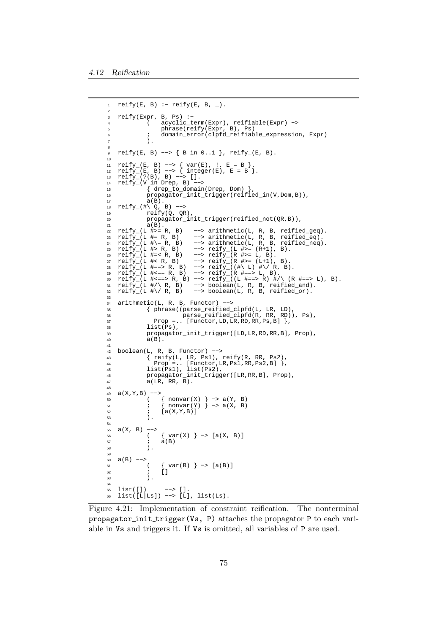```
reify(E, B) :- reify(E, B, ...).
\overline{\phantom{a}}3 reify(Expr, B, Ps) :−
             4 ( acyclic_term(Expr), reifiable(Expr) −>
 5 phrase(reify(Expr, B), Ps)
 6 ; domain_error(clpfd_reifiable_expression, Expr)
             \lambda.
8
9 reify(E, B) −−> { B in 0..1 }, reify_(E, B).
10
11 reify_(E, B) −−> { var(E), !, E = B }.
12 reify_(E, B) --> { integer(E), E = B }.
13 reify_(?(B), B) −−> [].
14 reify_(V in Drep, B) −−>
15 { drep_to_domain(Drep, Dom) },
16 propagator_init_trigger(reified_in(V,Dom,B)),
17 \t a(B).18 reify_(#\ Q, B) −−>
19 reify(Q, QR),
20 propagator_init_trigger(reified_not(QR,B)),<br>a(B).
21 a(B).<br>
22 reify_{(L \#>= R, B)}<br>
23 reify_{(L \#= R, B)}--> arithmetic(L, R, B, reified_geq).
23 reify_(L #= R, B) --> arithmetic(L, R, B, reified_eq).<br>
24 reify_(L #\= R, B) --> arithmetic(L, R, B, reified_neq)<br>
25 reify_(L #> R, B) --> reify_(L #>= (R+1), B).
24 reify_(L #\= R, B) −−> arithmetic(L, R, B, reified_neq).
25 reify_(L #> R, B) −−> reify_(L #>= (R+1), B).
26 reify_(L #=< R, B) −−> reify_(R #>= L, B).
27 reify_(L #< R, B) --> reify_(R #>= (L+1), B).
28 reify_(L #==> R, B) −−> reify_((#\ L) #\/ R, B).
29 reify_(L #<== R, B) −−> reify_(R #==> L, B).
30 reify_(L #<==> R, B) −−> reify_((L #==> R) #/\ (R #==> L), B).
31 reify_(L #/\ R, B) −−> boolean(L, R, B, reified_and).
32 reify_(L #\/ R, B) −−> boolean(L, R, B, reified_or).
33
34 arithmetic(L, R, B, Functor) −−>
35 { phrase((parse_reified_clpfd(L, LR, LD),
36 parse_reified_clpfd(R, RR, RD)), Ps),
37 Prop =.. [Functor, LD, LR, RD, RR, Ps, B] },
38 list(Ps),<br>39 propagatol
39 propagator_init_trigger([LD,LR,RD,RR,B], Prop),
            \overline{a}(\overline{B}).
41
42 boolean(L, R, B, Functor) −−>
43 { reify(L, LR, Ps1), reify(R, RR, Ps2),
44 Prop =.. [Functor,LR,Ps1,RR,Ps2,B] },
45 list(Ps1), list(Ps2),
46 propagator_init_trigger([LR,RR,B], Prop),<br>47 a(LR, RR, B).
            \overline{a(LR, RR, B)}.
48
49 a(X,Y,B) −−>
50 ( { nonvar(X) } −> a(Y, B)
51 ; { nonvar(Y) } −> a(X, B)
52 i \text{ [a(X,Y,B)]}\lambda.
54
55 a(X, B) −−>
56 ( \{ var(X) \} -> [a(X, B)]57 ; a(B)<br>58 )
            \lambda.
59
60 a(B) −−>
61 ( \{ var(B) \} \rightarrow [a(B)]<br>62 i \in [1]\ddot{\text{}}63 ).
64
65 list([]) −−> [].
66 list([L|Ls]) −−> [L], list(Ls).
```
Figure 4.21: Implementation of constraint reification. The nonterminal propagator init trigger(Vs, P) attaches the propagator P to each variable in Vs and triggers it. If Vs is omitted, all variables of P are used.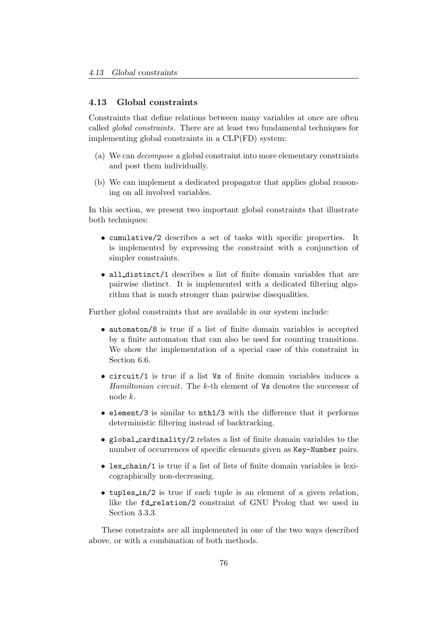# 4.13 Global constraints

Constraints that define relations between many variables at once are often called global constraints. There are at least two fundamental techniques for implementing global constraints in a CLP(FD) system:

- (a) We can decompose a global constraint into more elementary constraints and post them individually.
- (b) We can implement a dedicated propagator that applies global reasoning on all involved variables.

In this section, we present two important global constraints that illustrate both techniques:

- cumulative/2 describes a set of tasks with specific properties. It is implemented by expressing the constraint with a conjunction of simpler constraints.
- all distinct/1 describes a list of finite domain variables that are pairwise distinct. It is implemented with a dedicated filtering algorithm that is much stronger than pairwise disequalities.

Further global constraints that are available in our system include:

- automaton/8 is true if a list of finite domain variables is accepted by a finite automaton that can also be used for counting transitions. We show the implementation of a special case of this constraint in Section 6.6.
- circuit/1 is true if a list Vs of finite domain variables induces a Hamiltonian circuit. The k-th element of Vs denotes the successor of node k.
- element/3 is similar to nth1/3 with the difference that it performs deterministic filtering instead of backtracking.
- global cardinality/2 relates a list of finite domain variables to the number of occurrences of specific elements given as Key-Number pairs.
- lex\_chain/1 is true if a list of lists of finite domain variables is lexicographically non-decreasing.
- tuples in/2 is true if each tuple is an element of a given relation, like the fd\_relation/2 constraint of GNU Prolog that we used in Section 3.3.3.

These constraints are all implemented in one of the two ways described above, or with a combination of both methods.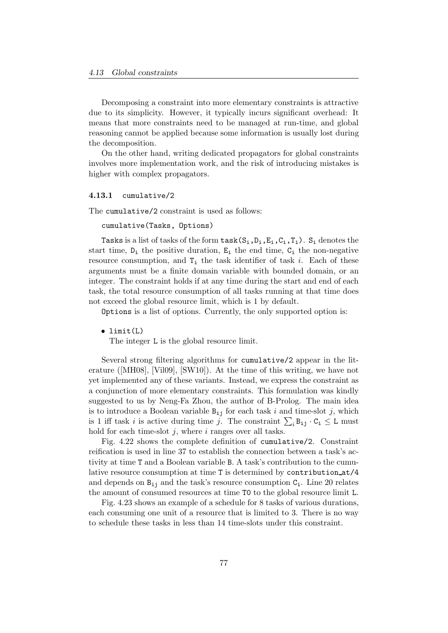Decomposing a constraint into more elementary constraints is attractive due to its simplicity. However, it typically incurs significant overhead: It means that more constraints need to be managed at run-time, and global reasoning cannot be applied because some information is usually lost during the decomposition.

On the other hand, writing dedicated propagators for global constraints involves more implementation work, and the risk of introducing mistakes is higher with complex propagators.

#### 4.13.1 cumulative/2

The cumulative/2 constraint is used as follows:

```
cumulative(Tasks, Options)
```
Tasks is a list of tasks of the form  $\text{task}(S_i,D_i,E_i,C_i,T_i)$ .  $S_i$  denotes the start time,  $D_i$  the positive duration,  $E_i$  the end time,  $C_i$  the non-negative resource consumption, and  $T_i$  the task identifier of task i. Each of these arguments must be a finite domain variable with bounded domain, or an integer. The constraint holds if at any time during the start and end of each task, the total resource consumption of all tasks running at that time does not exceed the global resource limit, which is 1 by default.

Options is a list of options. Currently, the only supported option is:

• limit(L)

The integer L is the global resource limit.

Several strong filtering algorithms for cumulative/2 appear in the literature ([MH08], [Vil09], [SW10]). At the time of this writing, we have not yet implemented any of these variants. Instead, we express the constraint as a conjunction of more elementary constraints. This formulation was kindly suggested to us by Neng-Fa Zhou, the author of B-Prolog. The main idea is to introduce a Boolean variable  $B_{ij}$  for each task i and time-slot j, which is 1 iff task *i* is active during time *j*. The constraint  $\sum_i B_{ij} \cdot C_i \leq L$  must hold for each time-slot  $j$ , where  $i$  ranges over all tasks.

Fig. 4.22 shows the complete definition of cumulative/2. Constraint reification is used in line 37 to establish the connection between a task's activity at time T and a Boolean variable B. A task's contribution to the cumulative resource consumption at time T is determined by contribution at/4 and depends on  $B_{i,j}$  and the task's resource consumption  $C_i$ . Line 20 relates the amount of consumed resources at time T0 to the global resource limit L.

Fig. 4.23 shows an example of a schedule for 8 tasks of various durations, each consuming one unit of a resource that is limited to 3. There is no way to schedule these tasks in less than 14 time-slots under this constraint.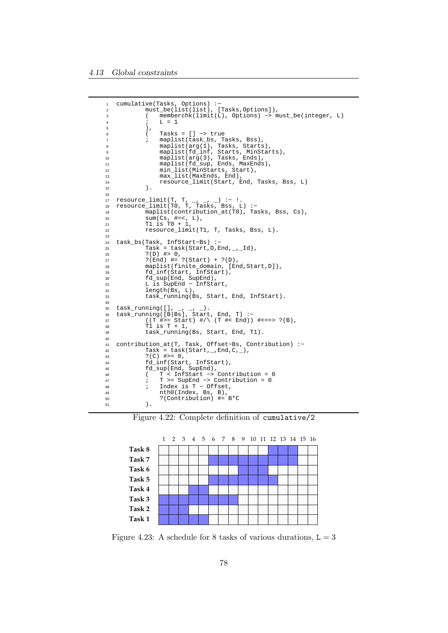```
1 cumulative(Tasks, Options) :−
2 must_be(list(list), [Tasks,Options]),
3 ( memberchk(limit(L), Options) −> must_be(integer, L)
               L = 1\begin{array}{ccc} 5 & & & \\ 6 & & & \end{array} \qquad \qquad \begin{array}{c} \\ \end{array} \qquad \qquad \begin{array}{c} \\ \end{array}6 ( Tasks = [] −> true
7 ; maplist(task_bs, Tasks, Bss),
8 maplist(arg(1), Tasks, Starts),
9 maplist(fd_inf, Starts, MinStarts),
10 maplist(arg(3), Tasks, Ends),
11 maplist(fd_sup, Ends, MaxEnds),<br>12 min list(MinStarts, Start),
12 min_list(MinStarts, Start),
13 max_list(MaxEnds, End),
14 resource_limit(Start, End, Tasks, Bss, L)
15 ).
16
17 resource_limit(T, T, _, _, _) :− !.
18 resource_limit(T0, T, Tasks, Bss, L) :−
19 maplist(contribution_at(T0), Tasks, Bss, Cs),
20 sum(Cs, #=<, L),
21 T1 is T0 + 1,
22 resource_limit(T1, T, Tasks, Bss, L).
23
24 task_bs(Task, InfStart−Bs) :−
25 Task = task(Start,D,End,_,_Id),
26 ?(D) #> 0,
27 ?(End) #= ?(Start) + ?(D),
28 maplist(finite_domain, [End,Start,D]),<br>fd_inf(Start, InfStart),
29 fd_inf(Start, InfStart),<br>30 fd sup(End, SupEnd).
30 fd_sup(End, SupEnd),
31 L is SupEnd − InfStart,
32 length(Bs, L),
33 task_running(Bs, Start, End, InfStart).
34
35 task_running([], _, _, _).
36 task_running([B|Bs], Start, End, T) :−
37 ((T #>= Start) #/\ (T #< End)) #<==> ?(B),
38 T1 is T + 1,
39 task_running(Bs, Start, End, T1).
40
41 contribution_at(T, Task, Offset-Bs, Contribution) :-<br>42 Task = task(Start,_,End,C,_),
T Task = task(Start, _,End,C, _),<br>
(2) \# >= 0,
43 ?(C) #>= 0,<br>44 fd_inf(Star
44 fd_inf(Start, InfStart),<br>45 fd sup(End, SupEnd).
45 fd_sup(End, SupEnd),
46 ( T < InfStart −> Contribution = 0
47 ; T >= SupEnd −> Contribution = 0
48 ; Index is T − Offset,
49 nth0(Index, Bs, B),
50 ?(Contribution) #= B*C
51 ).
```




Figure 4.23: A schedule for 8 tasks of various durations,  $L = 3$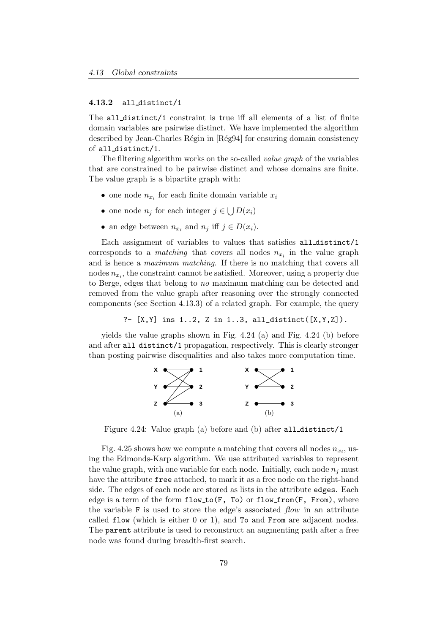#### 4.13.2 all distinct/1

The all distinct/1 constraint is true iff all elements of a list of finite domain variables are pairwise distinct. We have implemented the algorithm described by Jean-Charles Régin in [Rég94] for ensuring domain consistency of all distinct/1.

The filtering algorithm works on the so-called *value graph* of the variables that are constrained to be pairwise distinct and whose domains are finite. The value graph is a bipartite graph with:

- one node  $n_{x_i}$  for each finite domain variable  $x_i$
- one node  $n_j$  for each integer  $j \in \bigcup D(x_i)$
- an edge between  $n_{x_i}$  and  $n_j$  iff  $j \in D(x_i)$ .

Each assignment of variables to values that satisfies all distinct/1 corresponds to a *matching* that covers all nodes  $n_{x_i}$  in the value graph and is hence a maximum matching. If there is no matching that covers all nodes  $n_{x_i}$ , the constraint cannot be satisfied. Moreover, using a property due to Berge, edges that belong to no maximum matching can be detected and removed from the value graph after reasoning over the strongly connected components (see Section 4.13.3) of a related graph. For example, the query

?-  $[X, Y]$  ins 1..2, Z in 1..3, all\_distinct( $[X, Y, Z]$ ).

yields the value graphs shown in Fig. 4.24 (a) and Fig. 4.24 (b) before and after all distinct/1 propagation, respectively. This is clearly stronger than posting pairwise disequalities and also takes more computation time.



Figure 4.24: Value graph (a) before and (b) after all distinct/1

Fig. 4.25 shows how we compute a matching that covers all nodes  $n_{x_i}$ , using the Edmonds-Karp algorithm. We use attributed variables to represent the value graph, with one variable for each node. Initially, each node  $n_i$  must have the attribute free attached, to mark it as a free node on the right-hand side. The edges of each node are stored as lists in the attribute edges. Each edge is a term of the form  $flow_to(F, To)$  or  $flow_time(F, From)$ , where the variable F is used to store the edge's associated  $flow$  in an attribute called flow (which is either 0 or 1), and To and From are adjacent nodes. The parent attribute is used to reconstruct an augmenting path after a free node was found during breadth-first search.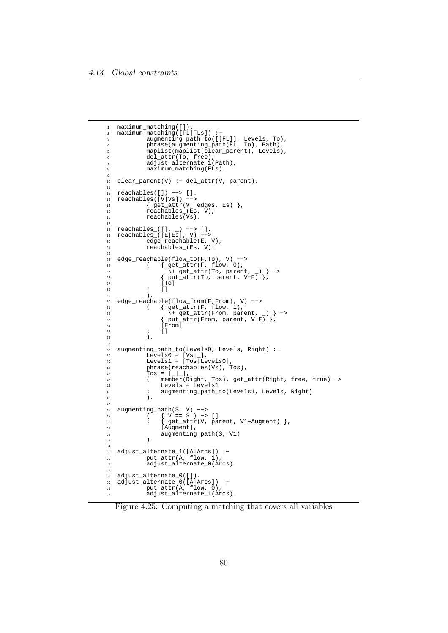```
1 maximum_matching([]).
2 maximum_matching([FL|FLs]) :−
 3 augmenting_path_to([[FL]], Levels, To),
 4 phrase(augmenting_path(FL, To), Path),
5 maplist(maplist(clear_parent), Levels),
 6 del_attr(To, free),
 7 adjust_alternate_1(Path),
8 maximum_matching(FLs).
9
10 clear_parent(V) :− del_attr(V, parent).
11
12 reachables([]) −−> [].
13 reachables([V|Vs]) −−>
14 { \qquad \qquad } { \qquad \qquad } { \qquad \qquad } { \qquad \qquad } { \qquad \qquad } { \qquad \qquad } { \qquad \qquad } { \qquad \qquad } { \qquad \qquad } { \qquad \qquad } { \qquad \qquad } { \qquad \qquad } { \qquad \qquad } { \qquad \qquad } { \qquad \qquad } { \qquad \qquad } { \qquad \qquad } { \qquad \qquad } { \qquad \qquad } { \qquad \qquad }r = \frac{1}{15} reachables (Es, V),
16 reachables(Vs).
17
18 reachables_([], _) −−> [].
19 reachables_([E|Es], V) −−>
20 edge_reachable(E, V),
21 reachables_(Es, V).
22
23 edge_reachable(flow_to(F,To), V) --><br>24 ( \{ get\_attr(F, flow, 0),24 ( { get\_attr(F, flow, 0),<br>25 ( { et\_attr(To, parent)25 \+ get_attr(To, parent, _) } ->
26 { put_attr(To, parent, V−F) },
27 [\text{To}]28 ; []
29 ).
30 edge_reachable(flow_from(F,From), V) −−>
31 ( { get_attr(F, flow, 1),
32 \+ get_attr(From, parent, _) } −>
33 { put_attr(From, parent, V−F) },
34 [From]<br>35 ; []
\begin{array}{ccc} 35 & \hspace{1.5cm} & \hspace{1.5cm} & \hspace{1.5cm} & \hspace{1.5cm} & \hspace{1.5cm} & \hspace{1.5cm} \end{array} \hspace{3cm} \begin{array}{ccc} \hspace{1.5cm} & \hspace{1.5cm} & \hspace{1.5cm} & \hspace{1.5cm} & \hspace{1.5cm} \end{array} \hspace{3cm}\lambda.
37
38 augmenting_path_to(Levels0, Levels, Right) :−
39 Levels0 = [Vs | ],
40 Levels1 = [Tos|Levels0],
41 phrase(reachables(Vs), Tos),<br>\frac{42}{100} = \begin{bmatrix} 1 & 1 \end{bmatrix}42 \text{ Tos} = \begin{bmatrix} -1 \\ -1 \end{bmatrix},<br>
43 \text{ ( member (R) }43 ( member(Right, Tos), get_attr(Right, free, true) −>
44 Levels = Levels1
45 ; augmenting_path_to(Levels1, Levels, Right)
              ).
47
48 augmenting_path(S, V) −−>
49 ( { V == S } −> []
50 ; { get_attr(V, parent, V1−Augment) },
51 [Augment],<br>52 augmenting
52 augmenting_path(S, V1)
              \lambda54
55 adjust_alternate_1([A|Arcs]) :−
56 put_attr(A, flow, 1),
57 adjust_alternate_0(Arcs).
58
59 adjust_alternate_0([]).
60 adjust_alternate_0([A|Arcs]) :−
61 put_attr(A, flow, 0),
62 adjust_alternate_1(Arcs).
```
Figure 4.25: Computing a matching that covers all variables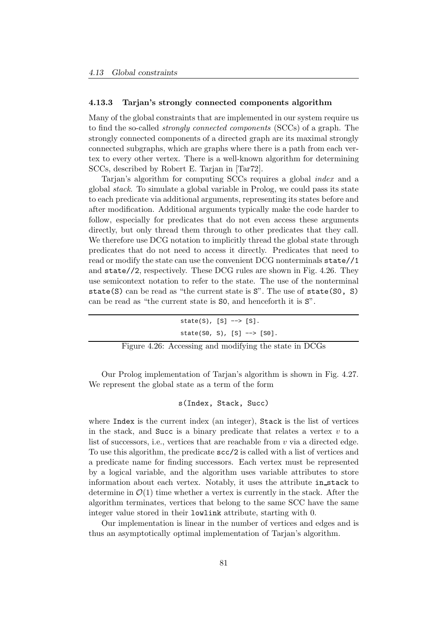#### 4.13.3 Tarjan's strongly connected components algorithm

Many of the global constraints that are implemented in our system require us to find the so-called strongly connected components (SCCs) of a graph. The strongly connected components of a directed graph are its maximal strongly connected subgraphs, which are graphs where there is a path from each vertex to every other vertex. There is a well-known algorithm for determining SCCs, described by Robert E. Tarjan in [Tar72].

Tarjan's algorithm for computing SCCs requires a global index and a global stack. To simulate a global variable in Prolog, we could pass its state to each predicate via additional arguments, representing its states before and after modification. Additional arguments typically make the code harder to follow, especially for predicates that do not even access these arguments directly, but only thread them through to other predicates that they call. We therefore use DCG notation to implicitly thread the global state through predicates that do not need to access it directly. Predicates that need to read or modify the state can use the convenient DCG nonterminals state//1 and state//2, respectively. These DCG rules are shown in Fig. 4.26. They use semicontext notation to refer to the state. The use of the nonterminal state(S) can be read as "the current state is S". The use of state(S0, S) can be read as "the current state is S0, and henceforth it is S".

| $state(S)$ , $[S] \rightarrow > [S]$ .                 |
|--------------------------------------------------------|
| $state(S0, S), [S] \rightarrow > [S0].$                |
| Figure 4.26: Accessing and modifying the state in DCGs |

Our Prolog implementation of Tarjan's algorithm is shown in Fig. 4.27. We represent the global state as a term of the form

s(Index, Stack, Succ)

where Index is the current index (an integer), Stack is the list of vertices in the stack, and Succ is a binary predicate that relates a vertex  $v$  to a list of successors, i.e., vertices that are reachable from  $v$  via a directed edge. To use this algorithm, the predicate scc/2 is called with a list of vertices and a predicate name for finding successors. Each vertex must be represented by a logical variable, and the algorithm uses variable attributes to store information about each vertex. Notably, it uses the attribute in stack to determine in  $\mathcal{O}(1)$  time whether a vertex is currently in the stack. After the algorithm terminates, vertices that belong to the same SCC have the same integer value stored in their lowlink attribute, starting with 0.

Our implementation is linear in the number of vertices and edges and is thus an asymptotically optimal implementation of Tarjan's algorithm.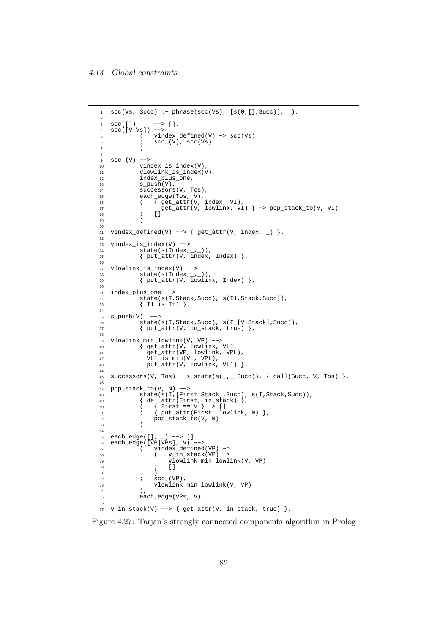```
1 scc(Vs, Succ) :− phrase(scc(Vs), [s(0,[],Succ)], _).
2
3 scc([]) −−> [].
4 scc([V|Vs]) −−>
5 ( vindex_defined(V) −> scc(Vs)
6 i \sec_{-}(V), \sec(Vs)7 ).
8
9 scc_(V) −−>
10 vindex_is_index(V),
11 vlowlink_is_index(V),<br>12 index plus one.
            index_plus_one,
13 s push(V).
T_{\text{2}} successors(V, Tos),<br>15 each edge(Tos, V),
15 each_edge(Tos, V),<br>16 (\{ get\_attr(V,16 \left\{\begin{array}{c} \frac{1}{\sqrt{2}} & \text{get\_attr}(V, \text{ index, VI}), \\ \text{get\_attr}(V, \text{ lowlink, VI}) & \text{if } V \end{array}\right.17 get_attr(V, lowlink, VI) } −> pop_stack_to(V, VI)
18 ; []
19 )
20
21 vindex_defined(V) --> { get_attr(V, index, _) }.
22
23 vindex_is_index(V) --><br>24 state(s(Index,
24 state(s(Index,_,_)),
25 { put_attr(V, index, Index) }.
26
27 vlowlink_is_index(V) −−>
28 state(s(Index, _{-1})),
29 { put_attr(V, lowlink, Index) }.
\overline{30}31 index_plus_one --><br>32 state(s(I,
32 state(s(I,Stack,Succ), s(I1,Stack,Succ)),
33 { I1 is I+1 }.
34
\begin{array}{cc}\n 35 & \text{s} \text{push}(V) & \text{-->} \\
 36 & \text{state}(V)\n \end{array}36 state(s(I,Stack,Succ), s(I,[V|Stack],Succ)),<br>37 { put_attr(V, in_stack, true) }.
            { \put_{\_}attr(V, in_{\_}stack, true) \}.38
39 vlowlink_min_lowlink(V, VP) −−>
40 { get_attr(V, lowlink, VL),
41 get_attr(VP, lowlink, VPL),
42 VL1 is min(VL, VPL),
43 put_attr(V, lowlink, VL1) }.
44
45 successors(V, Tos) −−> state(s(_,_,Succ)), { call(Succ, V, Tos) }.
46
47 pop_stack_to(V, N) −−>
48 state(s(I,[First|Stack],Succ), s(I,Stack,Succ)),<br>{del attr(First, in stack) }
49 { del_attr(First, in_stack) },
50 ( { First == V } −> []
51 \qquad \qquad ; \qquad \{ \text{put\_attr}(\text{First, lowlink, N}) \}52 pop_stack_to(V, N)
53 ).
54
55 each_edge([], _) −−> [].
56 each_edge([VP|VPs], V) −−>
57 ( vindex_defined(VP) −>
58 ( v_1 \overline{in\_stack(VP) } \rightarrow59 vlowlink_min_lowlink(V, VP)
60 ; []
61 )
62 i SCC_{N} (VP),
63 vlowlink_min_lowlink(V, VP)
64 ),<br>65 each
            each_edge(VPs, V).
6667 v_in_stack(V) −−> { get_attr(V, in_stack, true) }.
```
Figure 4.27: Tarjan's strongly connected components algorithm in Prolog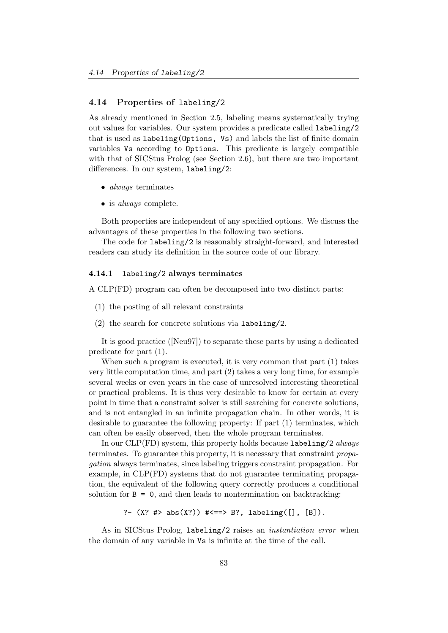## 4.14 Properties of labeling/2

As already mentioned in Section 2.5, labeling means systematically trying out values for variables. Our system provides a predicate called labeling/2 that is used as labeling(Options, Vs) and labels the list of finite domain variables Vs according to Options. This predicate is largely compatible with that of SICStus Prolog (see Section 2.6), but there are two important differences. In our system, labeling/2:

- *always* terminates
- is *always* complete.

Both properties are independent of any specified options. We discuss the advantages of these properties in the following two sections.

The code for labeling/2 is reasonably straight-forward, and interested readers can study its definition in the source code of our library.

#### 4.14.1 labeling/2 always terminates

A CLP(FD) program can often be decomposed into two distinct parts:

- (1) the posting of all relevant constraints
- (2) the search for concrete solutions via labeling/2.

It is good practice ([Neu97]) to separate these parts by using a dedicated predicate for part (1).

When such a program is executed, it is very common that part (1) takes very little computation time, and part (2) takes a very long time, for example several weeks or even years in the case of unresolved interesting theoretical or practical problems. It is thus very desirable to know for certain at every point in time that a constraint solver is still searching for concrete solutions, and is not entangled in an infinite propagation chain. In other words, it is desirable to guarantee the following property: If part (1) terminates, which can often be easily observed, then the whole program terminates.

In our  $CLP(FD)$  system, this property holds because labeling/2 always terminates. To guarantee this property, it is necessary that constraint propagation always terminates, since labeling triggers constraint propagation. For example, in CLP(FD) systems that do not guarantee terminating propagation, the equivalent of the following query correctly produces a conditional solution for  $B = 0$ , and then leads to nontermination on backtracking:

?- (X? #> abs(X?)) #<==> B?, labeling([], [B]).

As in SICStus Prolog, labeling/2 raises an instantiation error when the domain of any variable in Vs is infinite at the time of the call.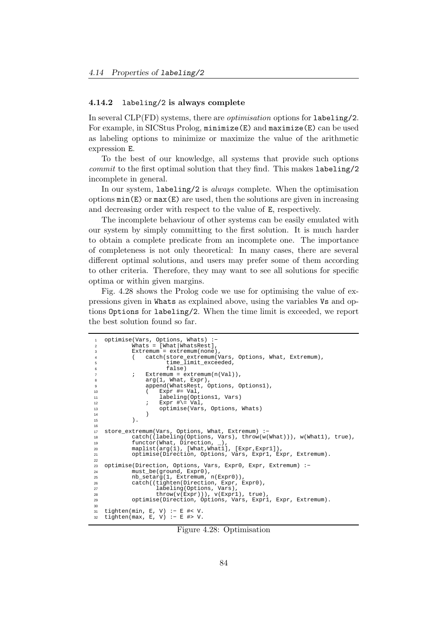#### 4.14.2 labeling/2 is always complete

In several  $CLP(FD)$  systems, there are *optimisation* options for labeling/2. For example, in SICStus Prolog, minimize(E) and maximize(E) can be used as labeling options to minimize or maximize the value of the arithmetic expression E.

To the best of our knowledge, all systems that provide such options commit to the first optimal solution that they find. This makes labeling/2 incomplete in general.

In our system, labeling/2 is *always* complete. When the optimisation options  $min(E)$  or  $max(E)$  are used, then the solutions are given in increasing and decreasing order with respect to the value of E, respectively.

The incomplete behaviour of other systems can be easily emulated with our system by simply committing to the first solution. It is much harder to obtain a complete predicate from an incomplete one. The importance of completeness is not only theoretical: In many cases, there are several different optimal solutions, and users may prefer some of them according to other criteria. Therefore, they may want to see all solutions for specific optima or within given margins.

Fig. 4.28 shows the Prolog code we use for optimising the value of expressions given in Whats as explained above, using the variables Vs and options Options for labeling/2. When the time limit is exceeded, we report the best solution found so far.

```
optimise(Vars, Options, Whats) :
               Whats = [What|WhatsRest],Extremum = extremum(none)4 ( catch(store_extremum(Vars, Options, What, Extremum),
                            time_limit_exceeded,
               false)<br>Fxtremum = e
                    Extremum = extremum(n(Val)),<br>arq(1, What, Expr),
                             What, Expr),
9 append(WhatsRest, Options, Options1),<br>
\frac{10}{x} Expr #= Val.
                          Expr #= Val.
11 labeling(Options1, Vars)
12 ; Expr #\= Val,<br>13 coptimise(Vars
13 optimise(Vars, Options, Whats)
14 )
\overline{15} ).
16
17 store_extremum(Vars, Options, What, Extremum) :−
18 catch((labeling(Options, Vars), throw(w(What))), w(What1), true),
19 functor(What, Direction, _),
20 maplist(arg(1), [What,What1], [Expr,Expr1]),
21 optimise(Direction, Options, Vars, Expr1, Expr, Extremum).
22
23 optimise(Direction, Options, Vars, Expr0, Expr, Extremum) :-<br>24 must_be(ground, Expr0),
24 must_be(ground, Expr0),
25 nb_setarg(1, Extremum, n(Expr0)),
26 catch((tighten(Direction, Expr, Expr0),
27 labeling(Options, Vars),
28 throw(v(Expr))), v(Expr1), true),
28 throw(v(Expr))), v(Expr1), true),<br>29 optimise(Direction, Options, Vars, Expr1, Expr, Extremum).
30
31 tighten(min, E, V) :− E #< V.
32 tighten(max, E, V) :− E #> V.
```
Figure 4.28: Optimisation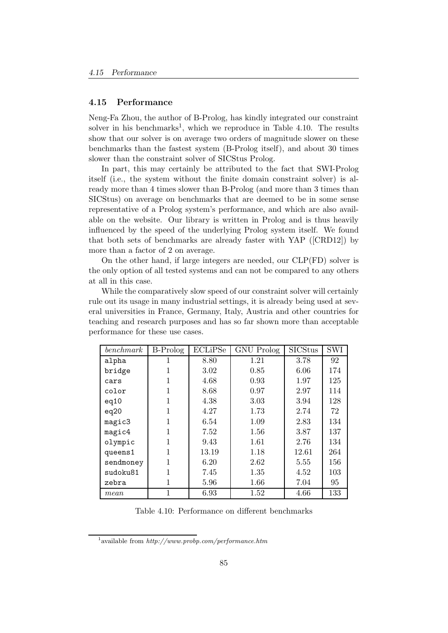### 4.15 Performance

Neng-Fa Zhou, the author of B-Prolog, has kindly integrated our constraint solver in his benchmarks<sup>1</sup>, which we reproduce in Table 4.10. The results show that our solver is on average two orders of magnitude slower on these benchmarks than the fastest system (B-Prolog itself), and about 30 times slower than the constraint solver of SICStus Prolog.

In part, this may certainly be attributed to the fact that SWI-Prolog itself (i.e., the system without the finite domain constraint solver) is already more than 4 times slower than B-Prolog (and more than 3 times than SICStus) on average on benchmarks that are deemed to be in some sense representative of a Prolog system's performance, and which are also available on the website. Our library is written in Prolog and is thus heavily influenced by the speed of the underlying Prolog system itself. We found that both sets of benchmarks are already faster with YAP ([CRD12]) by more than a factor of 2 on average.

On the other hand, if large integers are needed, our CLP(FD) solver is the only option of all tested systems and can not be compared to any others at all in this case.

While the comparatively slow speed of our constraint solver will certainly rule out its usage in many industrial settings, it is already being used at several universities in France, Germany, Italy, Austria and other countries for teaching and research purposes and has so far shown more than acceptable performance for these use cases.

| benchmark | <b>B-Prolog</b> | ECLiPSe | <b>GNU</b> Prolog | <b>SICStus</b> | <b>SWI</b> |
|-----------|-----------------|---------|-------------------|----------------|------------|
| alpha     | 1               | 8.80    | 1.21              | 3.78           | 92         |
| bridge    | 1               | 3.02    | 0.85              | 6.06           | 174        |
| cars      | 1               | 4.68    | 0.93              | 1.97           | 125        |
| color     | 1               | 8.68    | 0.97              | 2.97           | 114        |
| eq10      | 1               | 4.38    | 3.03              | 3.94           | 128        |
| eq20      | 1               | 4.27    | 1.73              | 2.74           | 72         |
| magic3    | 1               | 6.54    | 1.09              | 2.83           | 134        |
| magic4    | 1               | 7.52    | 1.56              | 3.87           | 137        |
| olympic   | 1               | 9.43    | 1.61              | 2.76           | 134        |
| queens1   | 1               | 13.19   | 1.18              | 12.61          | 264        |
| sendmoney | 1               | 6.20    | 2.62              | 5.55           | 156        |
| sudoku81  | 1               | 7.45    | 1.35              | 4.52           | 103        |
| zebra     | 1               | 5.96    | 1.66              | 7.04           | 95         |
| mean      | 1               | 6.93    | 1.52              | 4.66           | 133        |

Table 4.10: Performance on different benchmarks

<sup>&</sup>lt;sup>1</sup> available from  $http://www.probp.com/performance.htm$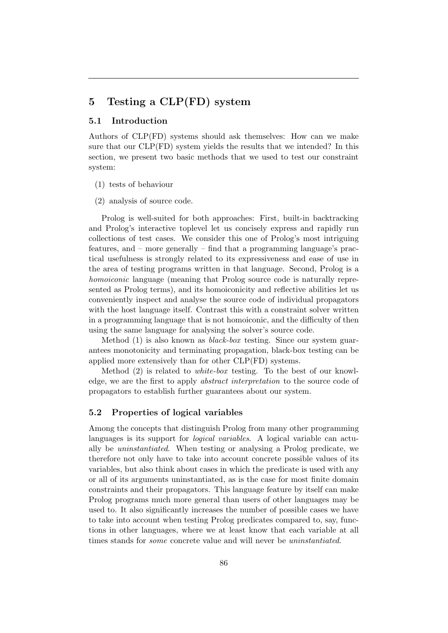# 5 Testing a CLP(FD) system

# 5.1 Introduction

Authors of CLP(FD) systems should ask themselves: How can we make sure that our CLP(FD) system yields the results that we intended? In this section, we present two basic methods that we used to test our constraint system:

- (1) tests of behaviour
- (2) analysis of source code.

Prolog is well-suited for both approaches: First, built-in backtracking and Prolog's interactive toplevel let us concisely express and rapidly run collections of test cases. We consider this one of Prolog's most intriguing features, and – more generally – find that a programming language's practical usefulness is strongly related to its expressiveness and ease of use in the area of testing programs written in that language. Second, Prolog is a homoiconic language (meaning that Prolog source code is naturally represented as Prolog terms), and its homoiconicity and reflective abilities let us conveniently inspect and analyse the source code of individual propagators with the host language itself. Contrast this with a constraint solver written in a programming language that is not homoiconic, and the difficulty of then using the same language for analysing the solver's source code.

Method  $(1)$  is also known as *black-box* testing. Since our system guarantees monotonicity and terminating propagation, black-box testing can be applied more extensively than for other CLP(FD) systems.

Method (2) is related to white-box testing. To the best of our knowledge, we are the first to apply abstract interpretation to the source code of propagators to establish further guarantees about our system.

### 5.2 Properties of logical variables

Among the concepts that distinguish Prolog from many other programming languages is its support for logical variables. A logical variable can actually be uninstantiated. When testing or analysing a Prolog predicate, we therefore not only have to take into account concrete possible values of its variables, but also think about cases in which the predicate is used with any or all of its arguments uninstantiated, as is the case for most finite domain constraints and their propagators. This language feature by itself can make Prolog programs much more general than users of other languages may be used to. It also significantly increases the number of possible cases we have to take into account when testing Prolog predicates compared to, say, functions in other languages, where we at least know that each variable at all times stands for some concrete value and will never be uninstantiated.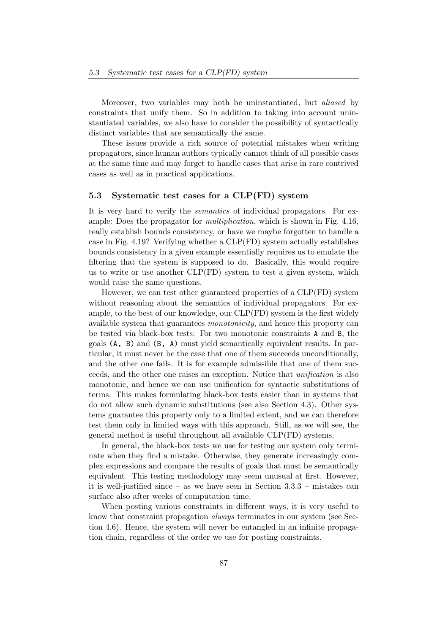Moreover, two variables may both be uninstantiated, but *aliased* by constraints that unify them. So in addition to taking into account uninstantiated variables, we also have to consider the possibility of syntactically distinct variables that are semantically the same.

These issues provide a rich source of potential mistakes when writing propagators, since human authors typically cannot think of all possible cases at the same time and may forget to handle cases that arise in rare contrived cases as well as in practical applications.

# 5.3 Systematic test cases for a CLP(FD) system

It is very hard to verify the semantics of individual propagators. For example: Does the propagator for multiplication, which is shown in Fig. 4.16, really establish bounds consistency, or have we maybe forgotten to handle a case in Fig. 4.19? Verifying whether a CLP(FD) system actually establishes bounds consistency in a given example essentially requires us to emulate the filtering that the system is supposed to do. Basically, this would require us to write or use another  $CLP(FD)$  system to test a given system, which would raise the same questions.

However, we can test other guaranteed properties of a CLP(FD) system without reasoning about the semantics of individual propagators. For example, to the best of our knowledge, our CLP(FD) system is the first widely available system that guarantees monotonicity, and hence this property can be tested via black-box tests: For two monotonic constraints A and B, the goals (A, B) and (B, A) must yield semantically equivalent results. In particular, it must never be the case that one of them succeeds unconditionally, and the other one fails. It is for example admissible that one of them succeeds, and the other one raises an exception. Notice that unification is also monotonic, and hence we can use unification for syntactic substitutions of terms. This makes formulating black-box tests easier than in systems that do not allow such dynamic substitutions (see also Section 4.3). Other systems guarantee this property only to a limited extent, and we can therefore test them only in limited ways with this approach. Still, as we will see, the general method is useful throughout all available CLP(FD) systems.

In general, the black-box tests we use for testing our system only terminate when they find a mistake. Otherwise, they generate increasingly complex expressions and compare the results of goals that must be semantically equivalent. This testing methodology may seem unusual at first. However, it is well-justified since – as we have seen in Section  $3.3.3$  – mistakes can surface also after weeks of computation time.

When posting various constraints in different ways, it is very useful to know that constraint propagation always terminates in our system (see Section 4.6). Hence, the system will never be entangled in an infinite propagation chain, regardless of the order we use for posting constraints.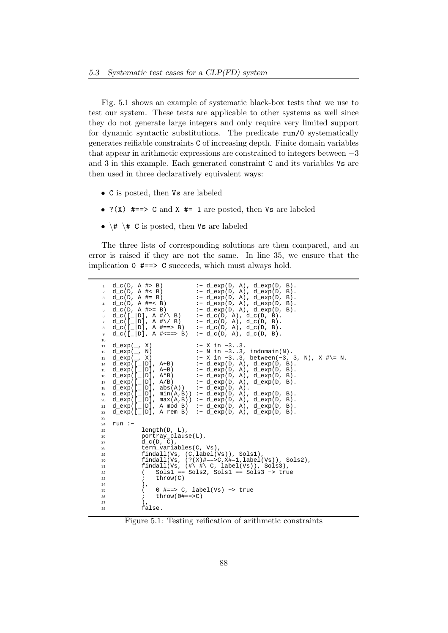Fig. 5.1 shows an example of systematic black-box tests that we use to test our system. These tests are applicable to other systems as well since they do not generate large integers and only require very limited support for dynamic syntactic substitutions. The predicate run/0 systematically generates reifiable constraints C of increasing depth. Finite domain variables that appear in arithmetic expressions are constrained to integers between −3 and 3 in this example. Each generated constraint C and its variables Vs are then used in three declaratively equivalent ways:

- C is posted, then Vs are labeled
- $?$ (X)  $\# == > C$  and X  $\# = 1$  are posted, then Vs are labeled
- $\# \ \forall$  C is posted, then Vs are labeled

The three lists of corresponding solutions are then compared, and an error is raised if they are not the same. In line 35, we ensure that the implication 0 #==> C succeeds, which must always hold.

| 1<br>$\overline{2}$<br>3<br>4<br>5<br>6<br>$\overline{7}$<br>8<br>9        | $:- d_{exp(D, A), d_{exp(D, B)}.$<br>$d_c(D, A \# > B)$<br>$d_c(D, A \neq B)$<br>:- d_exp(D, A), d_exp(D, B).<br>$d_{C}(D, A \#= B)$<br>$: -d$ exp(D, A), d exp(D, B).<br>$d_c(D, A \neq = < B)$<br>$:- d_{exp(D, A), d_{exp(D, B)}.$<br>$d_c(D, A \#>= B)$<br>$:$ - d_exp(D, A), d_exp(D, B).<br>$d_c([2]D], A \#/ \ B)$<br>:- $d_c(D, A), d_c(D, B).$<br>$d_{c}([1]D], A \# \vee B)$<br>$: d_c(D, A), d_c(D, B).$<br>$d_c([l]D], A \nparallel = > B)$ :- $d_c(D, A), d_c(D, B)$ .<br>$d_c([ D], A \# \le = > B)$<br>:- $d_c(D, A), d_c(D, B).$                                                                                                                                                                                                                                           |
|----------------------------------------------------------------------------|--------------------------------------------------------------------------------------------------------------------------------------------------------------------------------------------------------------------------------------------------------------------------------------------------------------------------------------------------------------------------------------------------------------------------------------------------------------------------------------------------------------------------------------------------------------------------------------------------------------------------------------------------------------------------------------------------------------------------------------------------------------------------------------------|
| 10<br>11<br>12<br>13<br>14<br>15<br>16<br>17<br>18<br>19<br>20<br>21<br>22 | $:$ $-$ X in $-33$ .<br>$d$ <sup><math>\exp</math></sup> $, X$<br>$:-$ N in $-33$ , indomain(N).<br>$d$ exp $($ , N)<br>:- X in -33, between(-3, 3, N), X #\= N.<br>$d$ <sup><math>\exp</math></sup> $, X$<br>$d$ _exp([_ D], A+B)<br>$:$ - d_exp(D, A), d_exp(D, B).<br>$d_{exp}([l]D], A-B)$ :- $d_{exp}(D, A), d_{exp}(D, B)$ .<br>$d_{exp}([\square]D)$ , $A*B$ ) :- $d_{exp}(D, A)$ , $d_{exp}(D, B)$ .<br>$d_{exp}([l]D], A/B)$ :- $d_{exp}(D, A), d_{exp}(D, B)$ .<br>$d_{exp}([ D], abs(A))$ :- $d_{exp(D, A)}$ .<br>$d_{exp}([ D], min(A,B)) := d_{exp(D, A)}, d_{exp(D, B)}.$<br>$d$ exp( $[$   D], max(A,B)) :- $d$ exp(D, A), $d$ exp(D, B).<br>$d_{exp}([ D], A \mod B)$ :- $d_{exp}(D, A), d_{exp}(D, B)$ .<br>$d_{exp}([ D], A_{rem B})$ :- $d_{exp(D, A), d_{exp(D, B)}$ . |
| 23                                                                         |                                                                                                                                                                                                                                                                                                                                                                                                                                                                                                                                                                                                                                                                                                                                                                                            |
| 24<br>25                                                                   | $run:$ -<br>$length(D, L)$ ,                                                                                                                                                                                                                                                                                                                                                                                                                                                                                                                                                                                                                                                                                                                                                               |
| 26                                                                         | $portray\_clause(L)$ ,                                                                                                                                                                                                                                                                                                                                                                                                                                                                                                                                                                                                                                                                                                                                                                     |
| 27                                                                         | $d c(D, C)$ ,                                                                                                                                                                                                                                                                                                                                                                                                                                                                                                                                                                                                                                                                                                                                                                              |
| 28                                                                         | term_variables(C, Vs),                                                                                                                                                                                                                                                                                                                                                                                                                                                                                                                                                                                                                                                                                                                                                                     |
| 29                                                                         | findall(Vs, $(C, label(Vs))$ , Sols1),                                                                                                                                                                                                                                                                                                                                                                                                                                                                                                                                                                                                                                                                                                                                                     |
| 30                                                                         | findall(Vs, $(? (X)$ #==>C,X#=1,label(Vs)), Sols2),                                                                                                                                                                                                                                                                                                                                                                                                                                                                                                                                                                                                                                                                                                                                        |
| 31                                                                         | findall(Vs, $(\# \ H \ C$ , label(Vs)), Sols3),                                                                                                                                                                                                                                                                                                                                                                                                                                                                                                                                                                                                                                                                                                                                            |
| 32                                                                         | $Sols1 == Sols2, Sols1 == Sols3 -> true$<br>$\left($                                                                                                                                                                                                                                                                                                                                                                                                                                                                                                                                                                                                                                                                                                                                       |
| 33                                                                         | $i$ throw $(C)$                                                                                                                                                                                                                                                                                                                                                                                                                                                                                                                                                                                                                                                                                                                                                                            |
| 34                                                                         | ),                                                                                                                                                                                                                                                                                                                                                                                                                                                                                                                                                                                                                                                                                                                                                                                         |
| 35                                                                         | $0$ #==> C, label(Vs) -> true<br>$\left($                                                                                                                                                                                                                                                                                                                                                                                                                                                                                                                                                                                                                                                                                                                                                  |
| 36                                                                         | $\text{throw}(0\text{#}==>C)$<br>$\mathcal{L}$                                                                                                                                                                                                                                                                                                                                                                                                                                                                                                                                                                                                                                                                                                                                             |
| 37                                                                         | ),                                                                                                                                                                                                                                                                                                                                                                                                                                                                                                                                                                                                                                                                                                                                                                                         |
| 38                                                                         | false.                                                                                                                                                                                                                                                                                                                                                                                                                                                                                                                                                                                                                                                                                                                                                                                     |
|                                                                            |                                                                                                                                                                                                                                                                                                                                                                                                                                                                                                                                                                                                                                                                                                                                                                                            |

Figure 5.1: Testing reification of arithmetic constraints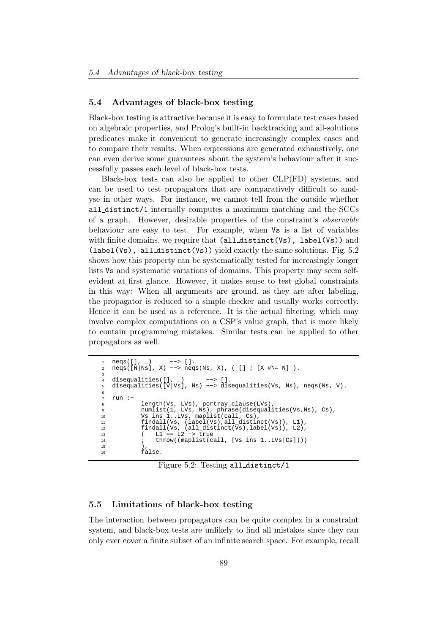## 5.4 Advantages of black-box testing

Black-box testing is attractive because it is easy to formulate test cases based on algebraic properties, and Prolog's built-in backtracking and all-solutions predicates make it convenient to generate increasingly complex cases and to compare their results. When expressions are generated exhaustively, one can even derive some guarantees about the system's behaviour after it successfully passes each level of black-box tests.

Black-box tests can also be applied to other CLP(FD) systems, and can be used to test propagators that are comparatively difficult to analyse in other ways. For instance, we cannot tell from the outside whether all distinct/1 internally computes a maximum matching and the SCCs of a graph. However, desirable properties of the constraint's observable behaviour are easy to test. For example, when Vs is a list of variables with finite domains, we require that  $\text{(all-distinct(Vs)}$ , label(Vs)) and (label(Vs), all distinct(Vs)) yield exactly the same solutions. Fig. 5.2 shows how this property can be systematically tested for increasingly longer lists Vs and systematic variations of domains. This property may seem selfevident at first glance. However, it makes sense to test global constraints in this way: When all arguments are ground, as they are after labeling, the propagator is reduced to a simple checker and usually works correctly. Hence it can be used as a reference. It is the actual filtering, which may involve complex computations on a CSP's value graph, that is more likely to contain programming mistakes. Similar tests can be applied to other propagators as well.

```
1 neqs([], _) −−> [].
2 neqs([N|Ns], X) −−> neqs(Ns, X), ( [] ; [X #\= N] ).
3
   disequalities([], ]) --> [].
   5 disequalities([V|Vs], Ns) −−> disequalities(Vs, Ns), neqs(Ns, V).
6
   7 run :−
8 length(Vs, LVs), portray_clause(LVs)
9 numlist(1, LVs, Ns), phrase(disequalities(Vs,Ns), Cs),
10 Vs ins 1..LVs, maplist(call, Cs),
11 findall(Vs, (label(Vs), all_distinct(Vs)), L1),<br>findall(Vs, (all_distinct(Vs), label(Vs)), L2),
12 findall(Vs, all\_distinct(Vs), label(Vs)), L2),<br>
13 (LI = I.2 \rightarrow true13 ( L1 == L2 −> true
14 \vdots throw((maplist(call, [Vs ins 1..LVs |Cs|)))
15 ),
16 false.
```
Figure 5.2: Testing all distinct/1

#### 5.5 Limitations of black-box testing

The interaction between propagators can be quite complex in a constraint system, and black-box tests are unlikely to find all mistakes since they can only ever cover a finite subset of an infinite search space. For example, recall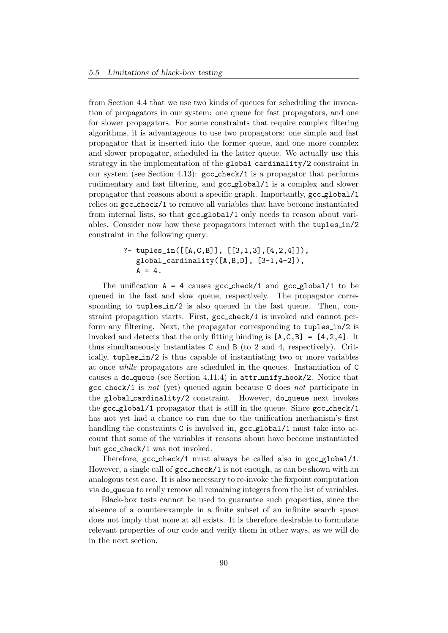from Section 4.4 that we use two kinds of queues for scheduling the invocation of propagators in our system: one queue for fast propagators, and one for slower propagators. For some constraints that require complex filtering algorithms, it is advantageous to use two propagators: one simple and fast propagator that is inserted into the former queue, and one more complex and slower propagator, scheduled in the latter queue. We actually use this strategy in the implementation of the global cardinality/2 constraint in our system (see Section 4.13): gcc check/1 is a propagator that performs rudimentary and fast filtering, and gcc global/1 is a complex and slower propagator that reasons about a specific graph. Importantly, gcc global/1 relies on gcc check/1 to remove all variables that have become instantiated from internal lists, so that gcc global/1 only needs to reason about variables. Consider now how these propagators interact with the tuples in/2 constraint in the following query:

?- tuples\_in([[A,C,B]], [[3,1,3],[4,2,4]]),  
global-cardinality([A,B,D], [3-1,4-2]),  

$$
A = 4
$$
.

The unification  $A = 4$  causes gcc\_check/1 and gcc\_global/1 to be queued in the fast and slow queue, respectively. The propagator corresponding to tuples in/2 is also queued in the fast queue. Then, constraint propagation starts. First, gcc check/1 is invoked and cannot perform any filtering. Next, the propagator corresponding to tuples in/2 is invoked and detects that the only fitting binding is  $[A, C, B] = [4, 2, 4]$ . It thus simultaneously instantiates C and B (to 2 and 4, respectively). Critically, tuples in/2 is thus capable of instantiating two or more variables at once while propagators are scheduled in the queues. Instantiation of C causes a do queue (see Section 4.11.4) in  $\text{attr\_unity\_hook}/2$ . Notice that  $\texttt{gcc\_check}/1$  is not (yet) queued again because C does not participate in the global cardinality/2 constraint. However, do queue next invokes the  $\texttt{gcc\_global/1}$  propagator that is still in the queue. Since  $\texttt{gcc\_check/1}$ has not yet had a chance to run due to the unification mechanism's first handling the constraints C is involved in,  $\gcd(\log 1)$  must take into account that some of the variables it reasons about have become instantiated but gcc check/1 was not invoked.

Therefore, gcc check/1 must always be called also in gcc global/1. However, a single call of gcc check/1 is not enough, as can be shown with an analogous test case. It is also necessary to re-invoke the fixpoint computation via do queue to really remove all remaining integers from the list of variables.

Black-box tests cannot be used to guarantee such properties, since the absence of a counterexample in a finite subset of an infinite search space does not imply that none at all exists. It is therefore desirable to formulate relevant properties of our code and verify them in other ways, as we will do in the next section.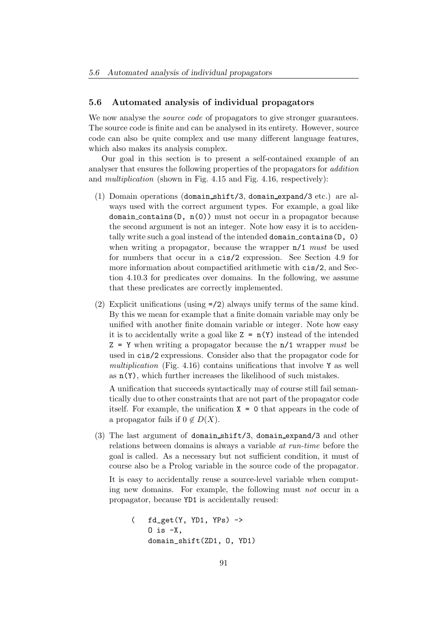## 5.6 Automated analysis of individual propagators

We now analyse the *source code* of propagators to give stronger guarantees. The source code is finite and can be analysed in its entirety. However, source code can also be quite complex and use many different language features, which also makes its analysis complex.

Our goal in this section is to present a self-contained example of an analyser that ensures the following properties of the propagators for addition and *multiplication* (shown in Fig.  $4.15$  and Fig.  $4.16$ , respectively):

- (1) Domain operations (domain shift/3, domain expand/3 etc.) are always used with the correct argument types. For example, a goal like domain contains( $D$ ,  $n(0)$ ) must not occur in a propagator because the second argument is not an integer. Note how easy it is to accidentally write such a goal instead of the intended domain contains(D, 0) when writing a propagator, because the wrapper  $n/1$  must be used for numbers that occur in a cis/2 expression. See Section 4.9 for more information about compactified arithmetic with cis/2, and Section 4.10.3 for predicates over domains. In the following, we assume that these predicates are correctly implemented.
- (2) Explicit unifications (using =/2) always unify terms of the same kind. By this we mean for example that a finite domain variable may only be unified with another finite domain variable or integer. Note how easy it is to accidentally write a goal like  $Z = n(Y)$  instead of the intended  $Z = Y$  when writing a propagator because the  $n/1$  wrapper *must* be used in cis/2 expressions. Consider also that the propagator code for multiplication (Fig. 4.16) contains unifications that involve Y as well as  $n(Y)$ , which further increases the likelihood of such mistakes.

A unification that succeeds syntactically may of course still fail semantically due to other constraints that are not part of the propagator code itself. For example, the unification  $X = 0$  that appears in the code of a propagator fails if  $0 \notin D(X)$ .

(3) The last argument of domain shift/3, domain expand/3 and other relations between domains is always a variable at run-time before the goal is called. As a necessary but not sufficient condition, it must of course also be a Prolog variable in the source code of the propagator.

It is easy to accidentally reuse a source-level variable when computing new domains. For example, the following must not occur in a propagator, because YD1 is accidentally reused:

```
( fd_get(Y, YD1, YPs) ->
   0 is -X,
   domain_shift(ZD1, O, YD1)
```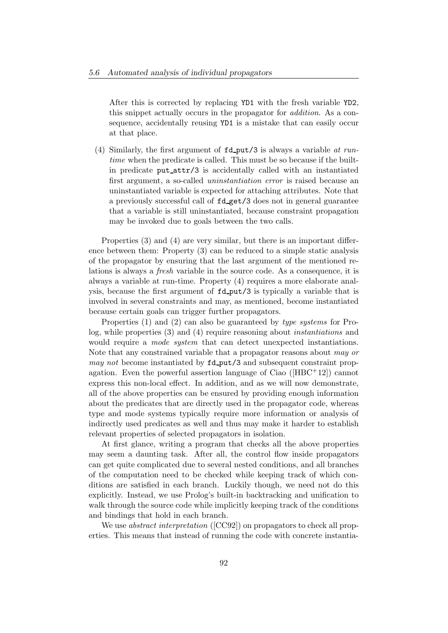After this is corrected by replacing YD1 with the fresh variable YD2, this snippet actually occurs in the propagator for addition. As a consequence, accidentally reusing YD1 is a mistake that can easily occur at that place.

(4) Similarly, the first argument of  $fd$ -put/3 is always a variable at runtime when the predicate is called. This must be so because if the builtin predicate put attr/3 is accidentally called with an instantiated first argument, a so-called uninstantiation error is raised because an uninstantiated variable is expected for attaching attributes. Note that a previously successful call of fd get/3 does not in general guarantee that a variable is still uninstantiated, because constraint propagation may be invoked due to goals between the two calls.

Properties (3) and (4) are very similar, but there is an important difference between them: Property (3) can be reduced to a simple static analysis of the propagator by ensuring that the last argument of the mentioned relations is always a fresh variable in the source code. As a consequence, it is always a variable at run-time. Property (4) requires a more elaborate analysis, because the first argument of fd put/3 is typically a variable that is involved in several constraints and may, as mentioned, become instantiated because certain goals can trigger further propagators.

Properties (1) and (2) can also be guaranteed by type systems for Prolog, while properties (3) and (4) require reasoning about instantiations and would require a *mode system* that can detect unexpected instantiations. Note that any constrained variable that a propagator reasons about may or may not become instantiated by  $fd$ -put/3 and subsequent constraint propagation. Even the powerful assertion language of Ciao ( $[\text{HBC}^+12]$ ) cannot express this non-local effect. In addition, and as we will now demonstrate, all of the above properties can be ensured by providing enough information about the predicates that are directly used in the propagator code, whereas type and mode systems typically require more information or analysis of indirectly used predicates as well and thus may make it harder to establish relevant properties of selected propagators in isolation.

At first glance, writing a program that checks all the above properties may seem a daunting task. After all, the control flow inside propagators can get quite complicated due to several nested conditions, and all branches of the computation need to be checked while keeping track of which conditions are satisfied in each branch. Luckily though, we need not do this explicitly. Instead, we use Prolog's built-in backtracking and unification to walk through the source code while implicitly keeping track of the conditions and bindings that hold in each branch.

We use *abstract interpretation* ([CC92]) on propagators to check all properties. This means that instead of running the code with concrete instantia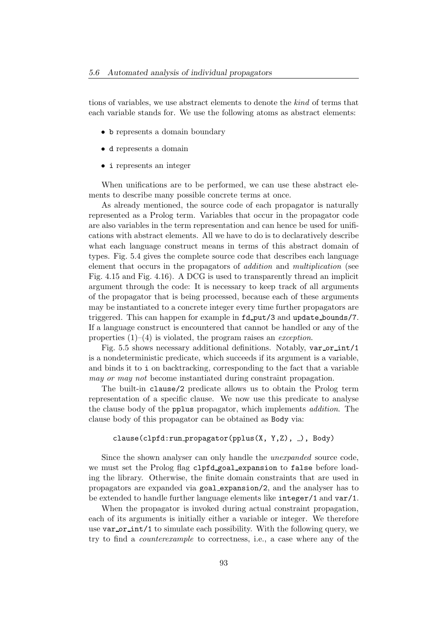tions of variables, we use abstract elements to denote the kind of terms that each variable stands for. We use the following atoms as abstract elements:

- b represents a domain boundary
- d represents a domain
- i represents an integer

When unifications are to be performed, we can use these abstract elements to describe many possible concrete terms at once.

As already mentioned, the source code of each propagator is naturally represented as a Prolog term. Variables that occur in the propagator code are also variables in the term representation and can hence be used for unifications with abstract elements. All we have to do is to declaratively describe what each language construct means in terms of this abstract domain of types. Fig. 5.4 gives the complete source code that describes each language element that occurs in the propagators of addition and multiplication (see Fig. 4.15 and Fig. 4.16). A DCG is used to transparently thread an implicit argument through the code: It is necessary to keep track of all arguments of the propagator that is being processed, because each of these arguments may be instantiated to a concrete integer every time further propagators are triggered. This can happen for example in  $fd$ -put/3 and update\_bounds/7. If a language construct is encountered that cannot be handled or any of the properties  $(1)$ – $(4)$  is violated, the program raises an *exception*.

Fig. 5.5 shows necessary additional definitions. Notably, var or int/1 is a nondeterministic predicate, which succeeds if its argument is a variable, and binds it to i on backtracking, corresponding to the fact that a variable may or may not become instantiated during constraint propagation.

The built-in clause/2 predicate allows us to obtain the Prolog term representation of a specific clause. We now use this predicate to analyse the clause body of the pplus propagator, which implements addition. The clause body of this propagator can be obtained as Body via:

#### clause(clpfd:run\_propagator(pplus(X, Y,Z), \_), Body)

Since the shown analyser can only handle the unexpanded source code, we must set the Prolog flag clpfd goal expansion to false before loading the library. Otherwise, the finite domain constraints that are used in propagators are expanded via goal expansion/2, and the analyser has to be extended to handle further language elements like integer/1 and var/1.

When the propagator is invoked during actual constraint propagation, each of its arguments is initially either a variable or integer. We therefore use  $var\_or\_int/1$  to simulate each possibility. With the following query, we try to find a counterexample to correctness, i.e., a case where any of the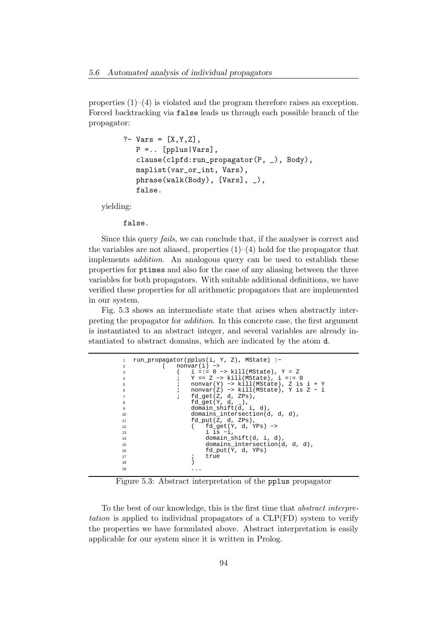properties (1)–(4) is violated and the program therefore raises an exception. Forced backtracking via false leads us through each possible branch of the propagator:

```
?- Vars = [X, Y, Z],
   P = . . [pplus|Vars],
   clause(clpfd:run_propagator(P, _), Body),
   maplist(var_or_int, Vars),
   phrase(walk(Body), [Vars], _),
   false.
```
yielding:

false.

Since this query fails, we can conclude that, if the analyser is correct and the variables are not aliased, properties  $(1)$ – $(4)$  hold for the propagator that implements addition. An analogous query can be used to establish these properties for ptimes and also for the case of any aliasing between the three variables for both propagators. With suitable additional definitions, we have verified these properties for all arithmetic propagators that are implemented in our system.

Fig. 5.3 shows an intermediate state that arises when abstractly interpreting the propagator for addition. In this concrete case, the first argument is instantiated to an abstract integer, and several variables are already instantiated to abstract domains, which are indicated by the atom d.

```
1 run_propagator(pplus(i, Y, Z), MState) :−
2 ( nonvar(i) −>
3 ( i =:= 0 −> kill(MState), Y = Z
4 ; Y == Z −> kill(MState), i =:= 0
5 ; nonvar(Y) −> kill(MState), Z is i + Y
6 ; nonvar(Z) −> kill(MState), Y is Z − i
                        fd\_get(Z, d, ZPs),
8 fd_get(Y, d, _),
9 domain_shift(d, i, d),
10 domains_intersection(d, d, d),
11 fd_put(Z, d, ZPs),
12 ( fd_get(Y, d, YPs) −>
13 i \frac{1}{1} i \frac{1}{1} = -1, domain s
14 domain_shift(d, i, d)<br>domains intersection(
15 domains_intersection(d, d, d),
16 fd_put(Y, d, YPs)
\begin{array}{ccc} \n 17 & \quad & \quad & \quad \quad & \quad \quad & \quad \quad & \quad \quad & \quad \quad & \quad \quad & \quad \quad & \quad \quad & \quad \quad & \quad \quad & \quad \quad & \quad \quad & \quad \quad & \quad \quad & \quad \quad & \quad \quad & \quad \quad & \quad \quad & \quad \quad & \quad \quad & \quad \quad & \quad \quad & \quad \quad & \quad \quad & \quad \quad & \quad \quad & \quad \quad & \quad \quad &amp\overline{18} )
19 ...
```
Figure 5.3: Abstract interpretation of the pplus propagator

To the best of our knowledge, this is the first time that abstract interpretation is applied to individual propagators of a CLP(FD) system to verify the properties we have formulated above. Abstract interpretation is easily applicable for our system since it is written in Prolog.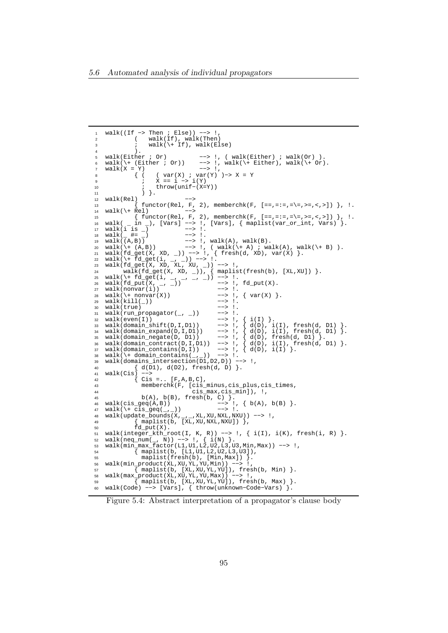```
walk((If -> Then ; Else)) --> !2 ( walk(If), walk(Then)
3 ; \text{walk}(\setminus + \text{If}), \text{walk}(\text{Else})4 ).
5 walk(Either ; Or) −−> !, ( walk(Either) ; walk(Or) ).
6 walk(\+ (Either ; Or)) --> !, walk(\+ Either), walk(\+ Or).
7 walk(X = Y) −−> !,
8 { ( ( var(X) ; var(Y) )−> X = Y
9 ; X == i −> i(Y)
10 ; throw(unif−(X=Y))
11 ) \}.
12 walk(Rel) ->
13 \{ \text{functor}(\text{Rel}, F, 2), \text{memberchk}(F, [-=,-:=,-]=,->,>,>,-,>,]) \}, 1.<br>14 \text{walk}(\setminus + \text{Rel}) -->
14 walk(\setminus + Rel)<br>15 {fu
   15 { functor(Rel, F, 2), memberchk(F, [==,=:=,=\=,>=,<,>]) }, !.
16 walk( _ in _), [Vars] −−> !, [Vars], { maplist(var_or_int, Vars) }.
16 walk( _ in _), [Vars] --> !,<br>17 walk(i is _) --> !.<br>18 walk(_ #= _) --> !.
18 walk(_ #= _) −−> !.
19 walk((A,B)) −−> !, walk(A), walk(B).
20 walk(\+ (A,B)) −−> !, ( walk(\+ A) ; walk(A), walk(\+ B) ).
21 walk(fd_get(X, XD, _)) −−> !, { fresh(d, XD), var(X) }.
22 walk(\+ fd_get(i, _, _)) −−> !.
23 walk(fd_get(X, XD, XL, XU, _)) −−> !,
\text{walk}(\text{fd\_get(X, XD, \_)}), \{ \text{maplist}(\text{fresh(b)}, \text{[XL, XU]}) \}.25 walk(\+ fd_get(i, _, _, _, _)) --> !.<br>26 walk(fd_put(X, _, _)) --> !, fd_put(X).
26 walk(fd_put(X, _, _)) --> !, fd_put(X).
27 walk(nonvar(i)) −−> !.
28 walk(\+ nonvar(X)) --> !, { var(X) }.<br>29 walk(kill()) --> !.
29 walk(kill(_)) --> !.<br>29 walk(kill(_)) --> !.<br>30 walk(true) --> !.
30 walk(true) --\ge !.<br>31 walk(run propagator( , )) --\ge !.
   walk(run\_propagator(_ -, -))32 walk(even(I)) −−> !, { i(I) }.
33 walk(domain_shift(D,I,D1)) −−> !, { d(D), i(I), fresh(d, D1) }.
34 walk(domain_expand(D,I,D1)) −−> !, { d(D), i(I), fresh(d, D1) }.
35 walk(domain_negate(D, D1)) --> !, { d(D), fresh(d, D1) }.
36 walk(domain_contract(D,I,D1)) −−> !, { d(D), i(I), fresh(d, D1) }.
37 walk(domain_contains(D,I))
38 walk(\+ domain_contains(_,_)) −−> !.
39 walk(domains_intersection(D1,D2,D)) −−> !,
40 { d(D1), d(D2), fresh(d, D) }.
41 walk(Cis) -><br>42 {Cis =..
42 \{ \text{Cis } = \dots \text{ [F, A, B, C]} \}<br>43 memberchk\{ \text{F. [cis]}43 memberchk(F, [cis_minus,cis_plus,cis_times,<br>44 cis_max.cis_minl). !
44 cis_max,cis_min]), \downarrow,<br>\downarrow, \downarrow, \downarrow, \downarrow, \downarrow, \downarrow, \downarrow, \downarrow, \downarrow, \downarrow, \downarrow, \downarrow, \downarrow, \downarrow, \downarrow, \downarrow, \downarrow, \downarrow, \downarrow, \downarrow, \downarrow, \downarrow, \downarrow, \downarrow, \downarrow, \downarrow, \downarrow, \down45 b(A), b(B), fresh(b, C) }.
46 walk(cis_geq(A,B)) −−> !, { b(A), b(B) }.
47 walk(\+ cis_geq(_,_)) −−> !.
48 walk(update_bounds(X,_,_,XL,XU,NXL,NXU)) −−> !,
49 { maplist(b, [XL,XU,NXL,NXU]) },
50 fd_put(X).
51 walk(integer_kth_root(I, K, R)) −−> !, { i(I), i(K), fresh(i, R) }.
52 walk(neq_num(_, N)) −−> !, { i(N) }.
53 walk(min_max_factor(L1,U1,L2,U2,L3,U3,Min,Max)) −−> !,
54 { maplist(b, [L1,U1,L2,U2,L3,U3]),
55 maplist(fresh(b), [Min,Max]) }.
56 walk(min_product(XL,XU,YL,YU,Min)) -->
57 { maplist(b, [XL,XU,YL,YU]), fresh(b, Min) }.
58 walk(max_product(XL,XU,YL,YU,Max)) −−> !,
59 \overline{\{\text{maplist(b, [XL, XL, YU, YU)]}, \text{ fresh(b, Max)}\}}.60 walk(Code) −−> [Vars], { throw(unknown−Code−Vars) }.
```
Figure 5.4: Abstract interpretation of a propagator's clause body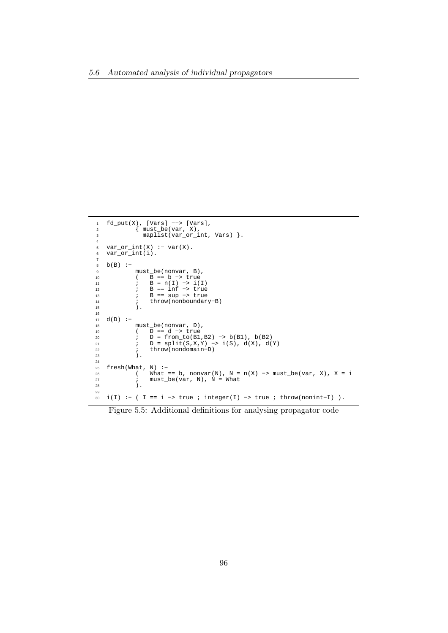```
1 fd_put(X), [Vars] --> [Vars],<br>2 { must be(var. X).
 2 { must_be(var, X),
 3 maplist(var_or_int, Vars) }.
4
 5 var_or_int(X) :− var(X).
6 var_or_int(i).
7
b(B) :=\begin{array}{lll} \text{9} & \text{must\_be}(\text{nonvar, B}), \\ \text{10} & (\text{B == b -> true}) \end{array}10 ( B == b −> true
11 ; B = n(I) −> i(I)
12 ; B == inf −> true
13 ; B == sup −> true
14 ; throw(nonboundary−B)<br>15 ).
            ) .
16
17 d(D) :−
18 must_be(nonvar, D),
19 ( D == d −> true
20 ; D = from_to(B1,B2) −> b(B1), b(B2)
21 ; D = split(S,X,Y) −> i(S), d(X), d(Y)
22 ; throw(nondomain−D)
23 ).
\frac{24}{25}25 fresh(What, N) :-<br>26 (What =
26 ( What == b, nonvar(N), N = n(X) -> must_be(var, X), X = i<br>
27 ; must_be(var, N), N = What
27 ; must_be(var, N), N = What<br>28 ).
            \lambda.
29
30 i(I) :− ( I == i -> true ; integer(I) -> true ; throw(nonint-I) ).
```
Figure 5.5: Additional definitions for analysing propagator code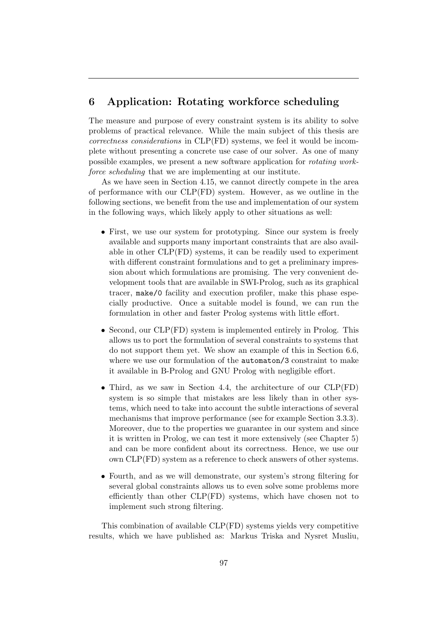# 6 Application: Rotating workforce scheduling

The measure and purpose of every constraint system is its ability to solve problems of practical relevance. While the main subject of this thesis are correctness considerations in CLP(FD) systems, we feel it would be incomplete without presenting a concrete use case of our solver. As one of many possible examples, we present a new software application for rotating workforce scheduling that we are implementing at our institute.

As we have seen in Section 4.15, we cannot directly compete in the area of performance with our CLP(FD) system. However, as we outline in the following sections, we benefit from the use and implementation of our system in the following ways, which likely apply to other situations as well:

- First, we use our system for prototyping. Since our system is freely available and supports many important constraints that are also available in other CLP(FD) systems, it can be readily used to experiment with different constraint formulations and to get a preliminary impression about which formulations are promising. The very convenient development tools that are available in SWI-Prolog, such as its graphical tracer, make/0 facility and execution profiler, make this phase especially productive. Once a suitable model is found, we can run the formulation in other and faster Prolog systems with little effort.
- Second, our CLP(FD) system is implemented entirely in Prolog. This allows us to port the formulation of several constraints to systems that do not support them yet. We show an example of this in Section 6.6, where we use our formulation of the automaton/3 constraint to make it available in B-Prolog and GNU Prolog with negligible effort.
- Third, as we saw in Section 4.4, the architecture of our CLP(FD) system is so simple that mistakes are less likely than in other systems, which need to take into account the subtle interactions of several mechanisms that improve performance (see for example Section 3.3.3). Moreover, due to the properties we guarantee in our system and since it is written in Prolog, we can test it more extensively (see Chapter 5) and can be more confident about its correctness. Hence, we use our own CLP(FD) system as a reference to check answers of other systems.
- Fourth, and as we will demonstrate, our system's strong filtering for several global constraints allows us to even solve some problems more efficiently than other CLP(FD) systems, which have chosen not to implement such strong filtering.

This combination of available CLP(FD) systems yields very competitive results, which we have published as: Markus Triska and Nysret Musliu,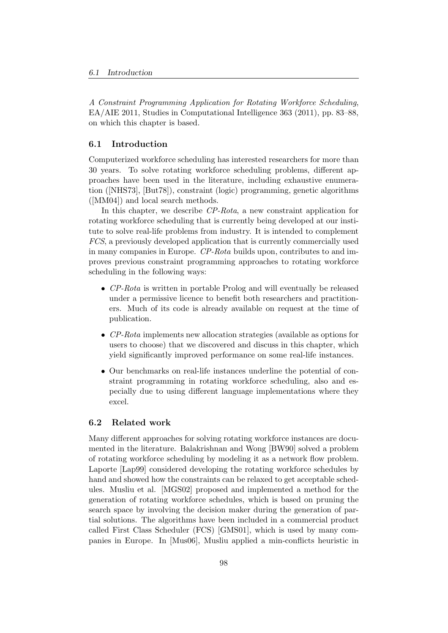A Constraint Programming Application for Rotating Workforce Scheduling, EA/AIE 2011, Studies in Computational Intelligence 363 (2011), pp. 83–88, on which this chapter is based.

# 6.1 Introduction

Computerized workforce scheduling has interested researchers for more than 30 years. To solve rotating workforce scheduling problems, different approaches have been used in the literature, including exhaustive enumeration ([NHS73], [But78]), constraint (logic) programming, genetic algorithms ([MM04]) and local search methods.

In this chapter, we describe CP-Rota, a new constraint application for rotating workforce scheduling that is currently being developed at our institute to solve real-life problems from industry. It is intended to complement FCS, a previously developed application that is currently commercially used in many companies in Europe. CP-Rota builds upon, contributes to and improves previous constraint programming approaches to rotating workforce scheduling in the following ways:

- CP-Rota is written in portable Prolog and will eventually be released under a permissive licence to benefit both researchers and practitioners. Much of its code is already available on request at the time of publication.
- CP-Rota implements new allocation strategies (available as options for users to choose) that we discovered and discuss in this chapter, which yield significantly improved performance on some real-life instances.
- Our benchmarks on real-life instances underline the potential of constraint programming in rotating workforce scheduling, also and especially due to using different language implementations where they excel.

## 6.2 Related work

Many different approaches for solving rotating workforce instances are documented in the literature. Balakrishnan and Wong [BW90] solved a problem of rotating workforce scheduling by modeling it as a network flow problem. Laporte [Lap99] considered developing the rotating workforce schedules by hand and showed how the constraints can be relaxed to get acceptable schedules. Musliu et al. [MGS02] proposed and implemented a method for the generation of rotating workforce schedules, which is based on pruning the search space by involving the decision maker during the generation of partial solutions. The algorithms have been included in a commercial product called First Class Scheduler (FCS) [GMS01], which is used by many companies in Europe. In [Mus06], Musliu applied a min-conflicts heuristic in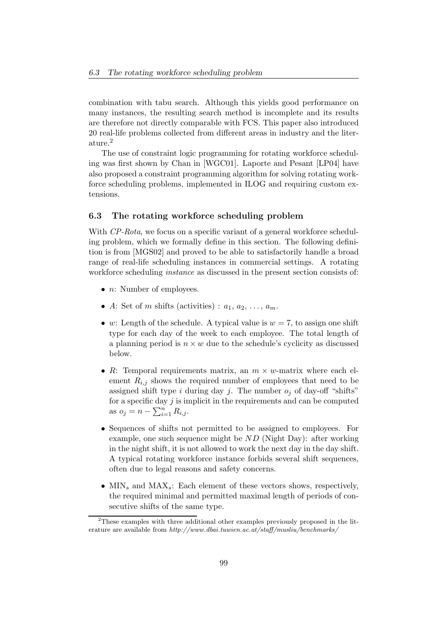combination with tabu search. Although this yields good performance on many instances, the resulting search method is incomplete and its results are therefore not directly comparable with FCS. This paper also introduced 20 real-life problems collected from different areas in industry and the literature.<sup>2</sup>

The use of constraint logic programming for rotating workforce scheduling was first shown by Chan in [WGC01]. Laporte and Pesant [LP04] have also proposed a constraint programming algorithm for solving rotating workforce scheduling problems, implemented in ILOG and requiring custom extensions.

#### 6.3 The rotating workforce scheduling problem

With CP-Rota, we focus on a specific variant of a general workforce scheduling problem, which we formally define in this section. The following definition is from [MGS02] and proved to be able to satisfactorily handle a broad range of real-life scheduling instances in commercial settings. A rotating workforce scheduling *instance* as discussed in the present section consists of:

- $n:$  Number of employees.
- A: Set of m shifts (activities) :  $a_1, a_2, \ldots, a_m$ .
- w: Length of the schedule. A typical value is  $w = 7$ , to assign one shift type for each day of the week to each employee. The total length of a planning period is  $n \times w$  due to the schedule's cyclicity as discussed below.
- R: Temporal requirements matrix, an  $m \times w$ -matrix where each element  $R_{i,j}$  shows the required number of employees that need to be assigned shift type i during day j. The number  $o_i$  of day-off "shifts" for a specific day  $j$  is implicit in the requirements and can be computed as  $o_j = n - \sum_{i=1}^n R_{i,j}$ .
- Sequences of shifts not permitted to be assigned to employees. For example, one such sequence might be ND (Night Day): after working in the night shift, it is not allowed to work the next day in the day shift. A typical rotating workforce instance forbids several shift sequences, often due to legal reasons and safety concerns.
- $MIN<sub>s</sub>$  and  $MAX<sub>s</sub>$ : Each element of these vectors shows, respectively, the required minimal and permitted maximal length of periods of consecutive shifts of the same type.

 $2$ These examples with three additional other examples previously proposed in the literature are available from http://www.dbai.tuwien.ac.at/staff/musliu/benchmarks/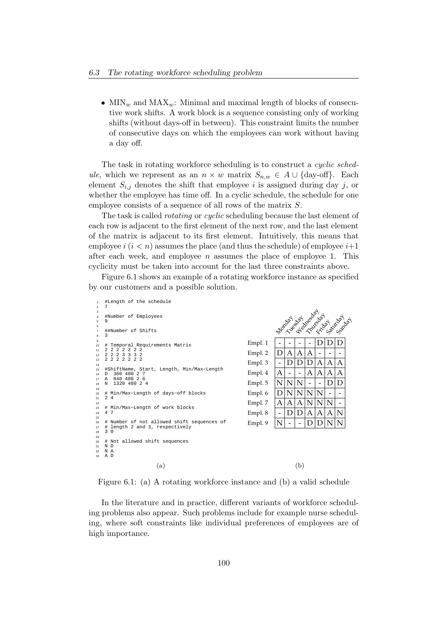• MIN<sub>w</sub> and MAX<sub>w</sub>: Minimal and maximal length of blocks of consecutive work shifts. A work block is a sequence consisting only of working shifts (without days-off in between). This constraint limits the number of consecutive days on which the employees can work without having a day off.

The task in rotating workforce scheduling is to construct a cyclic schedule, which we represent as an  $n \times w$  matrix  $S_{n,w} \in A \cup \{\text{day-off}\}\$ . Each element  $S_{i,j}$  denotes the shift that employee i is assigned during day j, or whether the employee has time off. In a cyclic schedule, the schedule for one employee consists of a sequence of all rows of the matrix S.

The task is called *rotating* or *cyclic* scheduling because the last element of each row is adjacent to the first element of the next row, and the last element of the matrix is adjacent to its first element. Intuitively, this means that employee  $i$   $(i < n)$  assumes the place (and thus the schedule) of employee  $i+1$ after each week, and employee  $n$  assumes the place of employee 1. This cyclicity must be taken into account for the last three constraints above.

Figure 6.1 shows an example of a rotating workforce instance as specified by our customers and a possible solution.



Figure 6.1: (a) A rotating workforce instance and (b) a valid schedule

In the literature and in practice, different variants of workforce scheduling problems also appear. Such problems include for example nurse scheduling, where soft constraints like individual preferences of employees are of high importance.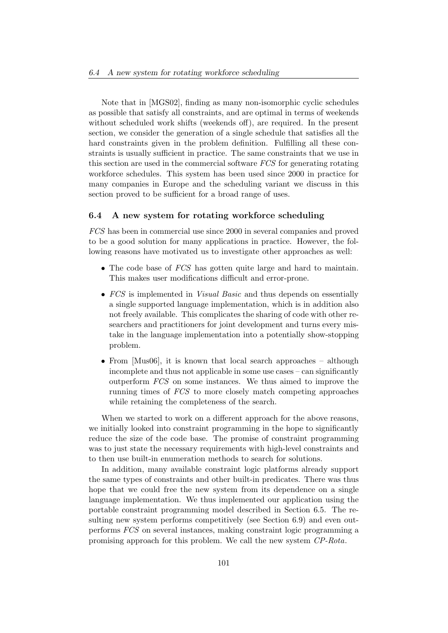Note that in [MGS02], finding as many non-isomorphic cyclic schedules as possible that satisfy all constraints, and are optimal in terms of weekends without scheduled work shifts (weekends off), are required. In the present section, we consider the generation of a single schedule that satisfies all the hard constraints given in the problem definition. Fulfilling all these constraints is usually sufficient in practice. The same constraints that we use in this section are used in the commercial software FCS for generating rotating workforce schedules. This system has been used since 2000 in practice for many companies in Europe and the scheduling variant we discuss in this section proved to be sufficient for a broad range of uses.

## 6.4 A new system for rotating workforce scheduling

FCS has been in commercial use since 2000 in several companies and proved to be a good solution for many applications in practice. However, the following reasons have motivated us to investigate other approaches as well:

- The code base of *FCS* has gotten quite large and hard to maintain. This makes user modifications difficult and error-prone.
- FCS is implemented in *Visual Basic* and thus depends on essentially a single supported language implementation, which is in addition also not freely available. This complicates the sharing of code with other researchers and practitioners for joint development and turns every mistake in the language implementation into a potentially show-stopping problem.
- From [Mus06], it is known that local search approaches although incomplete and thus not applicable in some use cases – can significantly outperform FCS on some instances. We thus aimed to improve the running times of FCS to more closely match competing approaches while retaining the completeness of the search.

When we started to work on a different approach for the above reasons, we initially looked into constraint programming in the hope to significantly reduce the size of the code base. The promise of constraint programming was to just state the necessary requirements with high-level constraints and to then use built-in enumeration methods to search for solutions.

In addition, many available constraint logic platforms already support the same types of constraints and other built-in predicates. There was thus hope that we could free the new system from its dependence on a single language implementation. We thus implemented our application using the portable constraint programming model described in Section 6.5. The resulting new system performs competitively (see Section 6.9) and even outperforms FCS on several instances, making constraint logic programming a promising approach for this problem. We call the new system CP-Rota.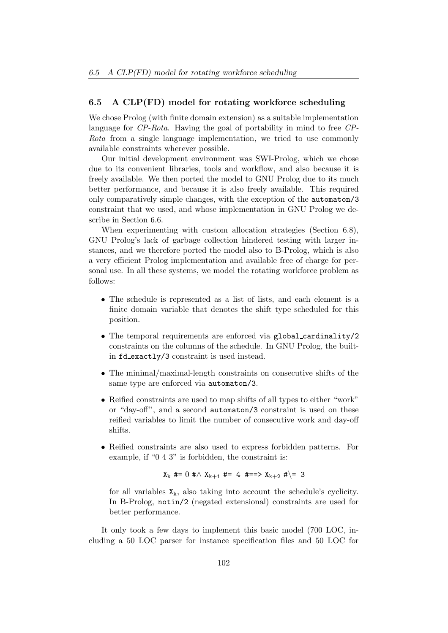# 6.5 A CLP(FD) model for rotating workforce scheduling

We chose Prolog (with finite domain extension) as a suitable implementation language for CP-Rota. Having the goal of portability in mind to free CP-Rota from a single language implementation, we tried to use commonly available constraints wherever possible.

Our initial development environment was SWI-Prolog, which we chose due to its convenient libraries, tools and workflow, and also because it is freely available. We then ported the model to GNU Prolog due to its much better performance, and because it is also freely available. This required only comparatively simple changes, with the exception of the automaton/3 constraint that we used, and whose implementation in GNU Prolog we describe in Section 6.6.

When experimenting with custom allocation strategies (Section 6.8), GNU Prolog's lack of garbage collection hindered testing with larger instances, and we therefore ported the model also to B-Prolog, which is also a very efficient Prolog implementation and available free of charge for personal use. In all these systems, we model the rotating workforce problem as follows:

- The schedule is represented as a list of lists, and each element is a finite domain variable that denotes the shift type scheduled for this position.
- The temporal requirements are enforced via global cardinality/2 constraints on the columns of the schedule. In GNU Prolog, the builtin fd exactly/3 constraint is used instead.
- The minimal/maximal-length constraints on consecutive shifts of the same type are enforced via automaton/3.
- Reified constraints are used to map shifts of all types to either "work" or "day-off", and a second automaton/3 constraint is used on these reified variables to limit the number of consecutive work and day-off shifts.
- Reified constraints are also used to express forbidden patterns. For example, if "0 4 3" is forbidden, the constraint is:

$$
X_k \#= 0 \# \wedge X_{k+1} \#= 4 \# ==> X_{k+2} \# \geq 3
$$

for all variables  $X_k$ , also taking into account the schedule's cyclicity. In B-Prolog, notin/2 (negated extensional) constraints are used for better performance.

It only took a few days to implement this basic model (700 LOC, including a 50 LOC parser for instance specification files and 50 LOC for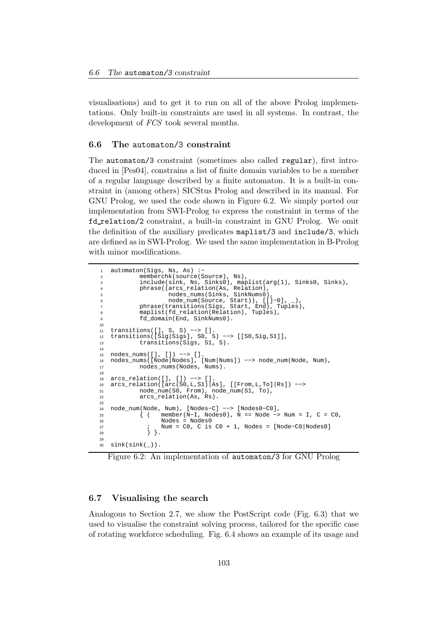visualisations) and to get it to run on all of the above Prolog implementations. Only built-in constraints are used in all systems. In contrast, the development of *FCS* took several months.

### 6.6 The automaton/3 constraint

The automaton/3 constraint (sometimes also called regular), first introduced in [Pes04], constrains a list of finite domain variables to be a member of a regular language described by a finite automaton. It is a built-in constraint in (among others) SICStus Prolog and described in its manual. For GNU Prolog, we used the code shown in Figure 6.2. We simply ported our implementation from SWI-Prolog to express the constraint in terms of the fd relation/2 constraint, a built-in constraint in GNU Prolog. We omit the definition of the auxiliary predicates maplist/3 and include/3, which are defined as in SWI-Prolog. We used the same implementation in B-Prolog with minor modifications.

```
automaton(Sigs, Ns, As) :-
2 memberchk(source(Source), Ns),
          include(sink, Ns, Sinks0), maplist(arg(1), Sinks0, Sinks),
          phrase((arcs_relation(As, Relation),
                 5 nodes_nums(Sinks, SinkNums0),
6 node_num(Source, Start)), [[]−0], _),
7 phrase(transitions(Sigs, Start, End), Tuples),
8 maplist(fd_relation(Relation), Tuples),
          fd_domain(End, SinkNums0).
10
11 transitions([], S, S) −−> [].
12 transitions([Sig|Sigs], S0, S) −−> [[S0,Sig,S1]],
13 transitions(Sigs, S1, S).
14
15 nodes_nums([], []) −−> [].
16 nodes_nums([Node|Nodes], [Num|Nums]) −−> node_num(Node, Num),
          nodes_nums(Nodes, Nums).
18
19 arcs_relation([], []) −−> [].
20 arcs_relation([arc(S0,L,S1)|As], [[From,L,To]|Rs]) −−>
21 node_num(S0, From), node_num(S1, To),
22 arcs_relation(As, Rs).
23
24 node_num(Node, Num), [Nodes−C] −−> [Nodes0−C0],
25 { ( member(N−I, Nodes0), N == Node −> Num = I, C = C0,
26 Nodes = Nodes0<br>27 1 Num = CO C is
27 ; Num = C0, C is C0 + 1, Nodes = [Node−C0|Nodes0]
28 ) }.
29
  sink(sink(\_)).
```
Figure 6.2: An implementation of automaton/3 for GNU Prolog

### 6.7 Visualising the search

Analogous to Section 2.7, we show the PostScript code (Fig. 6.3) that we used to visualise the constraint solving process, tailored for the specific case of rotating workforce scheduling. Fig. 6.4 shows an example of its usage and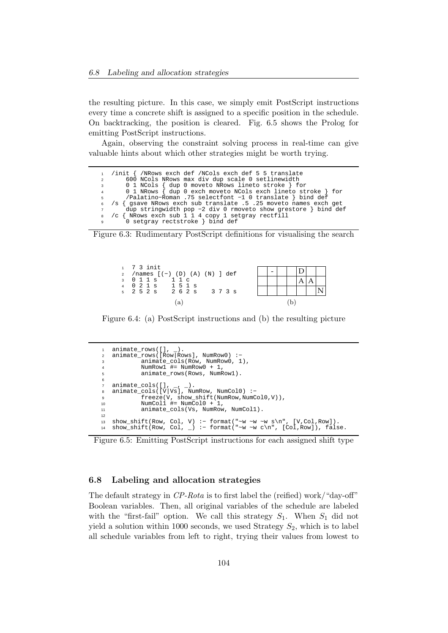the resulting picture. In this case, we simply emit PostScript instructions every time a concrete shift is assigned to a specific position in the schedule. On backtracking, the position is cleared. Fig. 6.5 shows the Prolog for emitting PostScript instructions.

Again, observing the constraint solving process in real-time can give valuable hints about which other strategies might be worth trying.

/init { /NRows exch def /NCols exch def 5 5 translate <sup>2</sup> 600 NCols NRows max div dup scale 0 setlinewidth <sup>3</sup> 0 1 NCols { dup 0 moveto NRows lineto stroke } for <sup>4</sup> 0 1 NRows { dup 0 exch moveto NCols exch lineto stroke } for <sup>5</sup> /Palatino−Roman .75 selectfont −1 0 translate } bind def <sup>6</sup> /s { gsave NRows exch sub translate .5 .25 moveto names exch get <sup>7</sup> dup stringwidth pop −2 div 0 rmoveto show grestore } bind def <sup>8</sup> /c { NRows exch sub 1 1 4 copy 1 setgray rectfill <sup>9</sup> 0 setgray rectstroke } bind def

Figure 6.3: Rudimentary PostScript definitions for visualising the search



Figure 6.4: (a) PostScript instructions and (b) the resulting picture

| 1              | animate rows( $[]$ , ).                                          |
|----------------|------------------------------------------------------------------|
| $\overline{2}$ | $animate\_rows([Row Rows], NumRow0) :-$                          |
| 3              | animate cols (Row, NumRow0, 1),                                  |
| 4              | NumRow1 $\#$ = NumRow0 + 1,                                      |
| 5              | animate rows (Rows, NumRowl).                                    |
| 6              |                                                                  |
| $\overline{7}$ | animate $cols([], , , )$ .                                       |
| 8              | $animate_{cols}([V Vs], NumRow, NumCol0) :-$                     |
| 9              | $freeze(V, show shift(NumRow, NumCol0, V)),$                     |
| 10             | NumColl $\#$ = NumCol0 + 1,                                      |
| 11             | animate cols(Vs, NumRow, NumColl).                               |
| 12             |                                                                  |
| 13             | show shift(Row, Col, V) :- format("~w ~w ~w s\n", [V,Col,Row]).  |
| 14             | show shift(Row, Col, ) :- format("~w ~w c\n", [Col,Row]), false. |
|                |                                                                  |

Figure 6.5: Emitting PostScript instructions for each assigned shift type

### 6.8 Labeling and allocation strategies

The default strategy in CP-Rota is to first label the (reified) work/"day-off" Boolean variables. Then, all original variables of the schedule are labeled with the "first-fail" option. We call this strategy  $S_1$ . When  $S_1$  did not yield a solution within 1000 seconds, we used Strategy  $S_2$ , which is to label all schedule variables from left to right, trying their values from lowest to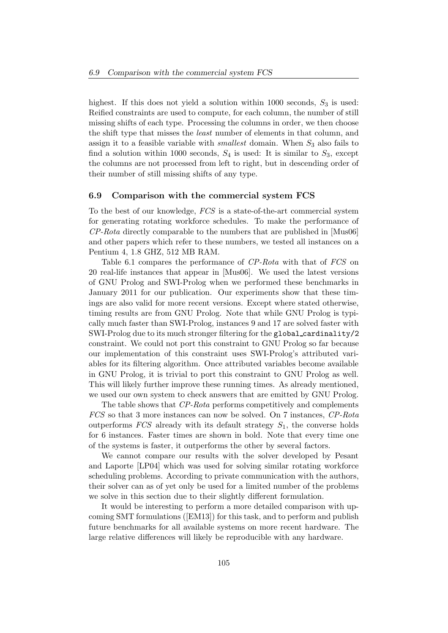highest. If this does not yield a solution within 1000 seconds,  $S_3$  is used: Reified constraints are used to compute, for each column, the number of still missing shifts of each type. Processing the columns in order, we then choose the shift type that misses the least number of elements in that column, and assign it to a feasible variable with *smallest* domain. When  $S_3$  also fails to find a solution within 1000 seconds,  $S_4$  is used: It is similar to  $S_3$ , except the columns are not processed from left to right, but in descending order of their number of still missing shifts of any type.

### 6.9 Comparison with the commercial system FCS

To the best of our knowledge, FCS is a state-of-the-art commercial system for generating rotating workforce schedules. To make the performance of CP-Rota directly comparable to the numbers that are published in [Mus06] and other papers which refer to these numbers, we tested all instances on a Pentium 4, 1.8 GHZ, 512 MB RAM.

Table 6.1 compares the performance of CP-Rota with that of FCS on 20 real-life instances that appear in [Mus06]. We used the latest versions of GNU Prolog and SWI-Prolog when we performed these benchmarks in January 2011 for our publication. Our experiments show that these timings are also valid for more recent versions. Except where stated otherwise, timing results are from GNU Prolog. Note that while GNU Prolog is typically much faster than SWI-Prolog, instances 9 and 17 are solved faster with SWI-Prolog due to its much stronger filtering for the global cardinality/2 constraint. We could not port this constraint to GNU Prolog so far because our implementation of this constraint uses SWI-Prolog's attributed variables for its filtering algorithm. Once attributed variables become available in GNU Prolog, it is trivial to port this constraint to GNU Prolog as well. This will likely further improve these running times. As already mentioned, we used our own system to check answers that are emitted by GNU Prolog.

The table shows that CP-Rota performs competitively and complements FCS so that 3 more instances can now be solved. On 7 instances, CP-Rota outperforms  $FCS$  already with its default strategy  $S_1$ , the converse holds for 6 instances. Faster times are shown in bold. Note that every time one of the systems is faster, it outperforms the other by several factors.

We cannot compare our results with the solver developed by Pesant and Laporte [LP04] which was used for solving similar rotating workforce scheduling problems. According to private communication with the authors, their solver can as of yet only be used for a limited number of the problems we solve in this section due to their slightly different formulation.

It would be interesting to perform a more detailed comparison with upcoming SMT formulations ([EM13]) for this task, and to perform and publish future benchmarks for all available systems on more recent hardware. The large relative differences will likely be reproducible with any hardware.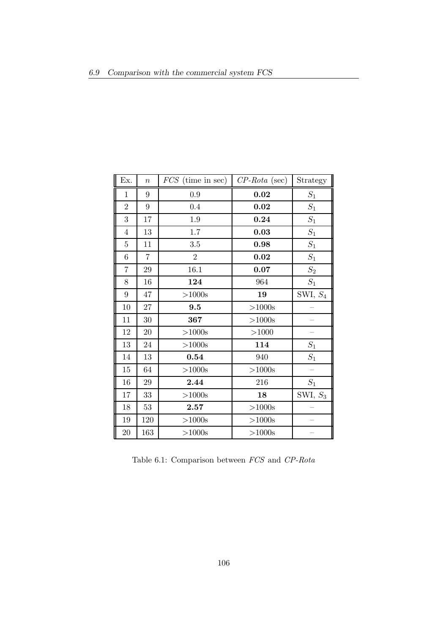| Ex.            | $\boldsymbol{n}$ | $FCS$ (time in sec) | $CP-Rota$ (sec) | Strategy        |
|----------------|------------------|---------------------|-----------------|-----------------|
| $\mathbf{1}$   | 9                | 0.9                 | 0.02            | $S_1$           |
| $\overline{2}$ | 9                | 0.4                 | $\bf 0.02$      | $S_1$           |
| 3              | 17               | 1.9                 | 0.24            | $S_1$           |
| $\overline{4}$ | 13               | $1.7\,$             | 0.03            | $\mathcal{S}_1$ |
| $\overline{5}$ | 11               | $3.5\,$             | 0.98            | $S_1$           |
| 6              | 7                | $\overline{2}$      | $\bf 0.02$      | $\mathcal{S}_1$ |
| 7              | 29               | 16.1                | 0.07            | $\mathcal{S}_2$ |
| 8              | 16               | 124                 | 964             | $\mathcal{S}_1$ |
| 9              | 47               | >1000s              | 19              | SWI, $S_4$      |
| 10             | $27\,$           | 9.5                 | $>1000s$        |                 |
| 11             | 30               | 367                 | >1000s          |                 |
| 12             | 20               | >1000s              | >1000           |                 |
| 13             | 24               | >1000s              | 114             | $\mathcal{S}_1$ |
| $14\,$         | 13               | 0.54                | 940             | $\mathcal{S}_1$ |
| 15             | 64               | >1000s              | $>1000s$        |                 |
| 16             | 29               | 2.44                | 216             | $S_1$           |
| 17             | 33               | ${>}1000\mathrm{s}$ | 18              | SWI, $S_3$      |
| 18             | 53               | 2.57                | $>1000s$        |                 |
| 19             | 120              | >1000s              | $>1000s$        |                 |
| $20\,$         | 163              | >1000s              | >1000s          |                 |

Table 6.1: Comparison between FCS and CP-Rota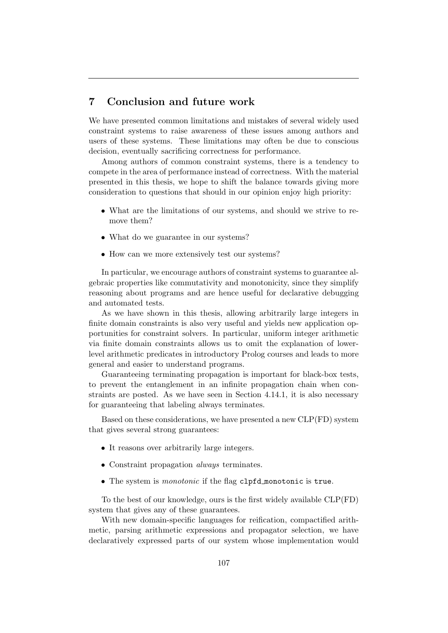### 7 Conclusion and future work

We have presented common limitations and mistakes of several widely used constraint systems to raise awareness of these issues among authors and users of these systems. These limitations may often be due to conscious decision, eventually sacrificing correctness for performance.

Among authors of common constraint systems, there is a tendency to compete in the area of performance instead of correctness. With the material presented in this thesis, we hope to shift the balance towards giving more consideration to questions that should in our opinion enjoy high priority:

- What are the limitations of our systems, and should we strive to remove them?
- What do we guarantee in our systems?
- How can we more extensively test our systems?

In particular, we encourage authors of constraint systems to guarantee algebraic properties like commutativity and monotonicity, since they simplify reasoning about programs and are hence useful for declarative debugging and automated tests.

As we have shown in this thesis, allowing arbitrarily large integers in finite domain constraints is also very useful and yields new application opportunities for constraint solvers. In particular, uniform integer arithmetic via finite domain constraints allows us to omit the explanation of lowerlevel arithmetic predicates in introductory Prolog courses and leads to more general and easier to understand programs.

Guaranteeing terminating propagation is important for black-box tests, to prevent the entanglement in an infinite propagation chain when constraints are posted. As we have seen in Section 4.14.1, it is also necessary for guaranteeing that labeling always terminates.

Based on these considerations, we have presented a new CLP(FD) system that gives several strong guarantees:

- It reasons over arbitrarily large integers.
- Constraint propagation always terminates.
- The system is *monotonic* if the flag clpfd\_monotonic is true.

To the best of our knowledge, ours is the first widely available CLP(FD) system that gives any of these guarantees.

With new domain-specific languages for reification, compactified arithmetic, parsing arithmetic expressions and propagator selection, we have declaratively expressed parts of our system whose implementation would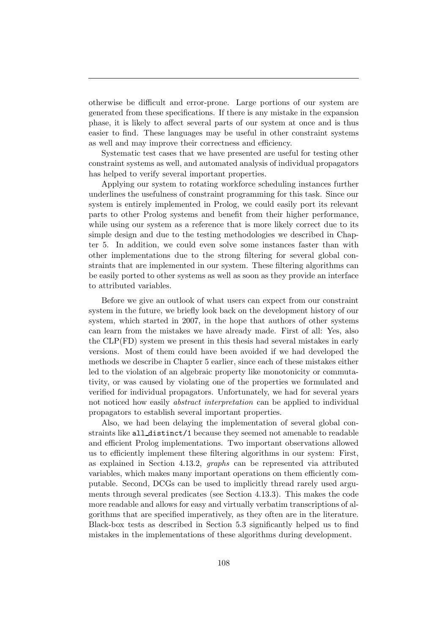otherwise be difficult and error-prone. Large portions of our system are generated from these specifications. If there is any mistake in the expansion phase, it is likely to affect several parts of our system at once and is thus easier to find. These languages may be useful in other constraint systems as well and may improve their correctness and efficiency.

Systematic test cases that we have presented are useful for testing other constraint systems as well, and automated analysis of individual propagators has helped to verify several important properties.

Applying our system to rotating workforce scheduling instances further underlines the usefulness of constraint programming for this task. Since our system is entirely implemented in Prolog, we could easily port its relevant parts to other Prolog systems and benefit from their higher performance, while using our system as a reference that is more likely correct due to its simple design and due to the testing methodologies we described in Chapter 5. In addition, we could even solve some instances faster than with other implementations due to the strong filtering for several global constraints that are implemented in our system. These filtering algorithms can be easily ported to other systems as well as soon as they provide an interface to attributed variables.

Before we give an outlook of what users can expect from our constraint system in the future, we briefly look back on the development history of our system, which started in 2007, in the hope that authors of other systems can learn from the mistakes we have already made. First of all: Yes, also the CLP(FD) system we present in this thesis had several mistakes in early versions. Most of them could have been avoided if we had developed the methods we describe in Chapter 5 earlier, since each of these mistakes either led to the violation of an algebraic property like monotonicity or commutativity, or was caused by violating one of the properties we formulated and verified for individual propagators. Unfortunately, we had for several years not noticed how easily abstract interpretation can be applied to individual propagators to establish several important properties.

Also, we had been delaying the implementation of several global constraints like all distinct/1 because they seemed not amenable to readable and efficient Prolog implementations. Two important observations allowed us to efficiently implement these filtering algorithms in our system: First, as explained in Section 4.13.2, graphs can be represented via attributed variables, which makes many important operations on them efficiently computable. Second, DCGs can be used to implicitly thread rarely used arguments through several predicates (see Section 4.13.3). This makes the code more readable and allows for easy and virtually verbatim transcriptions of algorithms that are specified imperatively, as they often are in the literature. Black-box tests as described in Section 5.3 significantly helped us to find mistakes in the implementations of these algorithms during development.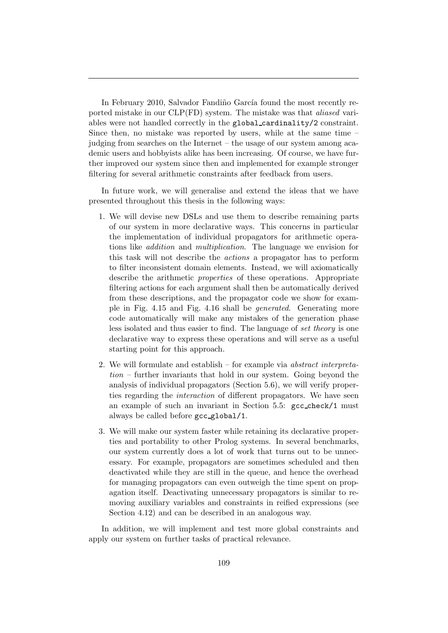In February 2010, Salvador Fandiño García found the most recently reported mistake in our CLP(FD) system. The mistake was that aliased variables were not handled correctly in the global cardinality/2 constraint. Since then, no mistake was reported by users, while at the same time – judging from searches on the Internet – the usage of our system among academic users and hobbyists alike has been increasing. Of course, we have further improved our system since then and implemented for example stronger filtering for several arithmetic constraints after feedback from users.

In future work, we will generalise and extend the ideas that we have presented throughout this thesis in the following ways:

- 1. We will devise new DSLs and use them to describe remaining parts of our system in more declarative ways. This concerns in particular the implementation of individual propagators for arithmetic operations like addition and multiplication. The language we envision for this task will not describe the actions a propagator has to perform to filter inconsistent domain elements. Instead, we will axiomatically describe the arithmetic properties of these operations. Appropriate filtering actions for each argument shall then be automatically derived from these descriptions, and the propagator code we show for example in Fig. 4.15 and Fig. 4.16 shall be generated. Generating more code automatically will make any mistakes of the generation phase less isolated and thus easier to find. The language of set theory is one declarative way to express these operations and will serve as a useful starting point for this approach.
- 2. We will formulate and establish for example via abstract interpreta $tion$  – further invariants that hold in our system. Going beyond the analysis of individual propagators (Section 5.6), we will verify properties regarding the interaction of different propagators. We have seen an example of such an invariant in Section 5.5: gcc check/1 must always be called before gcc global/1.
- 3. We will make our system faster while retaining its declarative properties and portability to other Prolog systems. In several benchmarks, our system currently does a lot of work that turns out to be unnecessary. For example, propagators are sometimes scheduled and then deactivated while they are still in the queue, and hence the overhead for managing propagators can even outweigh the time spent on propagation itself. Deactivating unnecessary propagators is similar to removing auxiliary variables and constraints in reified expressions (see Section 4.12) and can be described in an analogous way.

In addition, we will implement and test more global constraints and apply our system on further tasks of practical relevance.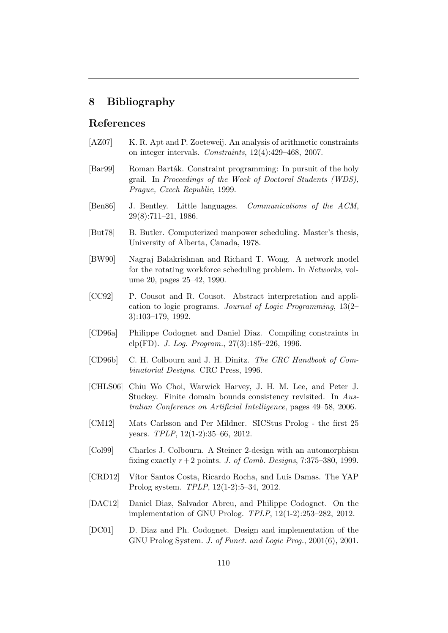## 8 Bibliography

## References

- [AZ07] K. R. Apt and P. Zoeteweij. An analysis of arithmetic constraints on integer intervals. Constraints, 12(4):429–468, 2007.
- [Bar99] Roman Barták. Constraint programming: In pursuit of the holy grail. In Proceedings of the Week of Doctoral Students (WDS), Prague, Czech Republic, 1999.
- [Ben86] J. Bentley. Little languages. Communications of the ACM, 29(8):711–21, 1986.
- [But78] B. Butler. Computerized manpower scheduling. Master's thesis, University of Alberta, Canada, 1978.
- [BW90] Nagraj Balakrishnan and Richard T. Wong. A network model for the rotating workforce scheduling problem. In Networks, volume 20, pages 25–42, 1990.
- [CC92] P. Cousot and R. Cousot. Abstract interpretation and application to logic programs. Journal of Logic Programming, 13(2– 3):103–179, 1992.
- [CD96a] Philippe Codognet and Daniel Diaz. Compiling constraints in clp(FD). J. Log. Program., 27(3):185–226, 1996.
- [CD96b] C. H. Colbourn and J. H. Dinitz. The CRC Handbook of Combinatorial Designs. CRC Press, 1996.
- [CHLS06] Chiu Wo Choi, Warwick Harvey, J. H. M. Lee, and Peter J. Stuckey. Finite domain bounds consistency revisited. In Australian Conference on Artificial Intelligence, pages 49–58, 2006.
- [CM12] Mats Carlsson and Per Mildner. SICStus Prolog the first 25 years. TPLP, 12(1-2):35–66, 2012.
- [Col99] Charles J. Colbourn. A Steiner 2-design with an automorphism fixing exactly  $r+2$  points. J. of Comb. Designs, 7:375–380, 1999.
- [CRD12] Vítor Santos Costa, Ricardo Rocha, and Luís Damas. The YAP Prolog system. TPLP, 12(1-2):5–34, 2012.
- [DAC12] Daniel Diaz, Salvador Abreu, and Philippe Codognet. On the implementation of GNU Prolog. TPLP, 12(1-2):253–282, 2012.
- [DC01] D. Diaz and Ph. Codognet. Design and implementation of the GNU Prolog System. J. of Funct. and Logic Prog., 2001(6), 2001.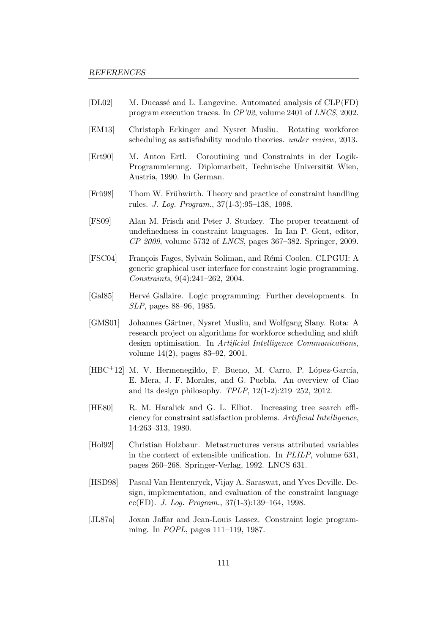- [DL02] M. Ducassé and L. Langevine. Automated analysis of CLP(FD) program execution traces. In CP'02, volume 2401 of LNCS, 2002.
- [EM13] Christoph Erkinger and Nysret Musliu. Rotating workforce scheduling as satisfiability modulo theories. under review, 2013.
- [Ert90] M. Anton Ertl. Coroutining und Constraints in der Logik-Programmierung. Diplomarbeit, Technische Universität Wien, Austria, 1990. In German.
- [Frügg] Thom W. Frühwirth. Theory and practice of constraint handling rules. J. Log. Program., 37(1-3):95–138, 1998.
- [FS09] Alan M. Frisch and Peter J. Stuckey. The proper treatment of undefinedness in constraint languages. In Ian P. Gent, editor, CP 2009, volume 5732 of LNCS, pages 367–382. Springer, 2009.
- [FSC04] François Fages, Sylvain Soliman, and Rémi Coolen. CLPGUI: A generic graphical user interface for constraint logic programming. Constraints, 9(4):241–262, 2004.
- [Gal85] Hervé Gallaire. Logic programming: Further developments. In SLP, pages 88–96, 1985.
- [GMS01] Johannes Gärtner, Nysret Musliu, and Wolfgang Slany. Rota: A research project on algorithms for workforce scheduling and shift design optimisation. In Artificial Intelligence Communications, volume 14(2), pages 83–92, 2001.
- [HBC<sup>+</sup>12] M. V. Hermenegildo, F. Bueno, M. Carro, P. López-García, E. Mera, J. F. Morales, and G. Puebla. An overview of Ciao and its design philosophy. TPLP, 12(1-2):219–252, 2012.
- [HE80] R. M. Haralick and G. L. Elliot. Increasing tree search efficiency for constraint satisfaction problems. Artificial Intelligence, 14:263–313, 1980.
- [Hol92] Christian Holzbaur. Metastructures versus attributed variables in the context of extensible unification. In PLILP, volume 631, pages 260–268. Springer-Verlag, 1992. LNCS 631.
- [HSD98] Pascal Van Hentenryck, Vijay A. Saraswat, and Yves Deville. Design, implementation, and evaluation of the constraint language cc(FD). J. Log. Program.,  $37(1-3):139-164$ , 1998.
- [JL87a] Joxan Jaffar and Jean-Louis Lassez. Constraint logic programming. In POPL, pages 111–119, 1987.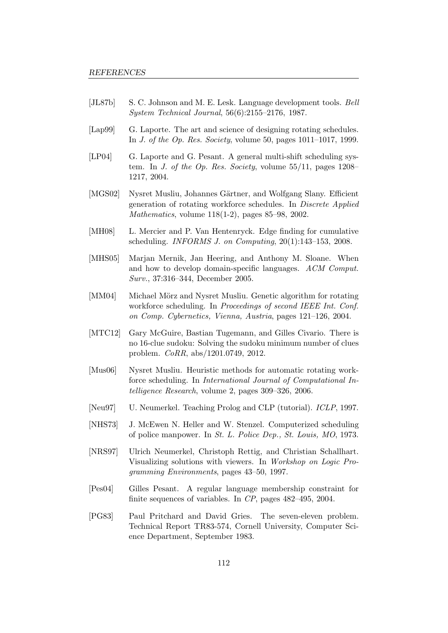- [JL87b] S. C. Johnson and M. E. Lesk. Language development tools. Bell System Technical Journal, 56(6):2155–2176, 1987.
- [Lap99] G. Laporte. The art and science of designing rotating schedules. In J. of the Op. Res. Society, volume 50, pages 1011–1017, 1999.
- [LP04] G. Laporte and G. Pesant. A general multi-shift scheduling system. In J. of the Op. Res. Society, volume  $55/11$ , pages  $1208-$ 1217, 2004.
- [MGS02] Nysret Musliu, Johannes Gärtner, and Wolfgang Slany. Efficient generation of rotating workforce schedules. In Discrete Applied Mathematics, volume 118(1-2), pages 85–98, 2002.
- [MH08] L. Mercier and P. Van Hentenryck. Edge finding for cumulative scheduling. INFORMS J. on Computing, 20(1):143–153, 2008.
- [MHS05] Marjan Mernik, Jan Heering, and Anthony M. Sloane. When and how to develop domain-specific languages. ACM Comput. Surv., 37:316–344, December 2005.
- [MM04] Michael Mörz and Nysret Musliu. Genetic algorithm for rotating workforce scheduling. In Proceedings of second IEEE Int. Conf. on Comp. Cybernetics, Vienna, Austria, pages 121–126, 2004.
- [MTC12] Gary McGuire, Bastian Tugemann, and Gilles Civario. There is no 16-clue sudoku: Solving the sudoku minimum number of clues problem. CoRR, abs/1201.0749, 2012.
- [Mus06] Nysret Musliu. Heuristic methods for automatic rotating workforce scheduling. In International Journal of Computational Intelligence Research, volume 2, pages 309–326, 2006.
- [Neu97] U. Neumerkel. Teaching Prolog and CLP (tutorial). ICLP, 1997.
- [NHS73] J. McEwen N. Heller and W. Stenzel. Computerized scheduling of police manpower. In St. L. Police Dep., St. Louis, MO, 1973.
- [NRS97] Ulrich Neumerkel, Christoph Rettig, and Christian Schallhart. Visualizing solutions with viewers. In Workshop on Logic Programming Environments, pages 43–50, 1997.
- [Pes04] Gilles Pesant. A regular language membership constraint for finite sequences of variables. In CP, pages 482–495, 2004.
- [PG83] Paul Pritchard and David Gries. The seven-eleven problem. Technical Report TR83-574, Cornell University, Computer Science Department, September 1983.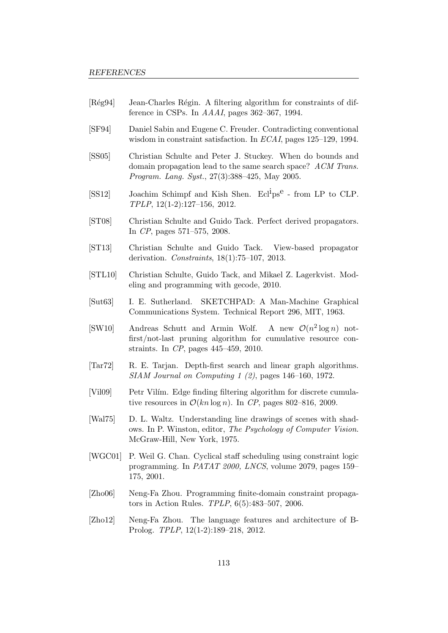- [Rég94] Jean-Charles Régin. A filtering algorithm for constraints of difference in CSPs. In AAAI, pages 362–367, 1994.
- [SF94] Daniel Sabin and Eugene C. Freuder. Contradicting conventional wisdom in constraint satisfaction. In ECAI, pages 125–129, 1994.
- [SS05] Christian Schulte and Peter J. Stuckey. When do bounds and domain propagation lead to the same search space? ACM Trans. Program. Lang. Syst., 27(3):388–425, May 2005.
- [SS12] Joachim Schimpf and Kish Shen. Ecl<sup>1</sup>ps<sup>e</sup> from LP to CLP. TPLP, 12(1-2):127–156, 2012.
- [ST08] Christian Schulte and Guido Tack. Perfect derived propagators. In CP, pages 571–575, 2008.
- [ST13] Christian Schulte and Guido Tack. View-based propagator derivation. Constraints, 18(1):75–107, 2013.
- [STL10] Christian Schulte, Guido Tack, and Mikael Z. Lagerkvist. Modeling and programming with gecode, 2010.
- [Sut63] I. E. Sutherland. SKETCHPAD: A Man-Machine Graphical Communications System. Technical Report 296, MIT, 1963.
- [SW10] Andreas Schutt and Armin Wolf.  $^{2}\log n)$  notfirst/not-last pruning algorithm for cumulative resource constraints. In CP, pages 445–459, 2010.
- [Tar72] R. E. Tarjan. Depth-first search and linear graph algorithms. SIAM Journal on Computing 1 (2), pages 146–160, 1972.
- [Vil09] Petr Vilím. Edge finding filtering algorithm for discrete cumulative resources in  $\mathcal{O}(kn \log n)$ . In CP, pages 802–816, 2009.
- [Wal75] D. L. Waltz. Understanding line drawings of scenes with shadows. In P. Winston, editor, The Psychology of Computer Vision. McGraw-Hill, New York, 1975.
- [WGC01] P. Weil G. Chan. Cyclical staff scheduling using constraint logic programming. In PATAT 2000, LNCS, volume 2079, pages 159– 175, 2001.
- [Zho06] Neng-Fa Zhou. Programming finite-domain constraint propagators in Action Rules. TPLP, 6(5):483–507, 2006.
- [Zho12] Neng-Fa Zhou. The language features and architecture of B-Prolog. TPLP, 12(1-2):189–218, 2012.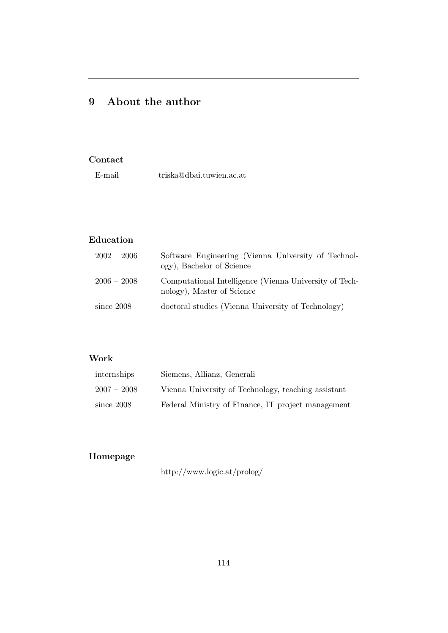# 9 About the author

## Contact

# Education

| $2002 - 2006$ | Software Engineering (Vienna University of Technol-<br>ogy), Bachelor of Science     |
|---------------|--------------------------------------------------------------------------------------|
| $2006 - 2008$ | Computational Intelligence (Vienna University of Tech-<br>nology), Master of Science |
| since 2008    | doctoral studies (Vienna University of Technology)                                   |

## Work

| internships   | Siemens, Allianz, Generali                          |
|---------------|-----------------------------------------------------|
| $2007 - 2008$ | Vienna University of Technology, teaching assistant |
| since $2008$  | Federal Ministry of Finance, IT project management  |

# Homepage

http://www.logic.at/prolog/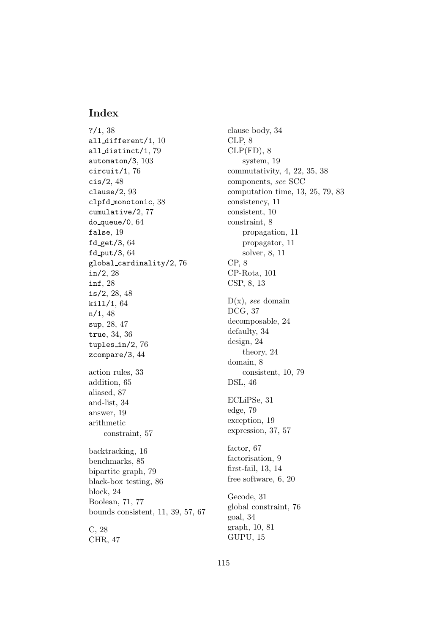## Index

?/1, 38 all different/1, 10 all distinct/1, 79 automaton/3, 103 circuit/1, 76 cis/2, 48 clause/2, 93 clpfd monotonic, 38 cumulative/2, 77 do queue/0, 64 false, 19 fd get/3,  $64$ fd\_put/3,  $64$ global cardinality/2, 76 in/2, 28 inf, 28 is/2, 28, 48 kill/1, 64 n/1, 48 sup, 28, 47 true, 34, 36 tuples in/2, 76 zcompare/3, 44 action rules, 33 addition, 65 aliased, 87 and-list, 34 answer, 19 arithmetic constraint, 57 backtracking, 16 benchmarks, 85 bipartite graph, 79 black-box testing, 86 block, 24 Boolean, 71, 77 bounds consistent, 11, 39, 57, 67 C, 28 CHR, 47

clause body, 34 CLP, 8  $CLP(FD), 8$ system, 19 commutativity, 4, 22, 35, 38 components, see SCC computation time, 13, 25, 79, 83 consistency, 11 consistent, 10 constraint, 8 propagation, 11 propagator, 11 solver, 8, 11 CP, 8 CP-Rota, 101 CSP, 8, 13  $D(x)$ , see domain DCG, 37 decomposable, 24 defaulty, 34 design, 24 theory, 24 domain, 8 consistent, 10, 79 DSL, 46 ECLiPSe, 31 edge, 79 exception, 19 expression, 37, 57 factor, 67 factorisation, 9 first-fail, 13, 14 free software, 6, 20 Gecode, 31 global constraint, 76 goal, 34 graph, 10, 81 GUPU, 15